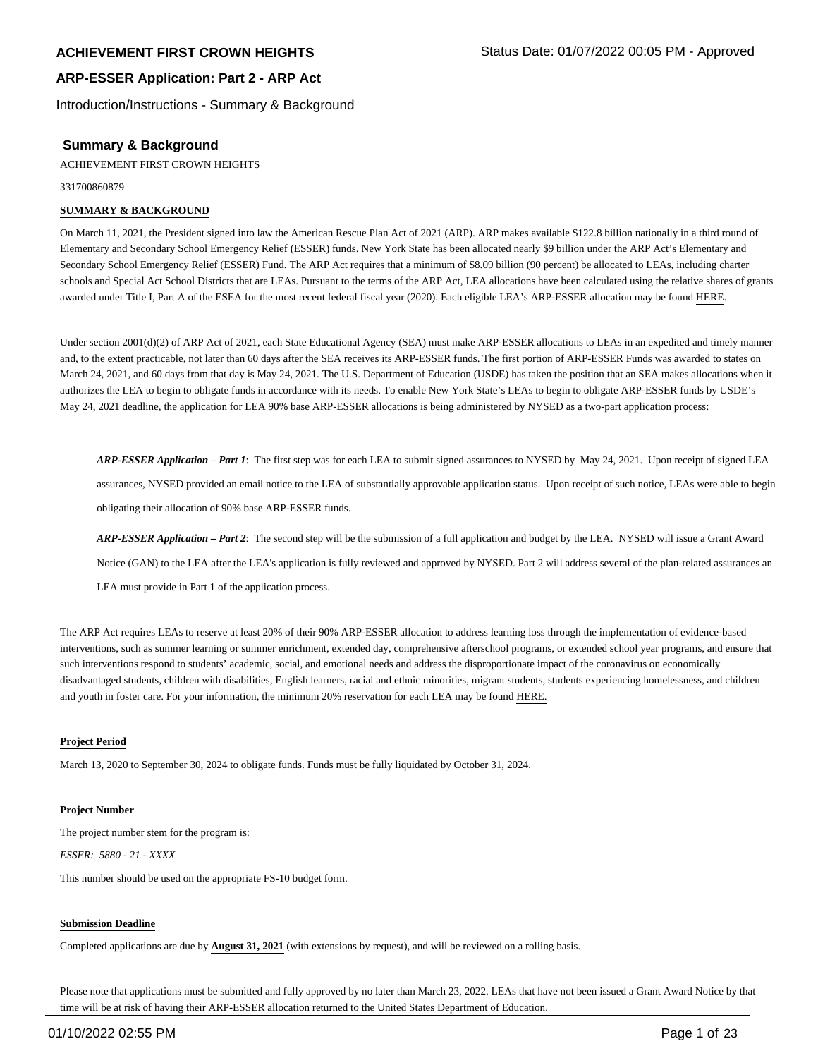Introduction/Instructions - Summary & Background

## **Summary & Background**

ACHIEVEMENT FIRST CROWN HEIGHTS

331700860879

#### **SUMMARY & BACKGROUND**

On March 11, 2021, the President signed into law the American Rescue Plan Act of 2021 (ARP). ARP makes available \$122.8 billion nationally in a third round of Elementary and Secondary School Emergency Relief (ESSER) funds. New York State has been allocated nearly \$9 billion under the ARP Act's Elementary and Secondary School Emergency Relief (ESSER) Fund. The ARP Act requires that a minimum of \$8.09 billion (90 percent) be allocated to LEAs, including charter schools and Special Act School Districts that are LEAs. Pursuant to the terms of the ARP Act, LEA allocations have been calculated using the relative shares of grants awarded under Title I, Part A of the ESEA for the most recent federal fiscal year (2020). Each eligible LEA's ARP-ESSER allocation may be found HERE.

Under section 2001(d)(2) of ARP Act of 2021, each State Educational Agency (SEA) must make ARP-ESSER allocations to LEAs in an expedited and timely manner and, to the extent practicable, not later than 60 days after the SEA receives its ARP-ESSER funds. The first portion of ARP-ESSER Funds was awarded to states on March 24, 2021, and 60 days from that day is May 24, 2021. The U.S. Department of Education (USDE) has taken the position that an SEA makes allocations when it authorizes the LEA to begin to obligate funds in accordance with its needs. To enable New York State's LEAs to begin to obligate ARP-ESSER funds by USDE's May 24, 2021 deadline, the application for LEA 90% base ARP-ESSER allocations is being administered by NYSED as a two-part application process:

*ARP-ESSER Application – Part 1*: The first step was for each LEA to submit signed assurances to NYSED by May 24, 2021. Upon receipt of signed LEA assurances, NYSED provided an email notice to the LEA of substantially approvable application status. Upon receipt of such notice, LEAs were able to begin obligating their allocation of 90% base ARP-ESSER funds.

*ARP-ESSER Application – Part 2*: The second step will be the submission of a full application and budget by the LEA. NYSED will issue a Grant Award Notice (GAN) to the LEA after the LEA's application is fully reviewed and approved by NYSED. Part 2 will address several of the plan-related assurances an LEA must provide in Part 1 of the application process.

The ARP Act requires LEAs to reserve at least 20% of their 90% ARP-ESSER allocation to address learning loss through the implementation of evidence-based interventions, such as summer learning or summer enrichment, extended day, comprehensive afterschool programs, or extended school year programs, and ensure that such interventions respond to students' academic, social, and emotional needs and address the disproportionate impact of the coronavirus on economically disadvantaged students, children with disabilities, English learners, racial and ethnic minorities, migrant students, students experiencing homelessness, and children and youth in foster care. For your information, the minimum 20% reservation for each LEA may be found HERE.

#### **Project Period**

March 13, 2020 to September 30, 2024 to obligate funds. Funds must be fully liquidated by October 31, 2024.

#### **Project Number**

The project number stem for the program is: *ESSER: 5880 - 21 - XXXX*

This number should be used on the appropriate FS-10 budget form.

#### **Submission Deadline**

Completed applications are due by **August 31, 2021** (with extensions by request), and will be reviewed on a rolling basis.

Please note that applications must be submitted and fully approved by no later than March 23, 2022. LEAs that have not been issued a Grant Award Notice by that time will be at risk of having their ARP-ESSER allocation returned to the United States Department of Education.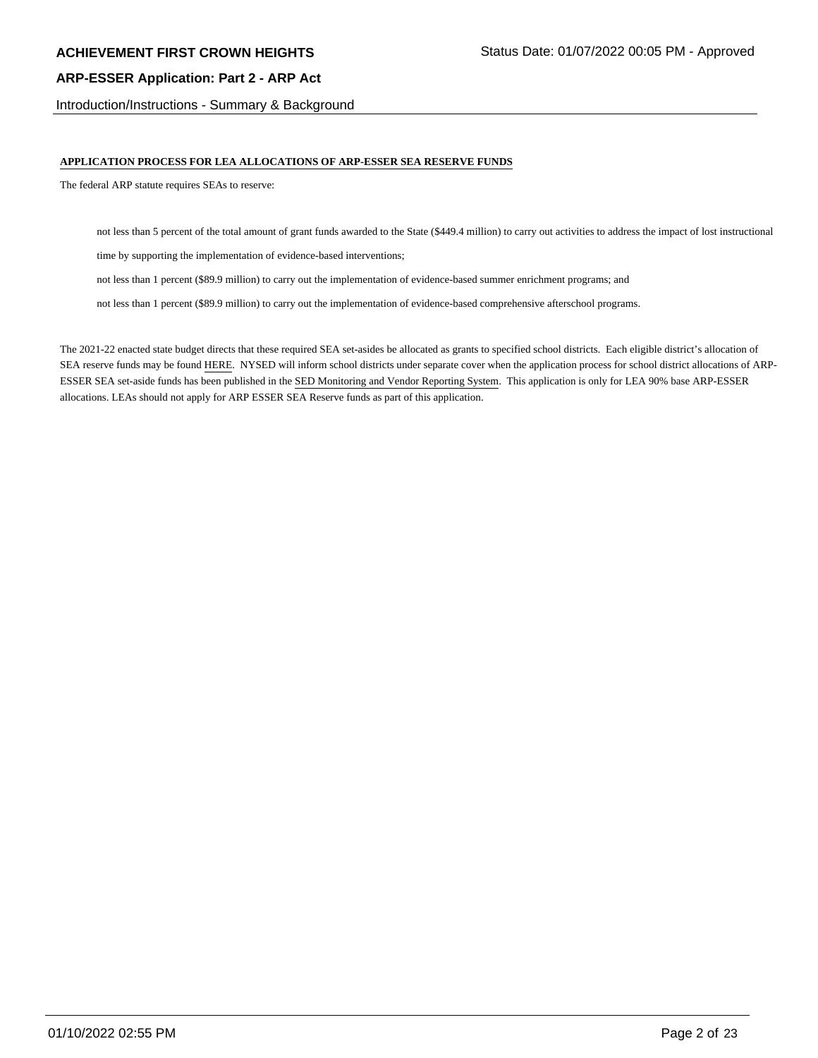Introduction/Instructions - Summary & Background

#### **APPLICATION PROCESS FOR LEA ALLOCATIONS OF ARP-ESSER SEA RESERVE FUNDS**

The federal ARP statute requires SEAs to reserve:

not less than 5 percent of the total amount of grant funds awarded to the State (\$449.4 million) to carry out activities to address the impact of lost instructional

time by supporting the implementation of evidence-based interventions;

not less than 1 percent (\$89.9 million) to carry out the implementation of evidence-based summer enrichment programs; and

not less than 1 percent (\$89.9 million) to carry out the implementation of evidence-based comprehensive afterschool programs.

The 2021-22 enacted state budget directs that these required SEA set-asides be allocated as grants to specified school districts. Each eligible district's allocation of SEA reserve funds may be found HERE. NYSED will inform school districts under separate cover when the application process for school district allocations of ARP-ESSER SEA set-aside funds has been published in the SED Monitoring and Vendor Reporting System. This application is only for LEA 90% base ARP-ESSER allocations. LEAs should not apply for ARP ESSER SEA Reserve funds as part of this application.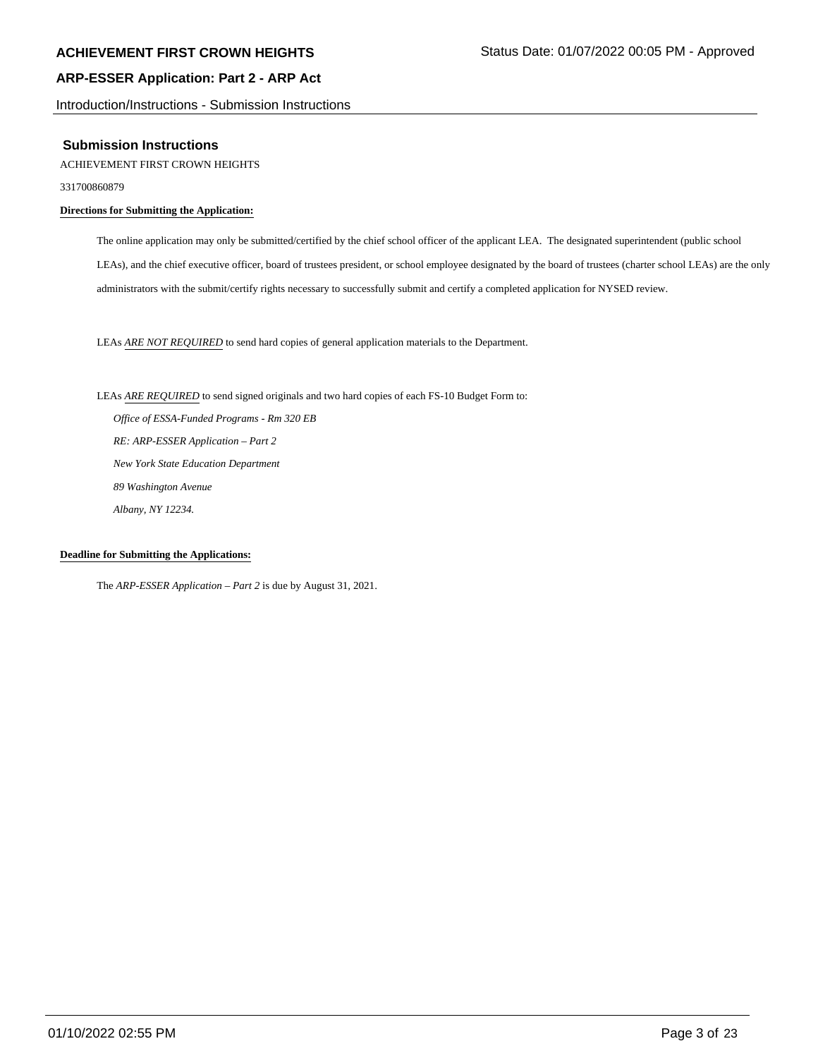Introduction/Instructions - Submission Instructions

#### **Submission Instructions**

#### ACHIEVEMENT FIRST CROWN HEIGHTS

331700860879

#### **Directions for Submitting the Application:**

The online application may only be submitted/certified by the chief school officer of the applicant LEA. The designated superintendent (public school LEAs), and the chief executive officer, board of trustees president, or school employee designated by the board of trustees (charter school LEAs) are the only administrators with the submit/certify rights necessary to successfully submit and certify a completed application for NYSED review.

LEAs *ARE NOT REQUIRED* to send hard copies of general application materials to the Department.

LEAs *ARE REQUIRED* to send signed originals and two hard copies of each FS-10 Budget Form to:  *Office of ESSA-Funded Programs - Rm 320 EB RE: ARP-ESSER Application – Part 2 New York State Education Department 89 Washington Avenue Albany, NY 12234.*

#### **Deadline for Submitting the Applications:**

The *ARP-ESSER Application – Part 2* is due by August 31, 2021.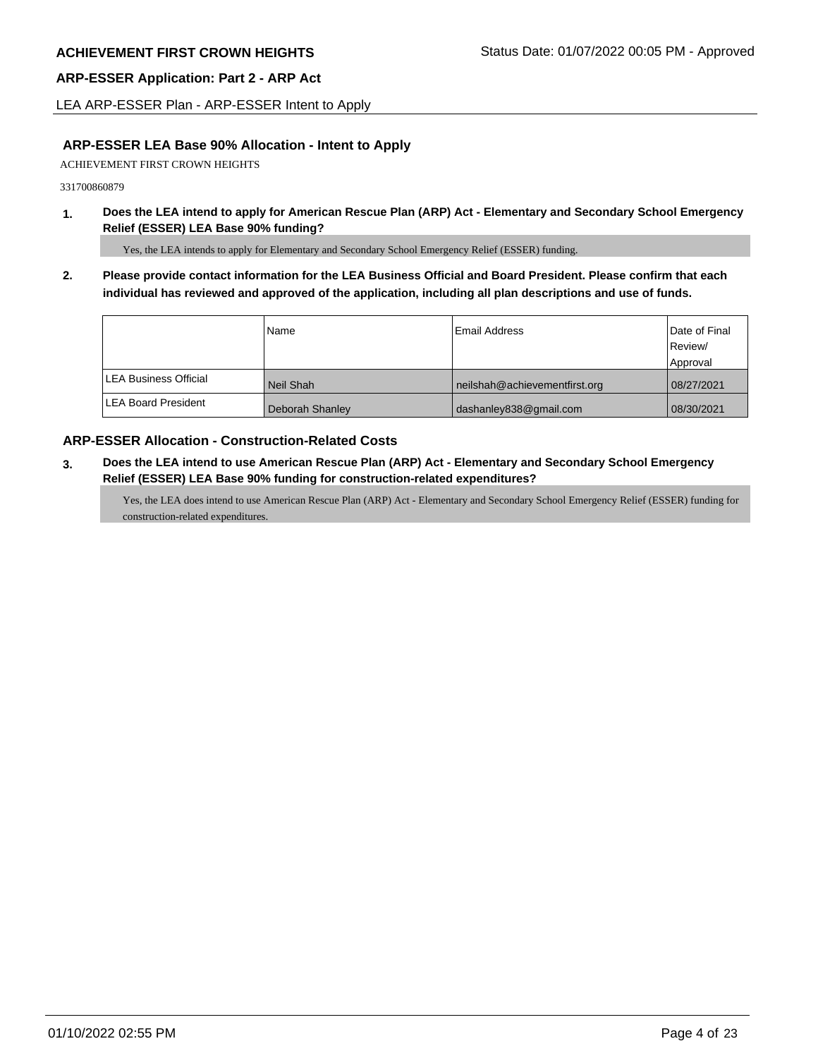LEA ARP-ESSER Plan - ARP-ESSER Intent to Apply

# **ARP-ESSER LEA Base 90% Allocation - Intent to Apply**

ACHIEVEMENT FIRST CROWN HEIGHTS

331700860879

**1. Does the LEA intend to apply for American Rescue Plan (ARP) Act - Elementary and Secondary School Emergency Relief (ESSER) LEA Base 90% funding?**

Yes, the LEA intends to apply for Elementary and Secondary School Emergency Relief (ESSER) funding.

**2. Please provide contact information for the LEA Business Official and Board President. Please confirm that each individual has reviewed and approved of the application, including all plan descriptions and use of funds.** 

|                               | Name            | Email Address                 | Date of Final |
|-------------------------------|-----------------|-------------------------------|---------------|
|                               |                 |                               | Review/       |
|                               |                 |                               | Approval      |
| <b>ILEA Business Official</b> | Neil Shah       | neilshah@achievementfirst.org | 08/27/2021    |
| <b>LEA Board President</b>    | Deborah Shanley | dashanley838@gmail.com        | 08/30/2021    |

### **ARP-ESSER Allocation - Construction-Related Costs**

**3. Does the LEA intend to use American Rescue Plan (ARP) Act - Elementary and Secondary School Emergency Relief (ESSER) LEA Base 90% funding for construction-related expenditures?**

Yes, the LEA does intend to use American Rescue Plan (ARP) Act - Elementary and Secondary School Emergency Relief (ESSER) funding for construction-related expenditures.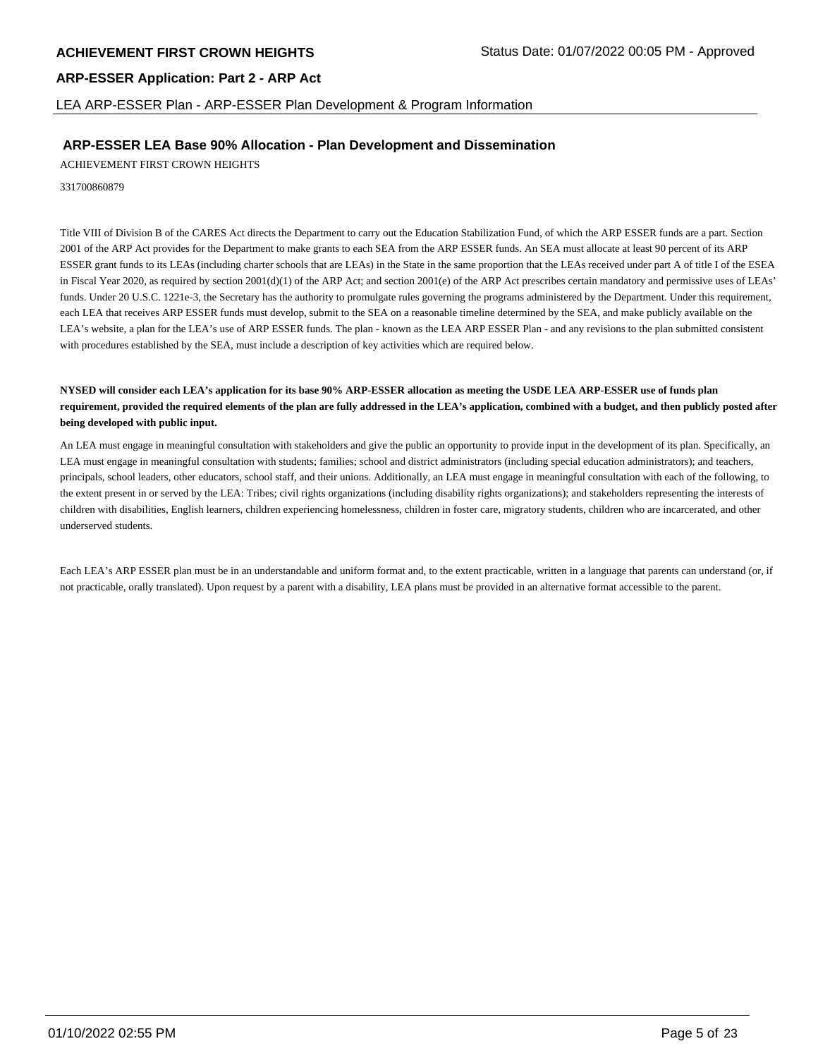LEA ARP-ESSER Plan - ARP-ESSER Plan Development & Program Information

#### **ARP-ESSER LEA Base 90% Allocation - Plan Development and Dissemination**

ACHIEVEMENT FIRST CROWN HEIGHTS

331700860879

Title VIII of Division B of the CARES Act directs the Department to carry out the Education Stabilization Fund, of which the ARP ESSER funds are a part. Section 2001 of the ARP Act provides for the Department to make grants to each SEA from the ARP ESSER funds. An SEA must allocate at least 90 percent of its ARP ESSER grant funds to its LEAs (including charter schools that are LEAs) in the State in the same proportion that the LEAs received under part A of title I of the ESEA in Fiscal Year 2020, as required by section  $2001(d)(1)$  of the ARP Act; and section  $2001(e)$  of the ARP Act prescribes certain mandatory and permissive uses of LEAs' funds. Under 20 U.S.C. 1221e-3, the Secretary has the authority to promulgate rules governing the programs administered by the Department. Under this requirement, each LEA that receives ARP ESSER funds must develop, submit to the SEA on a reasonable timeline determined by the SEA, and make publicly available on the LEA's website, a plan for the LEA's use of ARP ESSER funds. The plan - known as the LEA ARP ESSER Plan - and any revisions to the plan submitted consistent with procedures established by the SEA, must include a description of key activities which are required below.

#### **NYSED will consider each LEA's application for its base 90% ARP-ESSER allocation as meeting the USDE LEA ARP-ESSER use of funds plan requirement, provided the required elements of the plan are fully addressed in the LEA's application, combined with a budget, and then publicly posted after being developed with public input.**

An LEA must engage in meaningful consultation with stakeholders and give the public an opportunity to provide input in the development of its plan. Specifically, an LEA must engage in meaningful consultation with students; families; school and district administrators (including special education administrators); and teachers, principals, school leaders, other educators, school staff, and their unions. Additionally, an LEA must engage in meaningful consultation with each of the following, to the extent present in or served by the LEA: Tribes; civil rights organizations (including disability rights organizations); and stakeholders representing the interests of children with disabilities, English learners, children experiencing homelessness, children in foster care, migratory students, children who are incarcerated, and other underserved students.

Each LEA's ARP ESSER plan must be in an understandable and uniform format and, to the extent practicable, written in a language that parents can understand (or, if not practicable, orally translated). Upon request by a parent with a disability, LEA plans must be provided in an alternative format accessible to the parent.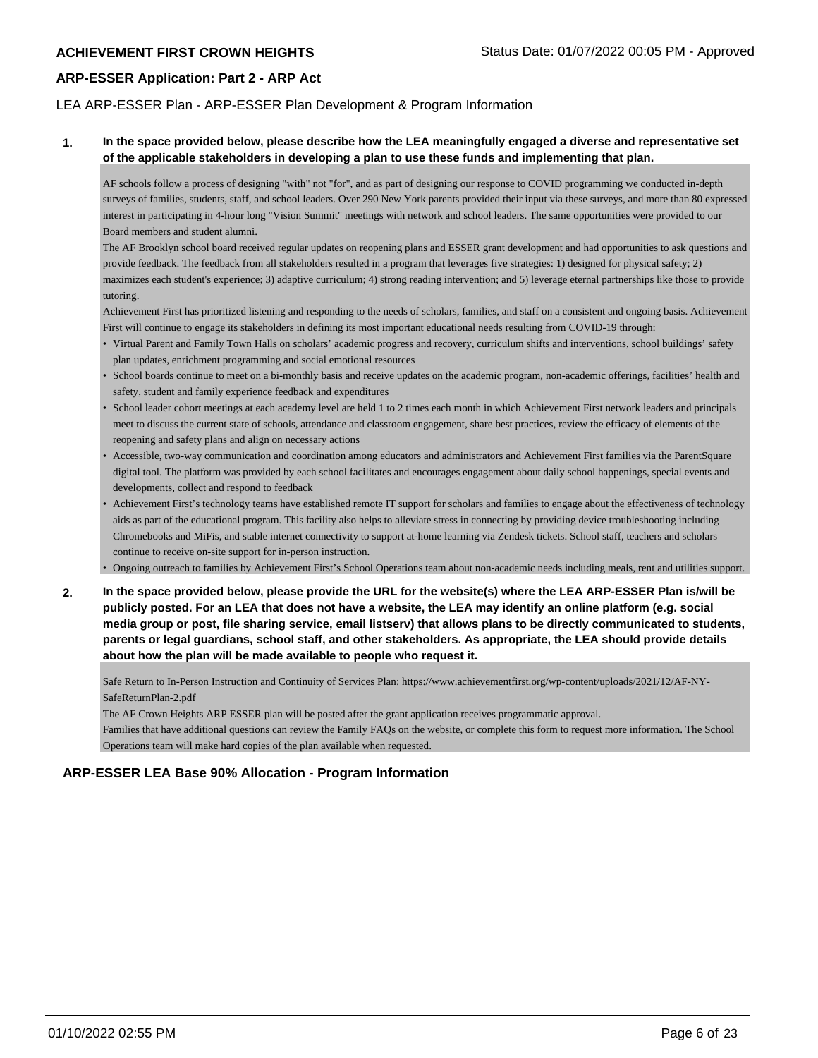#### LEA ARP-ESSER Plan - ARP-ESSER Plan Development & Program Information

#### **1. In the space provided below, please describe how the LEA meaningfully engaged a diverse and representative set of the applicable stakeholders in developing a plan to use these funds and implementing that plan.**

AF schools follow a process of designing "with" not "for", and as part of designing our response to COVID programming we conducted in-depth surveys of families, students, staff, and school leaders. Over 290 New York parents provided their input via these surveys, and more than 80 expressed interest in participating in 4-hour long "Vision Summit" meetings with network and school leaders. The same opportunities were provided to our Board members and student alumni.

The AF Brooklyn school board received regular updates on reopening plans and ESSER grant development and had opportunities to ask questions and provide feedback. The feedback from all stakeholders resulted in a program that leverages five strategies: 1) designed for physical safety; 2) maximizes each student's experience; 3) adaptive curriculum; 4) strong reading intervention; and 5) leverage eternal partnerships like those to provide tutoring.

Achievement First has prioritized listening and responding to the needs of scholars, families, and staff on a consistent and ongoing basis. Achievement First will continue to engage its stakeholders in defining its most important educational needs resulting from COVID-19 through:

- Virtual Parent and Family Town Halls on scholars' academic progress and recovery, curriculum shifts and interventions, school buildings' safety plan updates, enrichment programming and social emotional resources
- School boards continue to meet on a bi-monthly basis and receive updates on the academic program, non-academic offerings, facilities' health and safety, student and family experience feedback and expenditures
- School leader cohort meetings at each academy level are held 1 to 2 times each month in which Achievement First network leaders and principals meet to discuss the current state of schools, attendance and classroom engagement, share best practices, review the efficacy of elements of the reopening and safety plans and align on necessary actions
- Accessible, two-way communication and coordination among educators and administrators and Achievement First families via the ParentSquare digital tool. The platform was provided by each school facilitates and encourages engagement about daily school happenings, special events and developments, collect and respond to feedback
- Achievement First's technology teams have established remote IT support for scholars and families to engage about the effectiveness of technology aids as part of the educational program. This facility also helps to alleviate stress in connecting by providing device troubleshooting including Chromebooks and MiFis, and stable internet connectivity to support at-home learning via Zendesk tickets. School staff, teachers and scholars continue to receive on-site support for in-person instruction.
- Ongoing outreach to families by Achievement First's School Operations team about non-academic needs including meals, rent and utilities support.
- **2. In the space provided below, please provide the URL for the website(s) where the LEA ARP-ESSER Plan is/will be publicly posted. For an LEA that does not have a website, the LEA may identify an online platform (e.g. social media group or post, file sharing service, email listserv) that allows plans to be directly communicated to students, parents or legal guardians, school staff, and other stakeholders. As appropriate, the LEA should provide details about how the plan will be made available to people who request it.**

Safe Return to In-Person Instruction and Continuity of Services Plan: https://www.achievementfirst.org/wp-content/uploads/2021/12/AF-NY-SafeReturnPlan-2.pdf

The AF Crown Heights ARP ESSER plan will be posted after the grant application receives programmatic approval.

Families that have additional questions can review the Family FAQs on the website, or complete this form to request more information. The School Operations team will make hard copies of the plan available when requested.

## **ARP-ESSER LEA Base 90% Allocation - Program Information**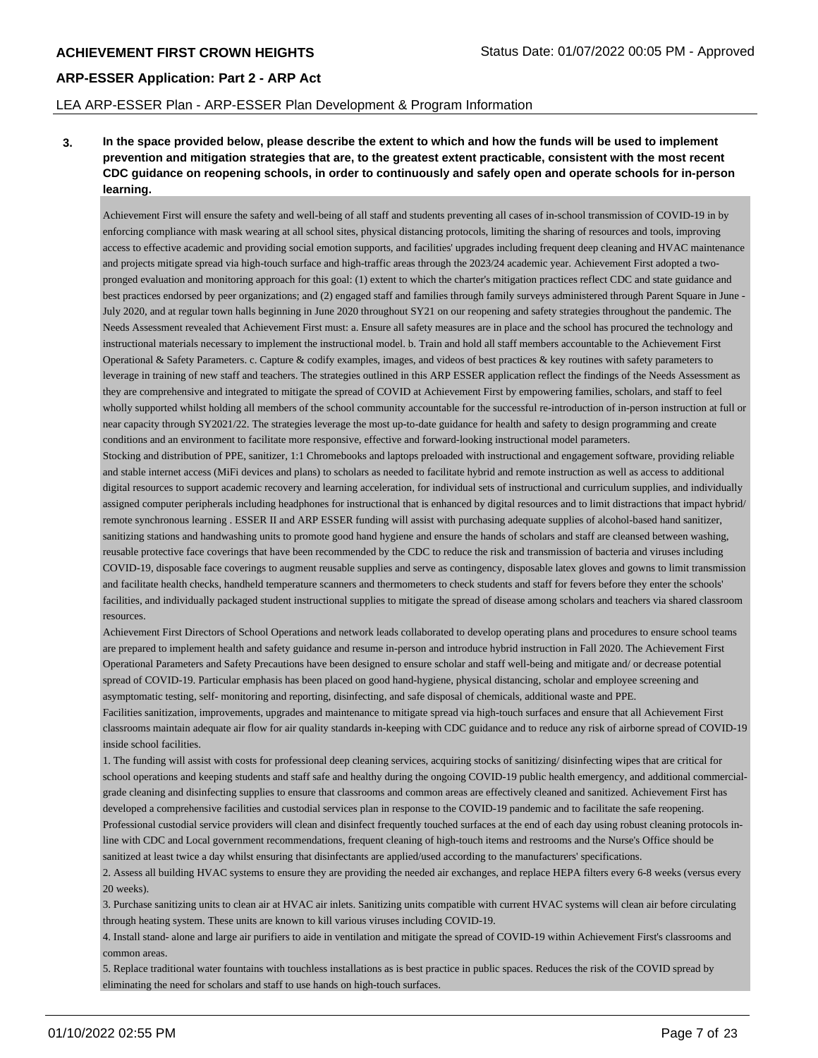#### LEA ARP-ESSER Plan - ARP-ESSER Plan Development & Program Information

**3. In the space provided below, please describe the extent to which and how the funds will be used to implement prevention and mitigation strategies that are, to the greatest extent practicable, consistent with the most recent CDC guidance on reopening schools, in order to continuously and safely open and operate schools for in-person learning.**

Achievement First will ensure the safety and well-being of all staff and students preventing all cases of in-school transmission of COVID-19 in by enforcing compliance with mask wearing at all school sites, physical distancing protocols, limiting the sharing of resources and tools, improving access to effective academic and providing social emotion supports, and facilities' upgrades including frequent deep cleaning and HVAC maintenance and projects mitigate spread via high-touch surface and high-traffic areas through the 2023/24 academic year. Achievement First adopted a twopronged evaluation and monitoring approach for this goal: (1) extent to which the charter's mitigation practices reflect CDC and state guidance and best practices endorsed by peer organizations; and (2) engaged staff and families through family surveys administered through Parent Square in June - July 2020, and at regular town halls beginning in June 2020 throughout SY21 on our reopening and safety strategies throughout the pandemic. The Needs Assessment revealed that Achievement First must: a. Ensure all safety measures are in place and the school has procured the technology and instructional materials necessary to implement the instructional model. b. Train and hold all staff members accountable to the Achievement First Operational & Safety Parameters. c. Capture & codify examples, images, and videos of best practices & key routines with safety parameters to leverage in training of new staff and teachers. The strategies outlined in this ARP ESSER application reflect the findings of the Needs Assessment as they are comprehensive and integrated to mitigate the spread of COVID at Achievement First by empowering families, scholars, and staff to feel wholly supported whilst holding all members of the school community accountable for the successful re-introduction of in-person instruction at full or near capacity through SY2021/22. The strategies leverage the most up-to-date guidance for health and safety to design programming and create conditions and an environment to facilitate more responsive, effective and forward-looking instructional model parameters.

Stocking and distribution of PPE, sanitizer, 1:1 Chromebooks and laptops preloaded with instructional and engagement software, providing reliable and stable internet access (MiFi devices and plans) to scholars as needed to facilitate hybrid and remote instruction as well as access to additional digital resources to support academic recovery and learning acceleration, for individual sets of instructional and curriculum supplies, and individually assigned computer peripherals including headphones for instructional that is enhanced by digital resources and to limit distractions that impact hybrid/ remote synchronous learning . ESSER II and ARP ESSER funding will assist with purchasing adequate supplies of alcohol-based hand sanitizer, sanitizing stations and handwashing units to promote good hand hygiene and ensure the hands of scholars and staff are cleansed between washing, reusable protective face coverings that have been recommended by the CDC to reduce the risk and transmission of bacteria and viruses including COVID-19, disposable face coverings to augment reusable supplies and serve as contingency, disposable latex gloves and gowns to limit transmission and facilitate health checks, handheld temperature scanners and thermometers to check students and staff for fevers before they enter the schools' facilities, and individually packaged student instructional supplies to mitigate the spread of disease among scholars and teachers via shared classroom resources.

Achievement First Directors of School Operations and network leads collaborated to develop operating plans and procedures to ensure school teams are prepared to implement health and safety guidance and resume in-person and introduce hybrid instruction in Fall 2020. The Achievement First Operational Parameters and Safety Precautions have been designed to ensure scholar and staff well-being and mitigate and/ or decrease potential spread of COVID-19. Particular emphasis has been placed on good hand-hygiene, physical distancing, scholar and employee screening and asymptomatic testing, self- monitoring and reporting, disinfecting, and safe disposal of chemicals, additional waste and PPE.

Facilities sanitization, improvements, upgrades and maintenance to mitigate spread via high-touch surfaces and ensure that all Achievement First classrooms maintain adequate air flow for air quality standards in-keeping with CDC guidance and to reduce any risk of airborne spread of COVID-19 inside school facilities.

1. The funding will assist with costs for professional deep cleaning services, acquiring stocks of sanitizing/ disinfecting wipes that are critical for school operations and keeping students and staff safe and healthy during the ongoing COVID-19 public health emergency, and additional commercialgrade cleaning and disinfecting supplies to ensure that classrooms and common areas are effectively cleaned and sanitized. Achievement First has developed a comprehensive facilities and custodial services plan in response to the COVID-19 pandemic and to facilitate the safe reopening. Professional custodial service providers will clean and disinfect frequently touched surfaces at the end of each day using robust cleaning protocols inline with CDC and Local government recommendations, frequent cleaning of high-touch items and restrooms and the Nurse's Office should be sanitized at least twice a day whilst ensuring that disinfectants are applied/used according to the manufacturers' specifications.

2. Assess all building HVAC systems to ensure they are providing the needed air exchanges, and replace HEPA filters every 6-8 weeks (versus every 20 weeks).

3. Purchase sanitizing units to clean air at HVAC air inlets. Sanitizing units compatible with current HVAC systems will clean air before circulating through heating system. These units are known to kill various viruses including COVID-19.

4. Install stand- alone and large air purifiers to aide in ventilation and mitigate the spread of COVID-19 within Achievement First's classrooms and common areas.

5. Replace traditional water fountains with touchless installations as is best practice in public spaces. Reduces the risk of the COVID spread by eliminating the need for scholars and staff to use hands on high-touch surfaces.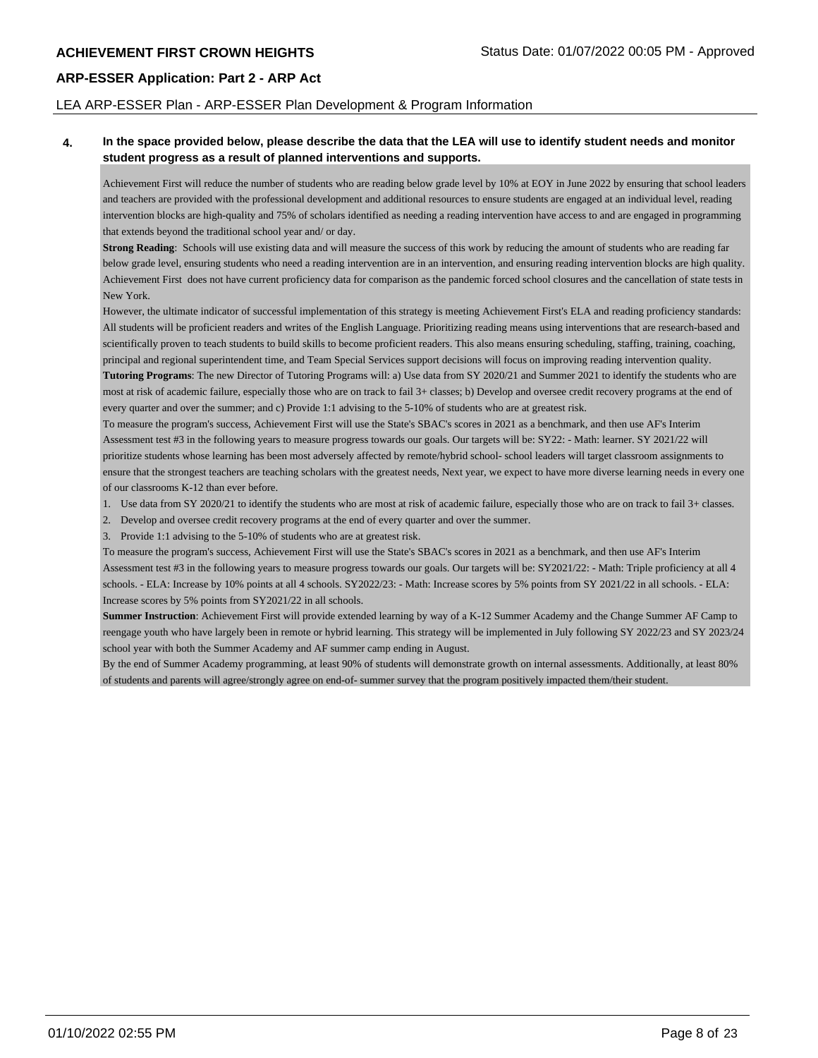#### LEA ARP-ESSER Plan - ARP-ESSER Plan Development & Program Information

#### **4. In the space provided below, please describe the data that the LEA will use to identify student needs and monitor student progress as a result of planned interventions and supports.**

Achievement First will reduce the number of students who are reading below grade level by 10% at EOY in June 2022 by ensuring that school leaders and teachers are provided with the professional development and additional resources to ensure students are engaged at an individual level, reading intervention blocks are high-quality and 75% of scholars identified as needing a reading intervention have access to and are engaged in programming that extends beyond the traditional school year and/ or day.

**Strong Reading**: Schools will use existing data and will measure the success of this work by reducing the amount of students who are reading far below grade level, ensuring students who need a reading intervention are in an intervention, and ensuring reading intervention blocks are high quality. Achievement First does not have current proficiency data for comparison as the pandemic forced school closures and the cancellation of state tests in New York.

However, the ultimate indicator of successful implementation of this strategy is meeting Achievement First's ELA and reading proficiency standards: All students will be proficient readers and writes of the English Language. Prioritizing reading means using interventions that are research-based and scientifically proven to teach students to build skills to become proficient readers. This also means ensuring scheduling, staffing, training, coaching, principal and regional superintendent time, and Team Special Services support decisions will focus on improving reading intervention quality. **Tutoring Programs**: The new Director of Tutoring Programs will: a) Use data from SY 2020/21 and Summer 2021 to identify the students who are

most at risk of academic failure, especially those who are on track to fail 3+ classes; b) Develop and oversee credit recovery programs at the end of every quarter and over the summer; and c) Provide 1:1 advising to the 5-10% of students who are at greatest risk.

To measure the program's success, Achievement First will use the State's SBAC's scores in 2021 as a benchmark, and then use AF's Interim Assessment test #3 in the following years to measure progress towards our goals. Our targets will be: SY22: - Math: learner. SY 2021/22 will prioritize students whose learning has been most adversely affected by remote/hybrid school- school leaders will target classroom assignments to ensure that the strongest teachers are teaching scholars with the greatest needs, Next year, we expect to have more diverse learning needs in every one of our classrooms K-12 than ever before.

- 1. Use data from SY 2020/21 to identify the students who are most at risk of academic failure, especially those who are on track to fail 3+ classes.
- 2. Develop and oversee credit recovery programs at the end of every quarter and over the summer.

3. Provide 1:1 advising to the 5-10% of students who are at greatest risk.

To measure the program's success, Achievement First will use the State's SBAC's scores in 2021 as a benchmark, and then use AF's Interim Assessment test #3 in the following years to measure progress towards our goals. Our targets will be: SY2021/22: - Math: Triple proficiency at all 4 schools. - ELA: Increase by 10% points at all 4 schools. SY2022/23: - Math: Increase scores by 5% points from SY 2021/22 in all schools. - ELA: Increase scores by 5% points from SY2021/22 in all schools.

**Summer Instruction**: Achievement First will provide extended learning by way of a K-12 Summer Academy and the Change Summer AF Camp to reengage youth who have largely been in remote or hybrid learning. This strategy will be implemented in July following SY 2022/23 and SY 2023/24 school year with both the Summer Academy and AF summer camp ending in August.

By the end of Summer Academy programming, at least 90% of students will demonstrate growth on internal assessments. Additionally, at least 80% of students and parents will agree/strongly agree on end-of- summer survey that the program positively impacted them/their student.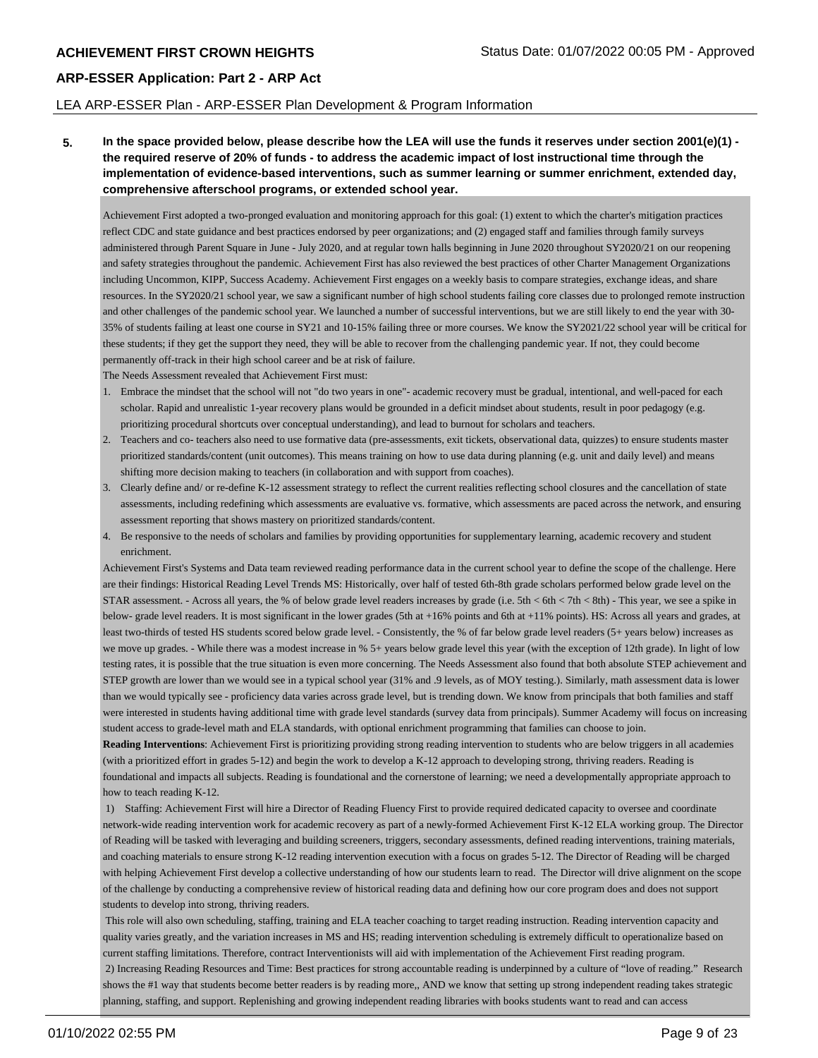#### LEA ARP-ESSER Plan - ARP-ESSER Plan Development & Program Information

**5. In the space provided below, please describe how the LEA will use the funds it reserves under section 2001(e)(1) the required reserve of 20% of funds - to address the academic impact of lost instructional time through the implementation of evidence-based interventions, such as summer learning or summer enrichment, extended day, comprehensive afterschool programs, or extended school year.**

Achievement First adopted a two-pronged evaluation and monitoring approach for this goal: (1) extent to which the charter's mitigation practices reflect CDC and state guidance and best practices endorsed by peer organizations; and (2) engaged staff and families through family surveys administered through Parent Square in June - July 2020, and at regular town halls beginning in June 2020 throughout SY2020/21 on our reopening and safety strategies throughout the pandemic. Achievement First has also reviewed the best practices of other Charter Management Organizations including Uncommon, KIPP, Success Academy. Achievement First engages on a weekly basis to compare strategies, exchange ideas, and share resources. In the SY2020/21 school year, we saw a significant number of high school students failing core classes due to prolonged remote instruction and other challenges of the pandemic school year. We launched a number of successful interventions, but we are still likely to end the year with 30- 35% of students failing at least one course in SY21 and 10-15% failing three or more courses. We know the SY2021/22 school year will be critical for these students; if they get the support they need, they will be able to recover from the challenging pandemic year. If not, they could become permanently off-track in their high school career and be at risk of failure.

The Needs Assessment revealed that Achievement First must:

- 1. Embrace the mindset that the school will not "do two years in one"- academic recovery must be gradual, intentional, and well-paced for each scholar. Rapid and unrealistic 1-year recovery plans would be grounded in a deficit mindset about students, result in poor pedagogy (e.g. prioritizing procedural shortcuts over conceptual understanding), and lead to burnout for scholars and teachers.
- 2. Teachers and co- teachers also need to use formative data (pre-assessments, exit tickets, observational data, quizzes) to ensure students master prioritized standards/content (unit outcomes). This means training on how to use data during planning (e.g. unit and daily level) and means shifting more decision making to teachers (in collaboration and with support from coaches).
- 3. Clearly define and/ or re-define K-12 assessment strategy to reflect the current realities reflecting school closures and the cancellation of state assessments, including redefining which assessments are evaluative vs. formative, which assessments are paced across the network, and ensuring assessment reporting that shows mastery on prioritized standards/content.
- 4. Be responsive to the needs of scholars and families by providing opportunities for supplementary learning, academic recovery and student enrichment.

Achievement First's Systems and Data team reviewed reading performance data in the current school year to define the scope of the challenge. Here are their findings: Historical Reading Level Trends MS: Historically, over half of tested 6th-8th grade scholars performed below grade level on the STAR assessment. - Across all years, the % of below grade level readers increases by grade (i.e. 5th < 6th < 7th < 8th) - This year, we see a spike in below- grade level readers. It is most significant in the lower grades (5th at +16% points and 6th at +11% points). HS: Across all years and grades, at least two-thirds of tested HS students scored below grade level. - Consistently, the % of far below grade level readers (5+ years below) increases as we move up grades. - While there was a modest increase in % 5+ years below grade level this year (with the exception of 12th grade). In light of low testing rates, it is possible that the true situation is even more concerning. The Needs Assessment also found that both absolute STEP achievement and STEP growth are lower than we would see in a typical school year (31% and .9 levels, as of MOY testing.). Similarly, math assessment data is lower than we would typically see - proficiency data varies across grade level, but is trending down. We know from principals that both families and staff were interested in students having additional time with grade level standards (survey data from principals). Summer Academy will focus on increasing student access to grade-level math and ELA standards, with optional enrichment programming that families can choose to join.

**Reading Interventions**: Achievement First is prioritizing providing strong reading intervention to students who are below triggers in all academies (with a prioritized effort in grades 5-12) and begin the work to develop a K-12 approach to developing strong, thriving readers. Reading is foundational and impacts all subjects. Reading is foundational and the cornerstone of learning; we need a developmentally appropriate approach to how to teach reading K-12.

 1) Staffing: Achievement First will hire a Director of Reading Fluency First to provide required dedicated capacity to oversee and coordinate network-wide reading intervention work for academic recovery as part of a newly-formed Achievement First K-12 ELA working group. The Director of Reading will be tasked with leveraging and building screeners, triggers, secondary assessments, defined reading interventions, training materials, and coaching materials to ensure strong K-12 reading intervention execution with a focus on grades 5-12. The Director of Reading will be charged with helping Achievement First develop a collective understanding of how our students learn to read. The Director will drive alignment on the scope of the challenge by conducting a comprehensive review of historical reading data and defining how our core program does and does not support students to develop into strong, thriving readers.

 This role will also own scheduling, staffing, training and ELA teacher coaching to target reading instruction. Reading intervention capacity and quality varies greatly, and the variation increases in MS and HS; reading intervention scheduling is extremely difficult to operationalize based on current staffing limitations. Therefore, contract Interventionists will aid with implementation of the Achievement First reading program. 2) Increasing Reading Resources and Time: Best practices for strong accountable reading is underpinned by a culture of "love of reading." Research shows the #1 way that students become better readers is by reading more,, AND we know that setting up strong independent reading takes strategic planning, staffing, and support. Replenishing and growing independent reading libraries with books students want to read and can access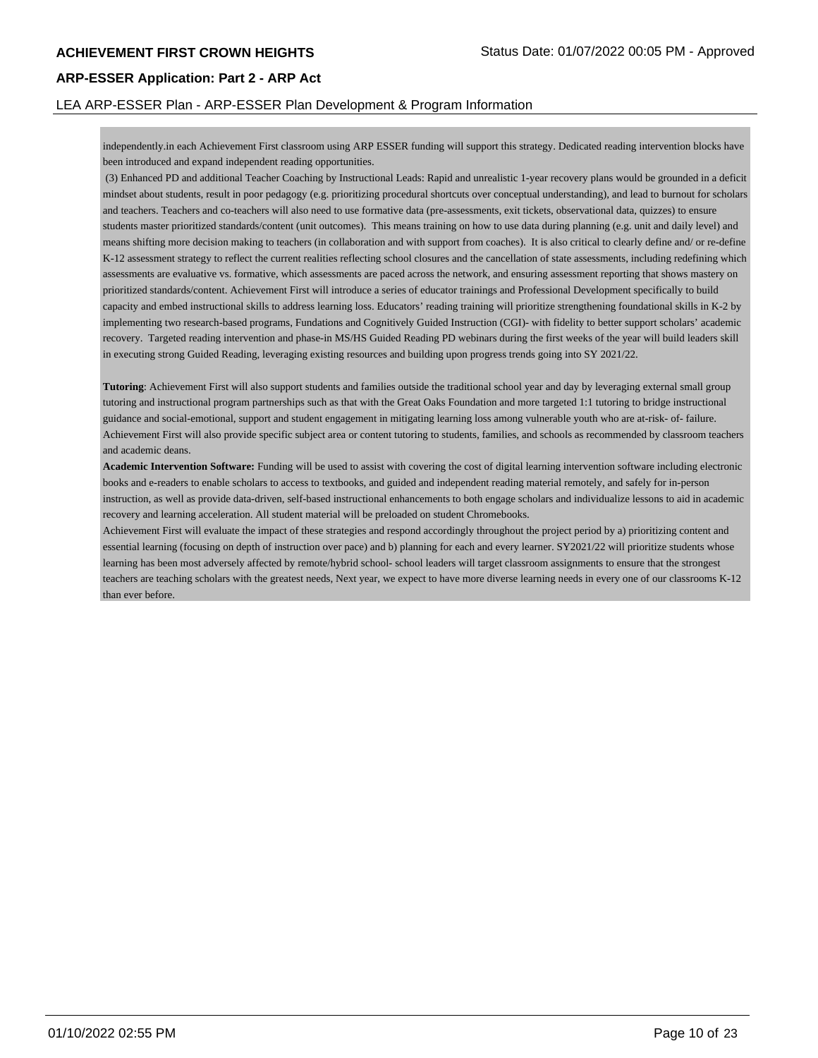#### LEA ARP-ESSER Plan - ARP-ESSER Plan Development & Program Information

independently.in each Achievement First classroom using ARP ESSER funding will support this strategy. Dedicated reading intervention blocks have been introduced and expand independent reading opportunities.

 (3) Enhanced PD and additional Teacher Coaching by Instructional Leads: Rapid and unrealistic 1-year recovery plans would be grounded in a deficit mindset about students, result in poor pedagogy (e.g. prioritizing procedural shortcuts over conceptual understanding), and lead to burnout for scholars and teachers. Teachers and co-teachers will also need to use formative data (pre-assessments, exit tickets, observational data, quizzes) to ensure students master prioritized standards/content (unit outcomes). This means training on how to use data during planning (e.g. unit and daily level) and means shifting more decision making to teachers (in collaboration and with support from coaches). It is also critical to clearly define and/ or re-define K-12 assessment strategy to reflect the current realities reflecting school closures and the cancellation of state assessments, including redefining which assessments are evaluative vs. formative, which assessments are paced across the network, and ensuring assessment reporting that shows mastery on prioritized standards/content. Achievement First will introduce a series of educator trainings and Professional Development specifically to build capacity and embed instructional skills to address learning loss. Educators' reading training will prioritize strengthening foundational skills in K-2 by implementing two research-based programs, Fundations and Cognitively Guided Instruction (CGI)- with fidelity to better support scholars' academic recovery. Targeted reading intervention and phase-in MS/HS Guided Reading PD webinars during the first weeks of the year will build leaders skill in executing strong Guided Reading, leveraging existing resources and building upon progress trends going into SY 2021/22.

**Tutoring**: Achievement First will also support students and families outside the traditional school year and day by leveraging external small group tutoring and instructional program partnerships such as that with the Great Oaks Foundation and more targeted 1:1 tutoring to bridge instructional guidance and social-emotional, support and student engagement in mitigating learning loss among vulnerable youth who are at-risk- of- failure. Achievement First will also provide specific subject area or content tutoring to students, families, and schools as recommended by classroom teachers and academic deans.

**Academic Intervention Software:** Funding will be used to assist with covering the cost of digital learning intervention software including electronic books and e-readers to enable scholars to access to textbooks, and guided and independent reading material remotely, and safely for in-person instruction, as well as provide data-driven, self-based instructional enhancements to both engage scholars and individualize lessons to aid in academic recovery and learning acceleration. All student material will be preloaded on student Chromebooks.

Achievement First will evaluate the impact of these strategies and respond accordingly throughout the project period by a) prioritizing content and essential learning (focusing on depth of instruction over pace) and b) planning for each and every learner. SY2021/22 will prioritize students whose learning has been most adversely affected by remote/hybrid school- school leaders will target classroom assignments to ensure that the strongest teachers are teaching scholars with the greatest needs, Next year, we expect to have more diverse learning needs in every one of our classrooms K-12 than ever before.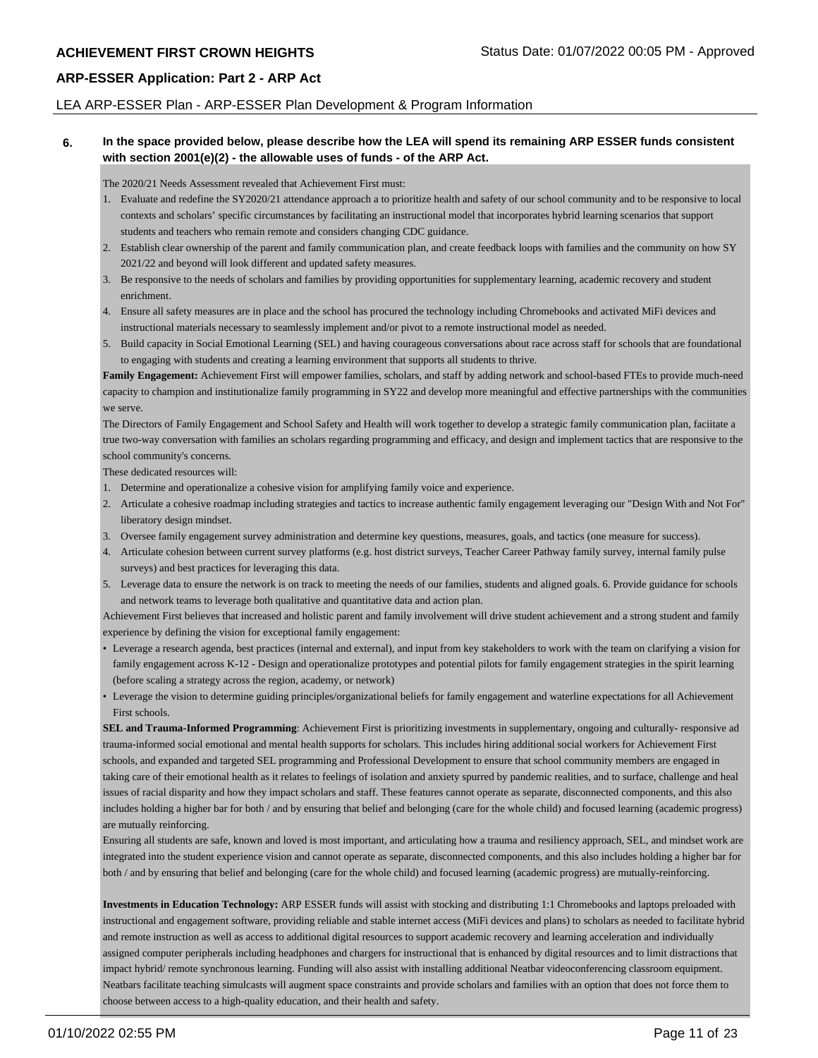#### LEA ARP-ESSER Plan - ARP-ESSER Plan Development & Program Information

#### **6. In the space provided below, please describe how the LEA will spend its remaining ARP ESSER funds consistent with section 2001(e)(2) - the allowable uses of funds - of the ARP Act.**

The 2020/21 Needs Assessment revealed that Achievement First must:

- 1. Evaluate and redefine the SY2020/21 attendance approach a to prioritize health and safety of our school community and to be responsive to local contexts and scholars' specific circumstances by facilitating an instructional model that incorporates hybrid learning scenarios that support students and teachers who remain remote and considers changing CDC guidance.
- 2. Establish clear ownership of the parent and family communication plan, and create feedback loops with families and the community on how SY 2021/22 and beyond will look different and updated safety measures.
- 3. Be responsive to the needs of scholars and families by providing opportunities for supplementary learning, academic recovery and student enrichment.
- 4. Ensure all safety measures are in place and the school has procured the technology including Chromebooks and activated MiFi devices and instructional materials necessary to seamlessly implement and/or pivot to a remote instructional model as needed.
- 5. Build capacity in Social Emotional Learning (SEL) and having courageous conversations about race across staff for schools that are foundational to engaging with students and creating a learning environment that supports all students to thrive.

Family Engagement: Achievement First will empower families, scholars, and staff by adding network and school-based FTEs to provide much-need capacity to champion and institutionalize family programming in SY22 and develop more meaningful and effective partnerships with the communities we serve.

The Directors of Family Engagement and School Safety and Health will work together to develop a strategic family communication plan, faciitate a true two-way conversation with families an scholars regarding programming and efficacy, and design and implement tactics that are responsive to the school community's concerns.

These dedicated resources will:

- 1. Determine and operationalize a cohesive vision for amplifying family voice and experience.
- 2. Articulate a cohesive roadmap including strategies and tactics to increase authentic family engagement leveraging our "Design With and Not For" liberatory design mindset.
- 3. Oversee family engagement survey administration and determine key questions, measures, goals, and tactics (one measure for success).
- 4. Articulate cohesion between current survey platforms (e.g. host district surveys, Teacher Career Pathway family survey, internal family pulse surveys) and best practices for leveraging this data.
- 5. Leverage data to ensure the network is on track to meeting the needs of our families, students and aligned goals. 6. Provide guidance for schools and network teams to leverage both qualitative and quantitative data and action plan.

Achievement First believes that increased and holistic parent and family involvement will drive student achievement and a strong student and family experience by defining the vision for exceptional family engagement:

- Leverage a research agenda, best practices (internal and external), and input from key stakeholders to work with the team on clarifying a vision for family engagement across K-12 - Design and operationalize prototypes and potential pilots for family engagement strategies in the spirit learning (before scaling a strategy across the region, academy, or network)
- Leverage the vision to determine guiding principles/organizational beliefs for family engagement and waterline expectations for all Achievement First schools.

**SEL and Trauma-Informed Programming**: Achievement First is prioritizing investments in supplementary, ongoing and culturally- responsive ad trauma-informed social emotional and mental health supports for scholars. This includes hiring additional social workers for Achievement First schools, and expanded and targeted SEL programming and Professional Development to ensure that school community members are engaged in taking care of their emotional health as it relates to feelings of isolation and anxiety spurred by pandemic realities, and to surface, challenge and heal issues of racial disparity and how they impact scholars and staff. These features cannot operate as separate, disconnected components, and this also includes holding a higher bar for both / and by ensuring that belief and belonging (care for the whole child) and focused learning (academic progress) are mutually reinforcing.

Ensuring all students are safe, known and loved is most important, and articulating how a trauma and resiliency approach, SEL, and mindset work are integrated into the student experience vision and cannot operate as separate, disconnected components, and this also includes holding a higher bar for both / and by ensuring that belief and belonging (care for the whole child) and focused learning (academic progress) are mutually-reinforcing.

**Investments in Education Technology:** ARP ESSER funds will assist with stocking and distributing 1:1 Chromebooks and laptops preloaded with instructional and engagement software, providing reliable and stable internet access (MiFi devices and plans) to scholars as needed to facilitate hybrid and remote instruction as well as access to additional digital resources to support academic recovery and learning acceleration and individually assigned computer peripherals including headphones and chargers for instructional that is enhanced by digital resources and to limit distractions that impact hybrid/ remote synchronous learning. Funding will also assist with installing additional Neatbar videoconferencing classroom equipment. Neatbars facilitate teaching simulcasts will augment space constraints and provide scholars and families with an option that does not force them to choose between access to a high-quality education, and their health and safety.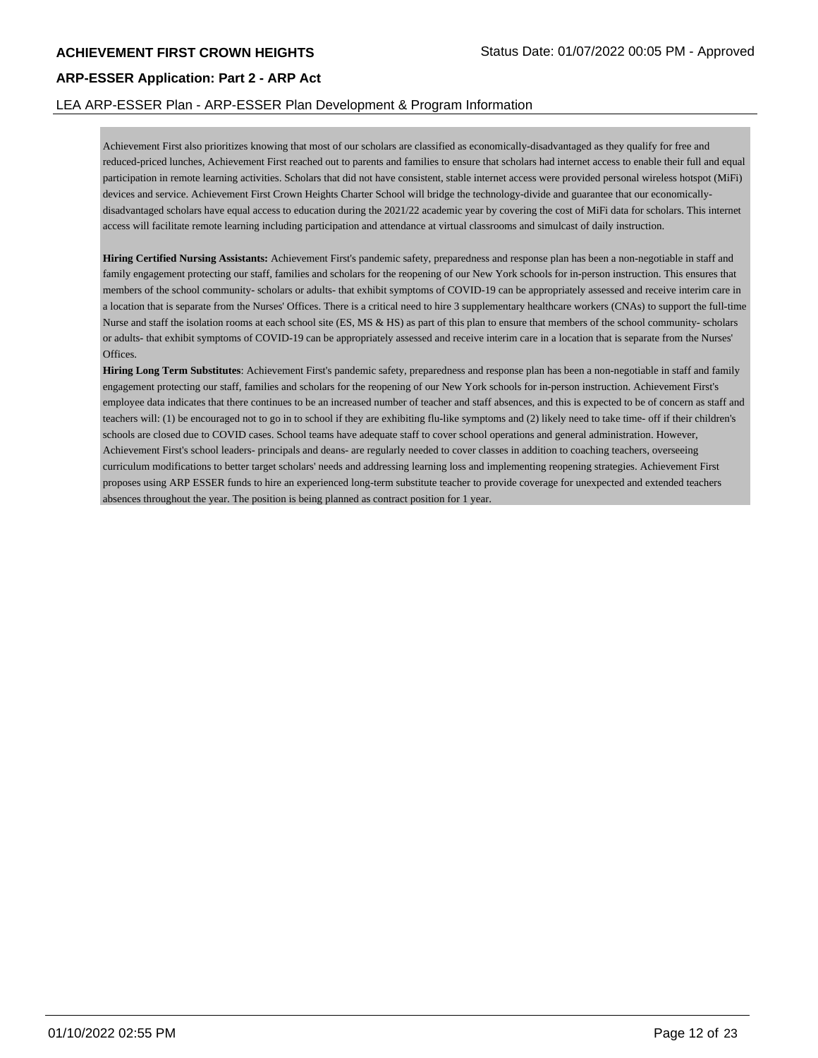#### LEA ARP-ESSER Plan - ARP-ESSER Plan Development & Program Information

Achievement First also prioritizes knowing that most of our scholars are classified as economically-disadvantaged as they qualify for free and reduced-priced lunches, Achievement First reached out to parents and families to ensure that scholars had internet access to enable their full and equal participation in remote learning activities. Scholars that did not have consistent, stable internet access were provided personal wireless hotspot (MiFi) devices and service. Achievement First Crown Heights Charter School will bridge the technology-divide and guarantee that our economicallydisadvantaged scholars have equal access to education during the 2021/22 academic year by covering the cost of MiFi data for scholars. This internet access will facilitate remote learning including participation and attendance at virtual classrooms and simulcast of daily instruction.

**Hiring Certified Nursing Assistants:** Achievement First's pandemic safety, preparedness and response plan has been a non-negotiable in staff and family engagement protecting our staff, families and scholars for the reopening of our New York schools for in-person instruction. This ensures that members of the school community- scholars or adults- that exhibit symptoms of COVID-19 can be appropriately assessed and receive interim care in a location that is separate from the Nurses' Offices. There is a critical need to hire 3 supplementary healthcare workers (CNAs) to support the full-time Nurse and staff the isolation rooms at each school site (ES, MS & HS) as part of this plan to ensure that members of the school community- scholars or adults- that exhibit symptoms of COVID-19 can be appropriately assessed and receive interim care in a location that is separate from the Nurses' Offices.

**Hiring Long Term Substitutes**: Achievement First's pandemic safety, preparedness and response plan has been a non-negotiable in staff and family engagement protecting our staff, families and scholars for the reopening of our New York schools for in-person instruction. Achievement First's employee data indicates that there continues to be an increased number of teacher and staff absences, and this is expected to be of concern as staff and teachers will: (1) be encouraged not to go in to school if they are exhibiting flu-like symptoms and (2) likely need to take time- off if their children's schools are closed due to COVID cases. School teams have adequate staff to cover school operations and general administration. However, Achievement First's school leaders- principals and deans- are regularly needed to cover classes in addition to coaching teachers, overseeing curriculum modifications to better target scholars' needs and addressing learning loss and implementing reopening strategies. Achievement First proposes using ARP ESSER funds to hire an experienced long-term substitute teacher to provide coverage for unexpected and extended teachers absences throughout the year. The position is being planned as contract position for 1 year.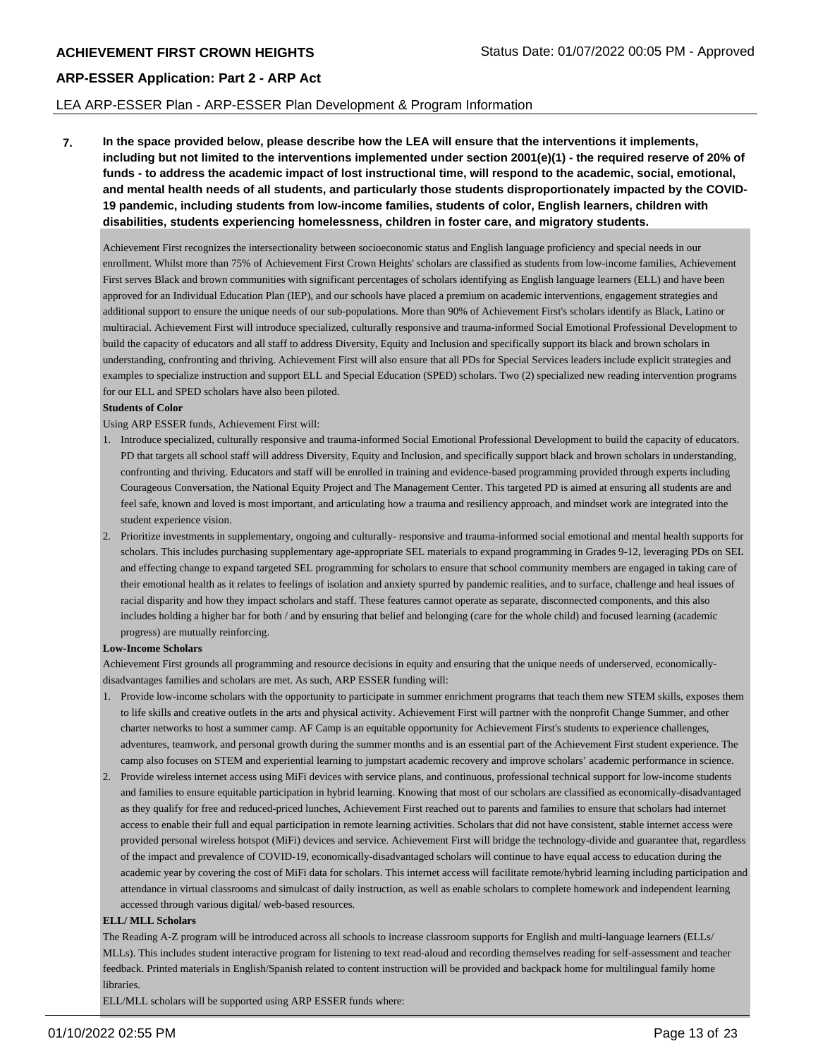#### LEA ARP-ESSER Plan - ARP-ESSER Plan Development & Program Information

**7. In the space provided below, please describe how the LEA will ensure that the interventions it implements, including but not limited to the interventions implemented under section 2001(e)(1) - the required reserve of 20% of funds - to address the academic impact of lost instructional time, will respond to the academic, social, emotional, and mental health needs of all students, and particularly those students disproportionately impacted by the COVID-19 pandemic, including students from low-income families, students of color, English learners, children with disabilities, students experiencing homelessness, children in foster care, and migratory students.**

Achievement First recognizes the intersectionality between socioeconomic status and English language proficiency and special needs in our enrollment. Whilst more than 75% of Achievement First Crown Heights' scholars are classified as students from low-income families, Achievement First serves Black and brown communities with significant percentages of scholars identifying as English language learners (ELL) and have been approved for an Individual Education Plan (IEP), and our schools have placed a premium on academic interventions, engagement strategies and additional support to ensure the unique needs of our sub-populations. More than 90% of Achievement First's scholars identify as Black, Latino or multiracial. Achievement First will introduce specialized, culturally responsive and trauma-informed Social Emotional Professional Development to build the capacity of educators and all staff to address Diversity, Equity and Inclusion and specifically support its black and brown scholars in understanding, confronting and thriving. Achievement First will also ensure that all PDs for Special Services leaders include explicit strategies and examples to specialize instruction and support ELL and Special Education (SPED) scholars. Two (2) specialized new reading intervention programs for our ELL and SPED scholars have also been piloted.

#### **Students of Color**

Using ARP ESSER funds, Achievement First will:

- 1. Introduce specialized, culturally responsive and trauma-informed Social Emotional Professional Development to build the capacity of educators. PD that targets all school staff will address Diversity, Equity and Inclusion, and specifically support black and brown scholars in understanding, confronting and thriving. Educators and staff will be enrolled in training and evidence-based programming provided through experts including Courageous Conversation, the National Equity Project and The Management Center. This targeted PD is aimed at ensuring all students are and feel safe, known and loved is most important, and articulating how a trauma and resiliency approach, and mindset work are integrated into the student experience vision.
- 2. Prioritize investments in supplementary, ongoing and culturally- responsive and trauma-informed social emotional and mental health supports for scholars. This includes purchasing supplementary age-appropriate SEL materials to expand programming in Grades 9-12, leveraging PDs on SEL and effecting change to expand targeted SEL programming for scholars to ensure that school community members are engaged in taking care of their emotional health as it relates to feelings of isolation and anxiety spurred by pandemic realities, and to surface, challenge and heal issues of racial disparity and how they impact scholars and staff. These features cannot operate as separate, disconnected components, and this also includes holding a higher bar for both / and by ensuring that belief and belonging (care for the whole child) and focused learning (academic progress) are mutually reinforcing.

#### **Low-Income Scholars**

Achievement First grounds all programming and resource decisions in equity and ensuring that the unique needs of underserved, economicallydisadvantages families and scholars are met. As such, ARP ESSER funding will:

- 1. Provide low-income scholars with the opportunity to participate in summer enrichment programs that teach them new STEM skills, exposes them to life skills and creative outlets in the arts and physical activity. Achievement First will partner with the nonprofit Change Summer, and other charter networks to host a summer camp. AF Camp is an equitable opportunity for Achievement First's students to experience challenges, adventures, teamwork, and personal growth during the summer months and is an essential part of the Achievement First student experience. The camp also focuses on STEM and experiential learning to jumpstart academic recovery and improve scholars' academic performance in science.
- 2. Provide wireless internet access using MiFi devices with service plans, and continuous, professional technical support for low-income students and families to ensure equitable participation in hybrid learning. Knowing that most of our scholars are classified as economically-disadvantaged as they qualify for free and reduced-priced lunches, Achievement First reached out to parents and families to ensure that scholars had internet access to enable their full and equal participation in remote learning activities. Scholars that did not have consistent, stable internet access were provided personal wireless hotspot (MiFi) devices and service. Achievement First will bridge the technology-divide and guarantee that, regardless of the impact and prevalence of COVID-19, economically-disadvantaged scholars will continue to have equal access to education during the academic year by covering the cost of MiFi data for scholars. This internet access will facilitate remote/hybrid learning including participation and attendance in virtual classrooms and simulcast of daily instruction, as well as enable scholars to complete homework and independent learning accessed through various digital/ web-based resources.

#### **ELL/ MLL Scholars**

The Reading A-Z program will be introduced across all schools to increase classroom supports for English and multi-language learners (ELLs/ MLLs). This includes student interactive program for listening to text read-aloud and recording themselves reading for self-assessment and teacher feedback. Printed materials in English/Spanish related to content instruction will be provided and backpack home for multilingual family home libraries.

ELL/MLL scholars will be supported using ARP ESSER funds where: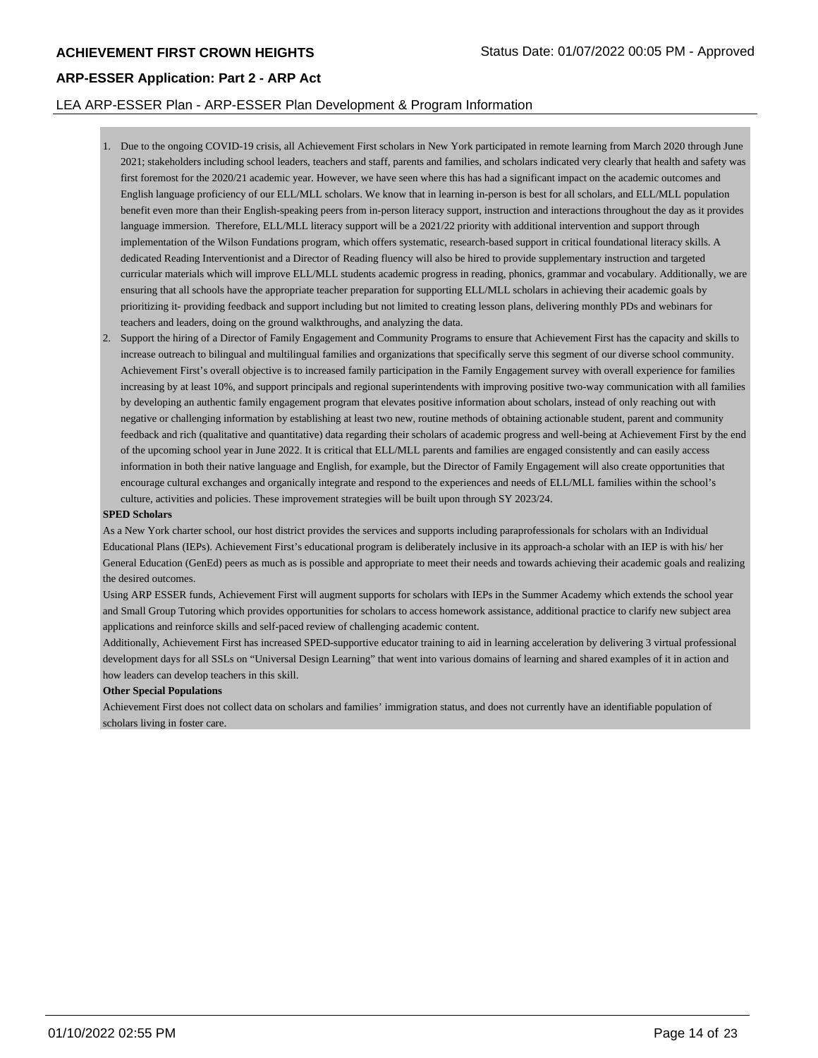#### LEA ARP-ESSER Plan - ARP-ESSER Plan Development & Program Information

- 1. Due to the ongoing COVID-19 crisis, all Achievement First scholars in New York participated in remote learning from March 2020 through June 2021; stakeholders including school leaders, teachers and staff, parents and families, and scholars indicated very clearly that health and safety was first foremost for the 2020/21 academic year. However, we have seen where this has had a significant impact on the academic outcomes and English language proficiency of our ELL/MLL scholars. We know that in learning in-person is best for all scholars, and ELL/MLL population benefit even more than their English-speaking peers from in-person literacy support, instruction and interactions throughout the day as it provides language immersion. Therefore, ELL/MLL literacy support will be a 2021/22 priority with additional intervention and support through implementation of the Wilson Fundations program, which offers systematic, research-based support in critical foundational literacy skills. A dedicated Reading Interventionist and a Director of Reading fluency will also be hired to provide supplementary instruction and targeted curricular materials which will improve ELL/MLL students academic progress in reading, phonics, grammar and vocabulary. Additionally, we are ensuring that all schools have the appropriate teacher preparation for supporting ELL/MLL scholars in achieving their academic goals by prioritizing it- providing feedback and support including but not limited to creating lesson plans, delivering monthly PDs and webinars for teachers and leaders, doing on the ground walkthroughs, and analyzing the data.
- 2. Support the hiring of a Director of Family Engagement and Community Programs to ensure that Achievement First has the capacity and skills to increase outreach to bilingual and multilingual families and organizations that specifically serve this segment of our diverse school community. Achievement First's overall objective is to increased family participation in the Family Engagement survey with overall experience for families increasing by at least 10%, and support principals and regional superintendents with improving positive two-way communication with all families by developing an authentic family engagement program that elevates positive information about scholars, instead of only reaching out with negative or challenging information by establishing at least two new, routine methods of obtaining actionable student, parent and community feedback and rich (qualitative and quantitative) data regarding their scholars of academic progress and well-being at Achievement First by the end of the upcoming school year in June 2022. It is critical that ELL/MLL parents and families are engaged consistently and can easily access information in both their native language and English, for example, but the Director of Family Engagement will also create opportunities that encourage cultural exchanges and organically integrate and respond to the experiences and needs of ELL/MLL families within the school's culture, activities and policies. These improvement strategies will be built upon through SY 2023/24.

#### **SPED Scholars**

As a New York charter school, our host district provides the services and supports including paraprofessionals for scholars with an Individual Educational Plans (IEPs). Achievement First's educational program is deliberately inclusive in its approach-a scholar with an IEP is with his/ her General Education (GenEd) peers as much as is possible and appropriate to meet their needs and towards achieving their academic goals and realizing the desired outcomes.

Using ARP ESSER funds, Achievement First will augment supports for scholars with IEPs in the Summer Academy which extends the school year and Small Group Tutoring which provides opportunities for scholars to access homework assistance, additional practice to clarify new subject area applications and reinforce skills and self-paced review of challenging academic content.

Additionally, Achievement First has increased SPED-supportive educator training to aid in learning acceleration by delivering 3 virtual professional development days for all SSLs on "Universal Design Learning" that went into various domains of learning and shared examples of it in action and how leaders can develop teachers in this skill.

#### **Other Special Populations**

Achievement First does not collect data on scholars and families' immigration status, and does not currently have an identifiable population of scholars living in foster care.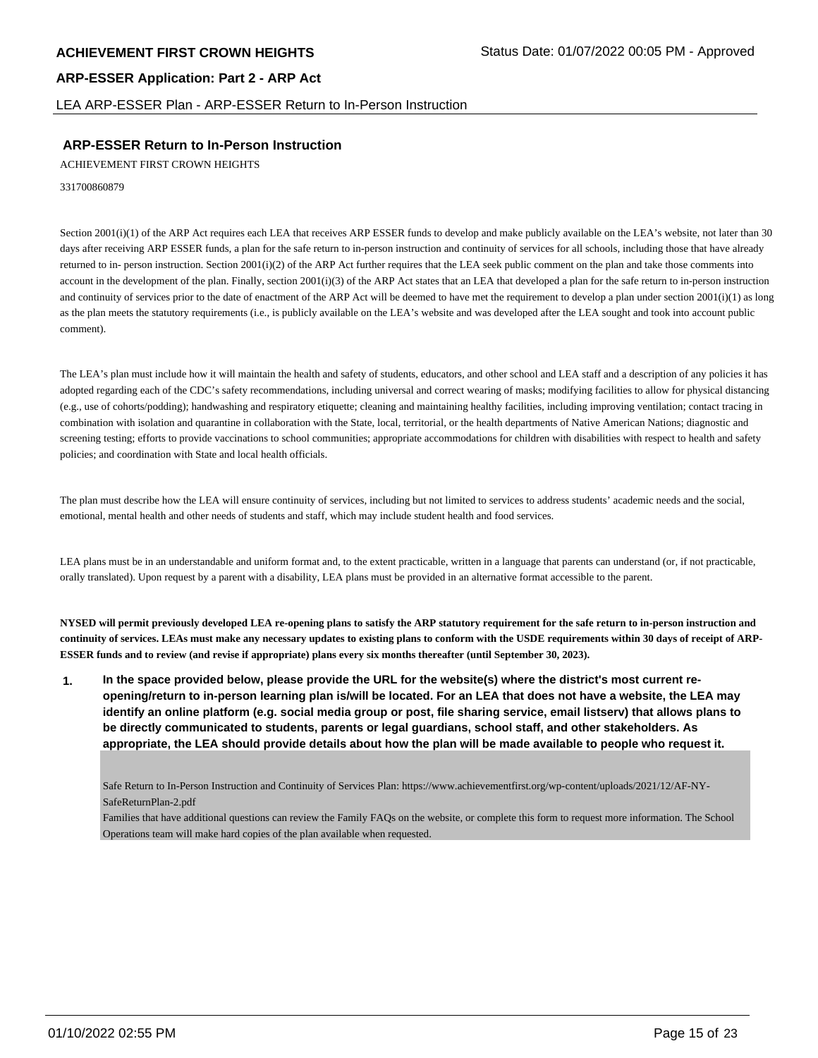LEA ARP-ESSER Plan - ARP-ESSER Return to In-Person Instruction

## **ARP-ESSER Return to In-Person Instruction**

ACHIEVEMENT FIRST CROWN HEIGHTS

331700860879

Section 2001(i)(1) of the ARP Act requires each LEA that receives ARP ESSER funds to develop and make publicly available on the LEA's website, not later than 30 days after receiving ARP ESSER funds, a plan for the safe return to in-person instruction and continuity of services for all schools, including those that have already returned to in- person instruction. Section 2001(i)(2) of the ARP Act further requires that the LEA seek public comment on the plan and take those comments into account in the development of the plan. Finally, section 2001(i)(3) of the ARP Act states that an LEA that developed a plan for the safe return to in-person instruction and continuity of services prior to the date of enactment of the ARP Act will be deemed to have met the requirement to develop a plan under section  $2001(i)(1)$  as long as the plan meets the statutory requirements (i.e., is publicly available on the LEA's website and was developed after the LEA sought and took into account public comment).

The LEA's plan must include how it will maintain the health and safety of students, educators, and other school and LEA staff and a description of any policies it has adopted regarding each of the CDC's safety recommendations, including universal and correct wearing of masks; modifying facilities to allow for physical distancing (e.g., use of cohorts/podding); handwashing and respiratory etiquette; cleaning and maintaining healthy facilities, including improving ventilation; contact tracing in combination with isolation and quarantine in collaboration with the State, local, territorial, or the health departments of Native American Nations; diagnostic and screening testing; efforts to provide vaccinations to school communities; appropriate accommodations for children with disabilities with respect to health and safety policies; and coordination with State and local health officials.

The plan must describe how the LEA will ensure continuity of services, including but not limited to services to address students' academic needs and the social, emotional, mental health and other needs of students and staff, which may include student health and food services.

LEA plans must be in an understandable and uniform format and, to the extent practicable, written in a language that parents can understand (or, if not practicable, orally translated). Upon request by a parent with a disability, LEA plans must be provided in an alternative format accessible to the parent.

**NYSED will permit previously developed LEA re-opening plans to satisfy the ARP statutory requirement for the safe return to in-person instruction and continuity of services. LEAs must make any necessary updates to existing plans to conform with the USDE requirements within 30 days of receipt of ARP-ESSER funds and to review (and revise if appropriate) plans every six months thereafter (until September 30, 2023).**

**1. In the space provided below, please provide the URL for the website(s) where the district's most current reopening/return to in-person learning plan is/will be located. For an LEA that does not have a website, the LEA may identify an online platform (e.g. social media group or post, file sharing service, email listserv) that allows plans to be directly communicated to students, parents or legal guardians, school staff, and other stakeholders. As appropriate, the LEA should provide details about how the plan will be made available to people who request it.**

Safe Return to In-Person Instruction and Continuity of Services Plan: https://www.achievementfirst.org/wp-content/uploads/2021/12/AF-NY-SafeReturnPlan-2.pdf

Families that have additional questions can review the Family FAQs on the website, or complete this form to request more information. The School Operations team will make hard copies of the plan available when requested.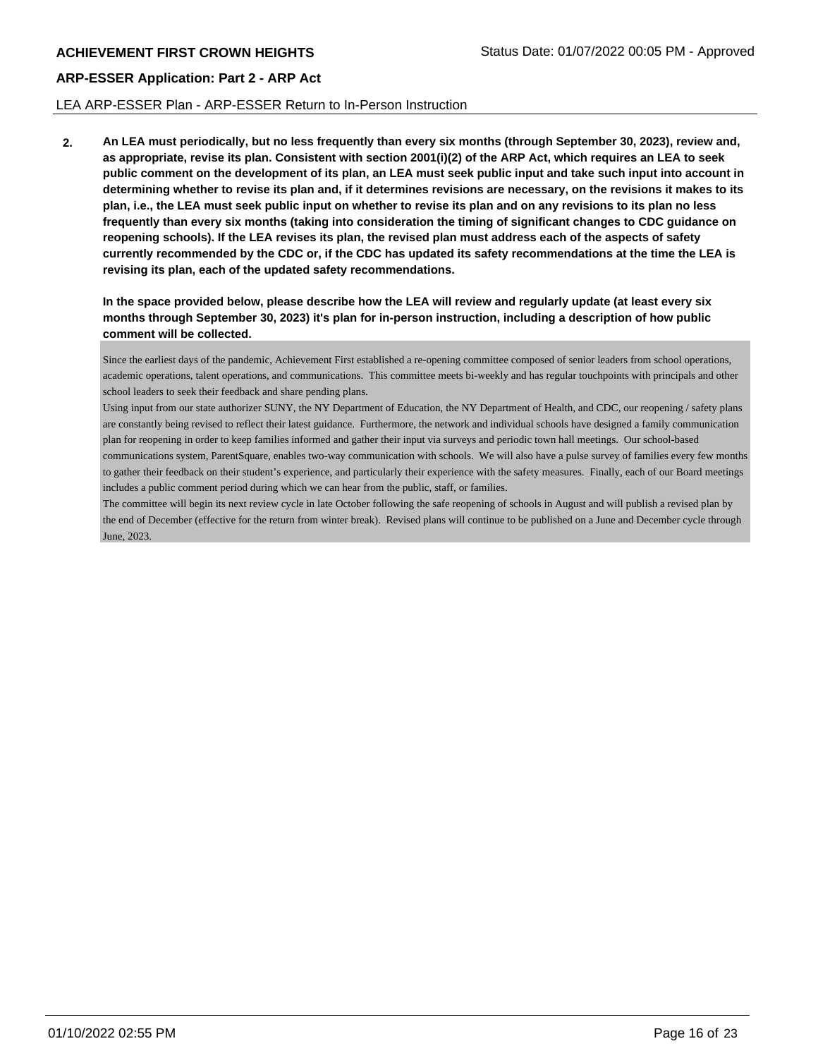#### LEA ARP-ESSER Plan - ARP-ESSER Return to In-Person Instruction

**2. An LEA must periodically, but no less frequently than every six months (through September 30, 2023), review and, as appropriate, revise its plan. Consistent with section 2001(i)(2) of the ARP Act, which requires an LEA to seek public comment on the development of its plan, an LEA must seek public input and take such input into account in determining whether to revise its plan and, if it determines revisions are necessary, on the revisions it makes to its plan, i.e., the LEA must seek public input on whether to revise its plan and on any revisions to its plan no less frequently than every six months (taking into consideration the timing of significant changes to CDC guidance on reopening schools). If the LEA revises its plan, the revised plan must address each of the aspects of safety currently recommended by the CDC or, if the CDC has updated its safety recommendations at the time the LEA is revising its plan, each of the updated safety recommendations.**

**In the space provided below, please describe how the LEA will review and regularly update (at least every six months through September 30, 2023) it's plan for in-person instruction, including a description of how public comment will be collected.**

Since the earliest days of the pandemic, Achievement First established a re-opening committee composed of senior leaders from school operations, academic operations, talent operations, and communications. This committee meets bi-weekly and has regular touchpoints with principals and other school leaders to seek their feedback and share pending plans.

Using input from our state authorizer SUNY, the NY Department of Education, the NY Department of Health, and CDC, our reopening / safety plans are constantly being revised to reflect their latest guidance. Furthermore, the network and individual schools have designed a family communication plan for reopening in order to keep families informed and gather their input via surveys and periodic town hall meetings. Our school-based communications system, ParentSquare, enables two-way communication with schools. We will also have a pulse survey of families every few months to gather their feedback on their student's experience, and particularly their experience with the safety measures. Finally, each of our Board meetings includes a public comment period during which we can hear from the public, staff, or families.

The committee will begin its next review cycle in late October following the safe reopening of schools in August and will publish a revised plan by the end of December (effective for the return from winter break). Revised plans will continue to be published on a June and December cycle through June, 2023.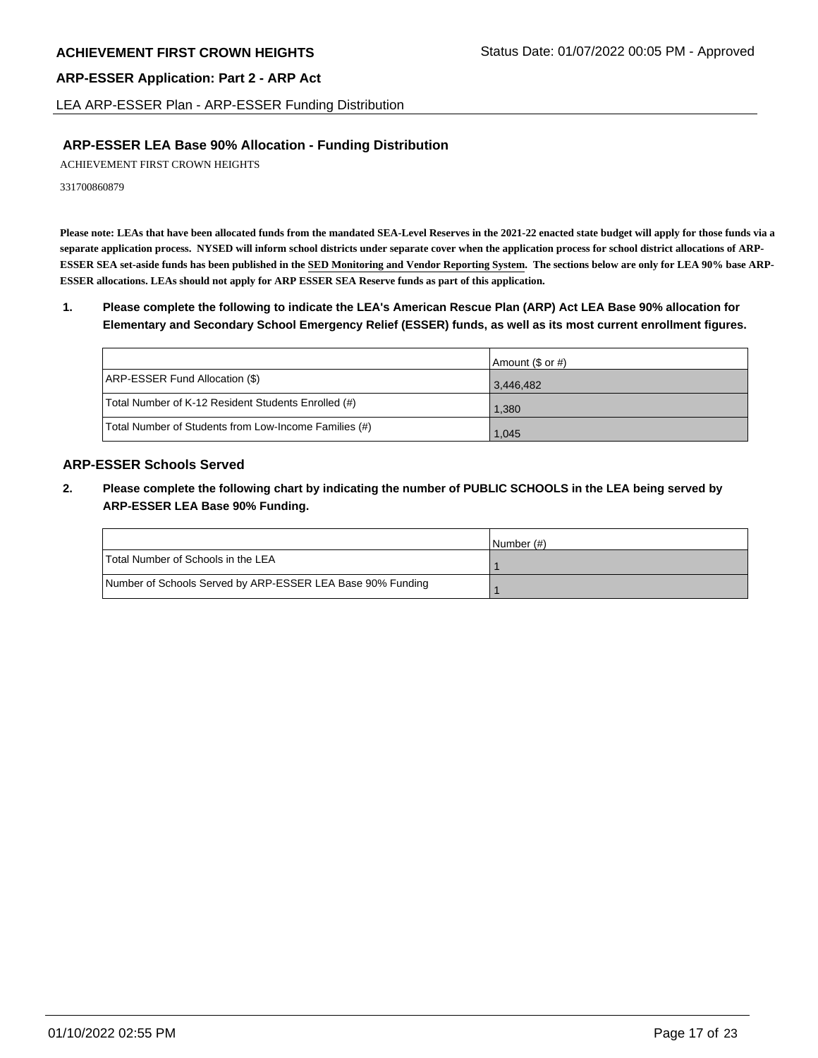LEA ARP-ESSER Plan - ARP-ESSER Funding Distribution

# **ARP-ESSER LEA Base 90% Allocation - Funding Distribution**

ACHIEVEMENT FIRST CROWN HEIGHTS

331700860879

**Please note: LEAs that have been allocated funds from the mandated SEA-Level Reserves in the 2021-22 enacted state budget will apply for those funds via a separate application process. NYSED will inform school districts under separate cover when the application process for school district allocations of ARP-ESSER SEA set-aside funds has been published in the SED Monitoring and Vendor Reporting System. The sections below are only for LEA 90% base ARP-ESSER allocations. LEAs should not apply for ARP ESSER SEA Reserve funds as part of this application.**

**1. Please complete the following to indicate the LEA's American Rescue Plan (ARP) Act LEA Base 90% allocation for Elementary and Secondary School Emergency Relief (ESSER) funds, as well as its most current enrollment figures.**

|                                                       | Amount (\$ or #) |
|-------------------------------------------------------|------------------|
| ARP-ESSER Fund Allocation (\$)                        | 3,446,482        |
| Total Number of K-12 Resident Students Enrolled (#)   | 1,380            |
| Total Number of Students from Low-Income Families (#) | 1,045            |

# **ARP-ESSER Schools Served**

**2. Please complete the following chart by indicating the number of PUBLIC SCHOOLS in the LEA being served by ARP-ESSER LEA Base 90% Funding.**

|                                                            | INumber (#) |
|------------------------------------------------------------|-------------|
| Total Number of Schools in the LEA                         |             |
| Number of Schools Served by ARP-ESSER LEA Base 90% Funding |             |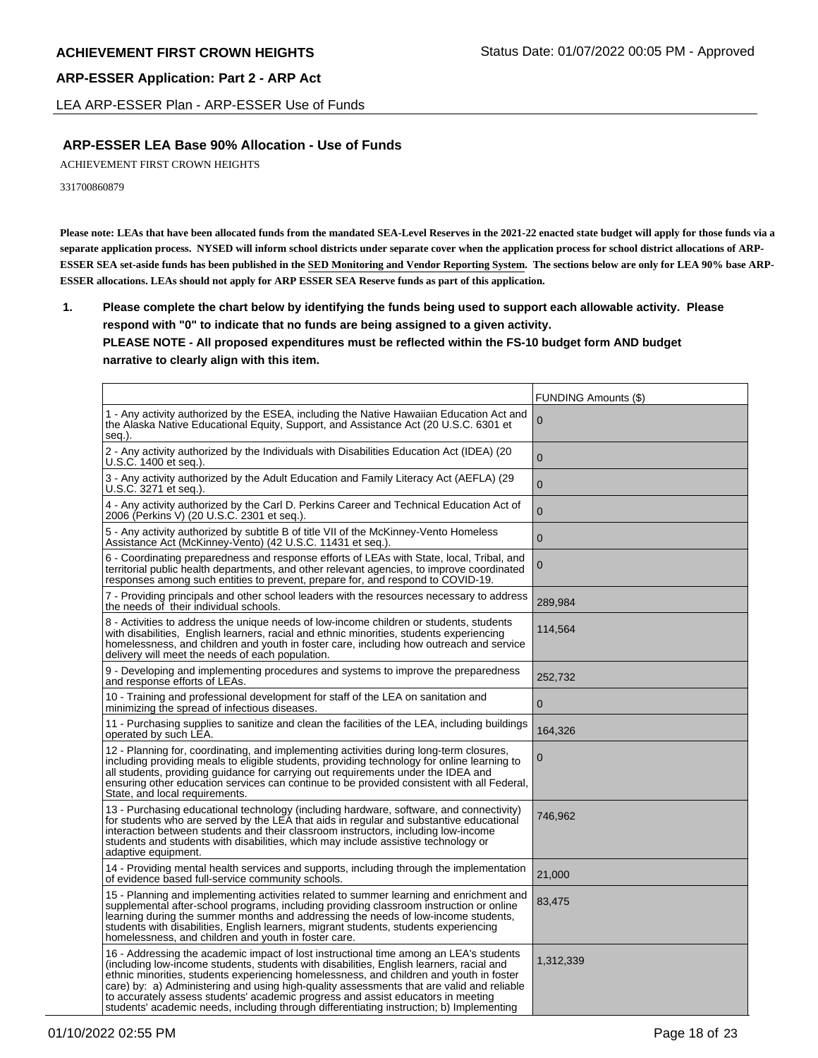LEA ARP-ESSER Plan - ARP-ESSER Use of Funds

## **ARP-ESSER LEA Base 90% Allocation - Use of Funds**

ACHIEVEMENT FIRST CROWN HEIGHTS

331700860879

**Please note: LEAs that have been allocated funds from the mandated SEA-Level Reserves in the 2021-22 enacted state budget will apply for those funds via a separate application process. NYSED will inform school districts under separate cover when the application process for school district allocations of ARP-ESSER SEA set-aside funds has been published in the SED Monitoring and Vendor Reporting System. The sections below are only for LEA 90% base ARP-ESSER allocations. LEAs should not apply for ARP ESSER SEA Reserve funds as part of this application.**

**1. Please complete the chart below by identifying the funds being used to support each allowable activity. Please respond with "0" to indicate that no funds are being assigned to a given activity. PLEASE NOTE - All proposed expenditures must be reflected within the FS-10 budget form AND budget narrative to clearly align with this item.**

|                                                                                                                                                                                                                                                                                                                                                                                                                                                                                                                                                            | <b>FUNDING Amounts (\$)</b> |
|------------------------------------------------------------------------------------------------------------------------------------------------------------------------------------------------------------------------------------------------------------------------------------------------------------------------------------------------------------------------------------------------------------------------------------------------------------------------------------------------------------------------------------------------------------|-----------------------------|
| 1 - Any activity authorized by the ESEA, including the Native Hawaiian Education Act and<br>the Alaska Native Educational Equity, Support, and Assistance Act (20 U.S.C. 6301 et<br>seg.).                                                                                                                                                                                                                                                                                                                                                                 | 0                           |
| 2 - Any activity authorized by the Individuals with Disabilities Education Act (IDEA) (20<br>U.S.C. 1400 et seg.).                                                                                                                                                                                                                                                                                                                                                                                                                                         | $\Omega$                    |
| 3 - Any activity authorized by the Adult Education and Family Literacy Act (AEFLA) (29<br>U.S.C. 3271 et seq.).                                                                                                                                                                                                                                                                                                                                                                                                                                            | $\overline{0}$              |
| 4 - Any activity authorized by the Carl D. Perkins Career and Technical Education Act of<br>2006 (Perkins V) (20 U.S.C. 2301 et seq.).                                                                                                                                                                                                                                                                                                                                                                                                                     | $\mathbf{0}$                |
| 5 - Any activity authorized by subtitle B of title VII of the McKinney-Vento Homeless<br>Assistance Act (McKinney-Vento) (42 U.S.C. 11431 et seq.).                                                                                                                                                                                                                                                                                                                                                                                                        | $\mathbf{0}$                |
| 6 - Coordinating preparedness and response efforts of LEAs with State, local, Tribal, and<br>territorial public health departments, and other relevant agencies, to improve coordinated<br>responses among such entities to prevent, prepare for, and respond to COVID-19.                                                                                                                                                                                                                                                                                 | $\mathbf 0$                 |
| 7 - Providing principals and other school leaders with the resources necessary to address<br>the needs of their individual schools.                                                                                                                                                                                                                                                                                                                                                                                                                        | 289,984                     |
| 8 - Activities to address the unique needs of low-income children or students, students<br>with disabilities, English learners, racial and ethnic minorities, students experiencing<br>homelessness, and children and youth in foster care, including how outreach and service<br>delivery will meet the needs of each population.                                                                                                                                                                                                                         | 114,564                     |
| 9 - Developing and implementing procedures and systems to improve the preparedness<br>and response efforts of LEAs.                                                                                                                                                                                                                                                                                                                                                                                                                                        | 252,732                     |
| 10 - Training and professional development for staff of the LEA on sanitation and<br>minimizing the spread of infectious diseases.                                                                                                                                                                                                                                                                                                                                                                                                                         | $\mathbf 0$                 |
| 11 - Purchasing supplies to sanitize and clean the facilities of the LEA, including buildings<br>operated by such LEA.                                                                                                                                                                                                                                                                                                                                                                                                                                     | 164,326                     |
| 12 - Planning for, coordinating, and implementing activities during long-term closures,<br>including providing meals to eligible students, providing technology for online learning to<br>all students, providing guidance for carrying out requirements under the IDEA and<br>ensuring other education services can continue to be provided consistent with all Federal,<br>State, and local requirements.                                                                                                                                                | 0                           |
| 13 - Purchasing educational technology (including hardware, software, and connectivity)<br>for students who are served by the LEA that aids in regular and substantive educational<br>interaction between students and their classroom instructors, including low-income<br>students and students with disabilities, which may include assistive technology or<br>adaptive equipment.                                                                                                                                                                      | 746,962                     |
| 14 - Providing mental health services and supports, including through the implementation<br>of evidence based full-service community schools.                                                                                                                                                                                                                                                                                                                                                                                                              | 21,000                      |
| 15 - Planning and implementing activities related to summer learning and enrichment and<br>supplemental after-school programs, including providing classroom instruction or online<br>learning during the summer months and addressing the needs of low-income students,<br>students with disabilities, English learners, migrant students, students experiencing<br>homelessness, and children and youth in foster care.                                                                                                                                  | 83,475                      |
| 16 - Addressing the academic impact of lost instructional time among an LEA's students<br>(including low-income students, students with disabilities, English learners, racial and<br>ethnic minorities, students experiencing homelessness, and children and youth in foster<br>care) by: a) Administering and using high-quality assessments that are valid and reliable<br>to accurately assess students' academic progress and assist educators in meeting<br>students' academic needs, including through differentiating instruction; b) Implementing | 1,312,339                   |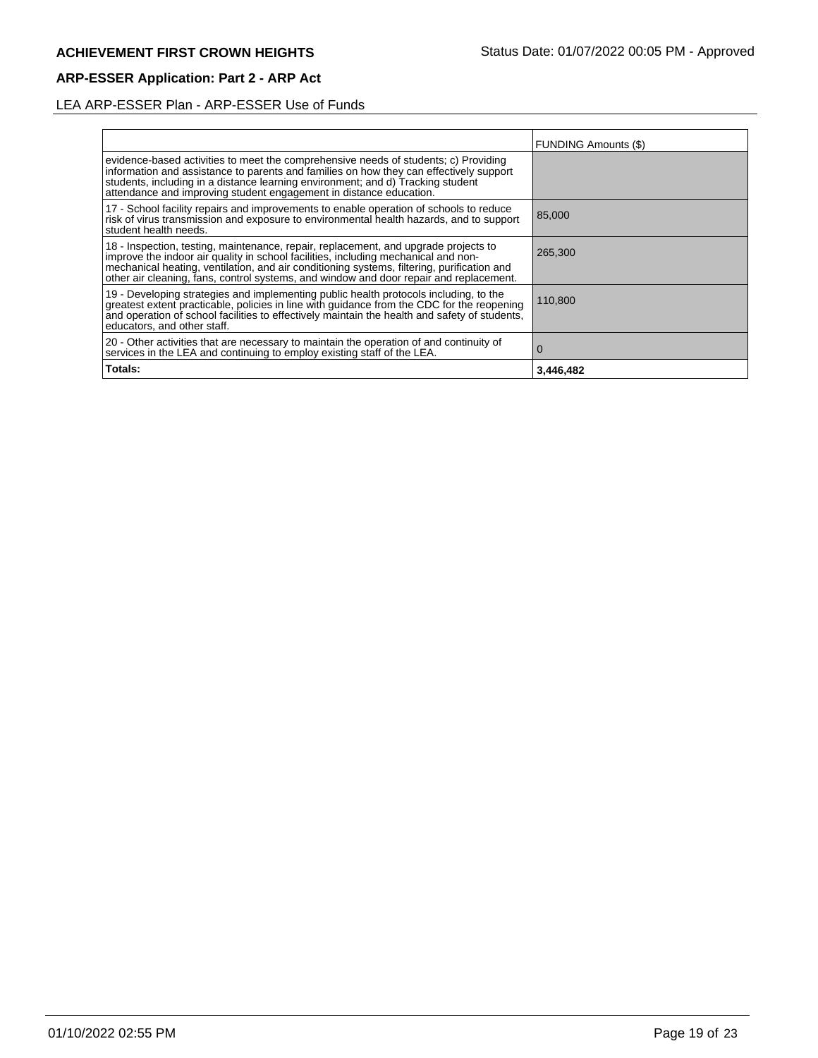# LEA ARP-ESSER Plan - ARP-ESSER Use of Funds

|                                                                                                                                                                                                                                                                                                                                                                   | <b>FUNDING Amounts (\$)</b> |
|-------------------------------------------------------------------------------------------------------------------------------------------------------------------------------------------------------------------------------------------------------------------------------------------------------------------------------------------------------------------|-----------------------------|
| evidence-based activities to meet the comprehensive needs of students; c) Providing<br>information and assistance to parents and families on how they can effectively support<br>students, including in a distance learning environment; and d) Tracking student<br>attendance and improving student engagement in distance education.                            |                             |
| 17 - School facility repairs and improvements to enable operation of schools to reduce<br>risk of virus transmission and exposure to environmental health hazards, and to support<br>student health needs.                                                                                                                                                        | 85,000                      |
| 18 - Inspection, testing, maintenance, repair, replacement, and upgrade projects to<br>improve the indoor air quality in school facilities, including mechanical and non-<br>mechanical heating, ventilation, and air conditioning systems, filtering, purification and<br>other air cleaning, fans, control systems, and window and door repair and replacement. | 265,300                     |
| 19 - Developing strategies and implementing public health protocols including, to the<br>greatest extent practicable, policies in line with guidance from the CDC for the reopening<br>and operation of school facilities to effectively maintain the health and safety of students,<br>educators, and other staff.                                               | 110,800                     |
| 20 - Other activities that are necessary to maintain the operation of and continuity of<br>services in the LEA and continuing to employ existing staff of the LEA.                                                                                                                                                                                                | $\Omega$                    |
| Totals:                                                                                                                                                                                                                                                                                                                                                           | 3,446,482                   |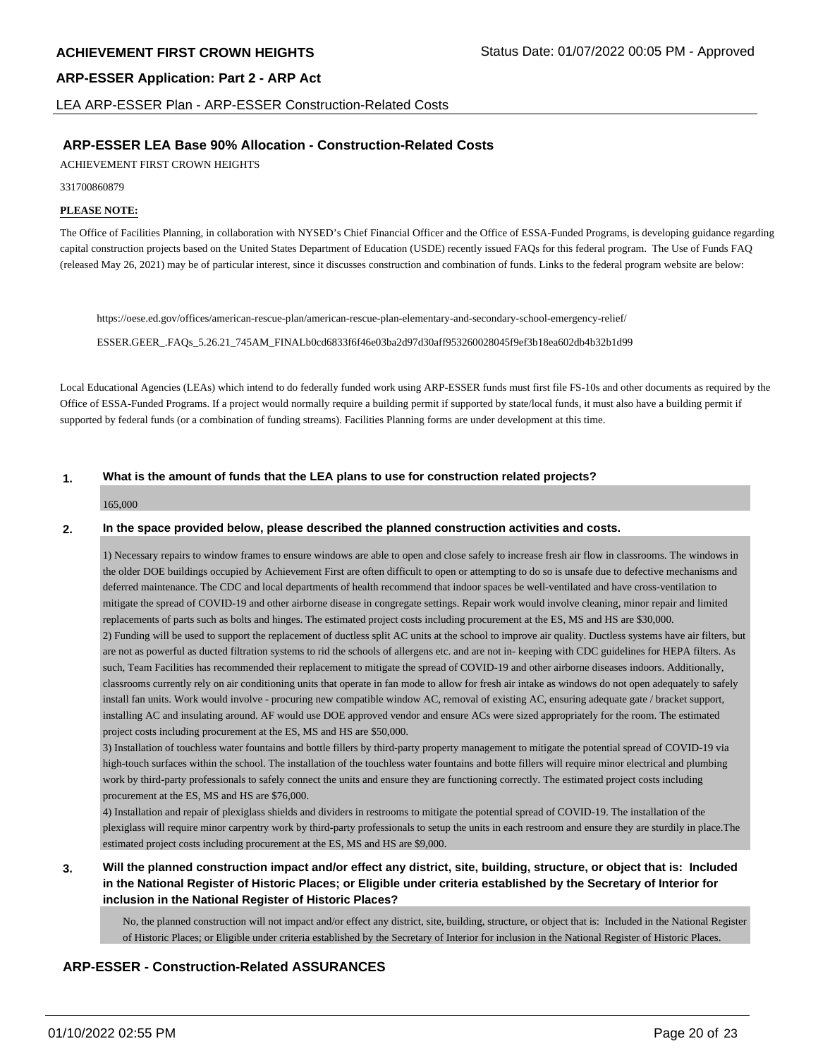LEA ARP-ESSER Plan - ARP-ESSER Construction-Related Costs

## **ARP-ESSER LEA Base 90% Allocation - Construction-Related Costs**

ACHIEVEMENT FIRST CROWN HEIGHTS

331700860879

#### **PLEASE NOTE:**

The Office of Facilities Planning, in collaboration with NYSED's Chief Financial Officer and the Office of ESSA-Funded Programs, is developing guidance regarding capital construction projects based on the United States Department of Education (USDE) recently issued FAQs for this federal program. The Use of Funds FAQ (released May 26, 2021) may be of particular interest, since it discusses construction and combination of funds. Links to the federal program website are below:

https://oese.ed.gov/offices/american-rescue-plan/american-rescue-plan-elementary-and-secondary-school-emergency-relief/

ESSER.GEER\_.FAQs\_5.26.21\_745AM\_FINALb0cd6833f6f46e03ba2d97d30aff953260028045f9ef3b18ea602db4b32b1d99

Local Educational Agencies (LEAs) which intend to do federally funded work using ARP-ESSER funds must first file FS-10s and other documents as required by the Office of ESSA-Funded Programs. If a project would normally require a building permit if supported by state/local funds, it must also have a building permit if supported by federal funds (or a combination of funding streams). Facilities Planning forms are under development at this time.

#### **1. What is the amount of funds that the LEA plans to use for construction related projects?**

#### 165,000

#### **2. In the space provided below, please described the planned construction activities and costs.**

1) Necessary repairs to window frames to ensure windows are able to open and close safely to increase fresh air flow in classrooms. The windows in the older DOE buildings occupied by Achievement First are often difficult to open or attempting to do so is unsafe due to defective mechanisms and deferred maintenance. The CDC and local departments of health recommend that indoor spaces be well-ventilated and have cross-ventilation to mitigate the spread of COVID-19 and other airborne disease in congregate settings. Repair work would involve cleaning, minor repair and limited replacements of parts such as bolts and hinges. The estimated project costs including procurement at the ES, MS and HS are \$30,000. 2) Funding will be used to support the replacement of ductless split AC units at the school to improve air quality. Ductless systems have air filters, but are not as powerful as ducted filtration systems to rid the schools of allergens etc. and are not in- keeping with CDC guidelines for HEPA filters. As such, Team Facilities has recommended their replacement to mitigate the spread of COVID-19 and other airborne diseases indoors. Additionally, classrooms currently rely on air conditioning units that operate in fan mode to allow for fresh air intake as windows do not open adequately to safely install fan units. Work would involve - procuring new compatible window AC, removal of existing AC, ensuring adequate gate / bracket support, installing AC and insulating around. AF would use DOE approved vendor and ensure ACs were sized appropriately for the room. The estimated project costs including procurement at the ES, MS and HS are \$50,000.

3) Installation of touchless water fountains and bottle fillers by third-party property management to mitigate the potential spread of COVID-19 via high-touch surfaces within the school. The installation of the touchless water fountains and botte fillers will require minor electrical and plumbing work by third-party professionals to safely connect the units and ensure they are functioning correctly. The estimated project costs including procurement at the ES, MS and HS are \$76,000.

4) Installation and repair of plexiglass shields and dividers in restrooms to mitigate the potential spread of COVID-19. The installation of the plexiglass will require minor carpentry work by third-party professionals to setup the units in each restroom and ensure they are sturdily in place.The estimated project costs including procurement at the ES, MS and HS are \$9,000.

**3. Will the planned construction impact and/or effect any district, site, building, structure, or object that is: Included in the National Register of Historic Places; or Eligible under criteria established by the Secretary of Interior for inclusion in the National Register of Historic Places?**

No, the planned construction will not impact and/or effect any district, site, building, structure, or object that is: Included in the National Register of Historic Places; or Eligible under criteria established by the Secretary of Interior for inclusion in the National Register of Historic Places.

# **ARP-ESSER - Construction-Related ASSURANCES**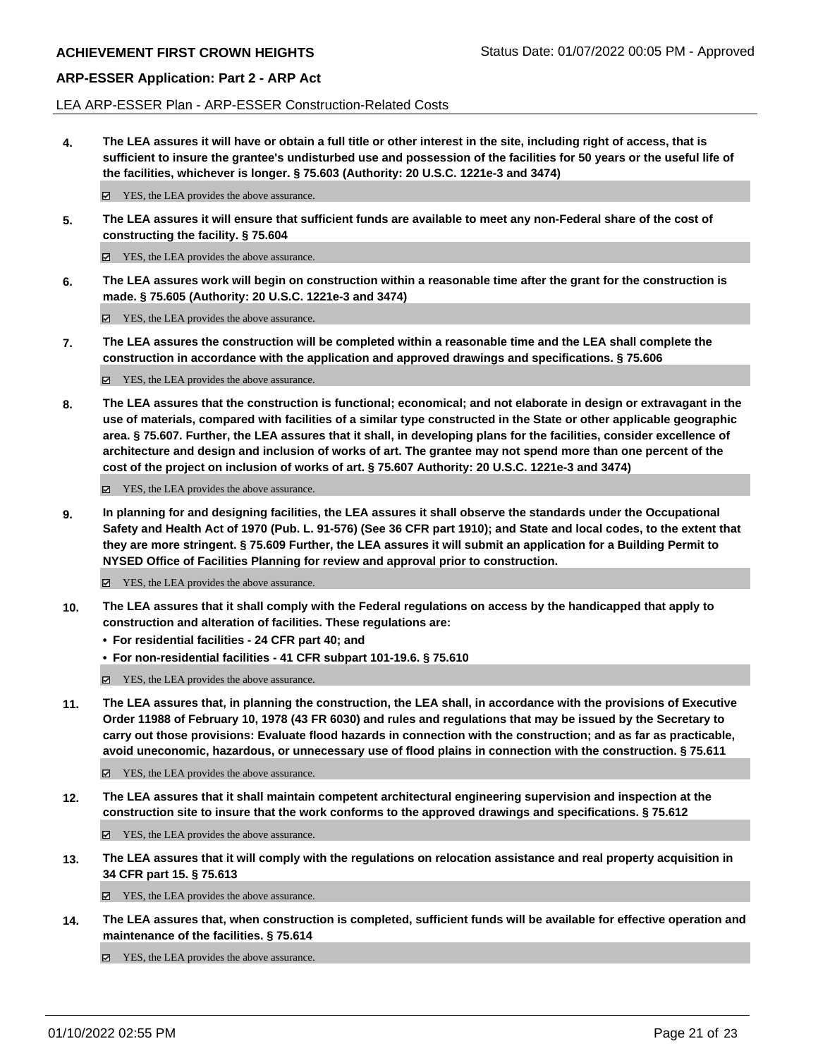LEA ARP-ESSER Plan - ARP-ESSER Construction-Related Costs

**4. The LEA assures it will have or obtain a full title or other interest in the site, including right of access, that is sufficient to insure the grantee's undisturbed use and possession of the facilities for 50 years or the useful life of the facilities, whichever is longer. § 75.603 (Authority: 20 U.S.C. 1221e-3 and 3474)**

 $✓$  YES, the LEA provides the above assurance.

**5. The LEA assures it will ensure that sufficient funds are available to meet any non-Federal share of the cost of constructing the facility. § 75.604**

YES, the LEA provides the above assurance.

**6. The LEA assures work will begin on construction within a reasonable time after the grant for the construction is made. § 75.605 (Authority: 20 U.S.C. 1221e-3 and 3474)**

■ YES, the LEA provides the above assurance.

**7. The LEA assures the construction will be completed within a reasonable time and the LEA shall complete the construction in accordance with the application and approved drawings and specifications. § 75.606**

YES, the LEA provides the above assurance.

**8. The LEA assures that the construction is functional; economical; and not elaborate in design or extravagant in the use of materials, compared with facilities of a similar type constructed in the State or other applicable geographic area. § 75.607. Further, the LEA assures that it shall, in developing plans for the facilities, consider excellence of architecture and design and inclusion of works of art. The grantee may not spend more than one percent of the cost of the project on inclusion of works of art. § 75.607 Authority: 20 U.S.C. 1221e-3 and 3474)**

YES, the LEA provides the above assurance.

**9. In planning for and designing facilities, the LEA assures it shall observe the standards under the Occupational Safety and Health Act of 1970 (Pub. L. 91-576) (See 36 CFR part 1910); and State and local codes, to the extent that they are more stringent. § 75.609 Further, the LEA assures it will submit an application for a Building Permit to NYSED Office of Facilities Planning for review and approval prior to construction.**

■ YES, the LEA provides the above assurance.

- **10. The LEA assures that it shall comply with the Federal regulations on access by the handicapped that apply to construction and alteration of facilities. These regulations are:**
	- **• For residential facilities 24 CFR part 40; and**
	- **• For non-residential facilities 41 CFR subpart 101-19.6. § 75.610**

YES, the LEA provides the above assurance.

**11. The LEA assures that, in planning the construction, the LEA shall, in accordance with the provisions of Executive Order 11988 of February 10, 1978 (43 FR 6030) and rules and regulations that may be issued by the Secretary to carry out those provisions: Evaluate flood hazards in connection with the construction; and as far as practicable, avoid uneconomic, hazardous, or unnecessary use of flood plains in connection with the construction. § 75.611**

YES, the LEA provides the above assurance.

**12. The LEA assures that it shall maintain competent architectural engineering supervision and inspection at the construction site to insure that the work conforms to the approved drawings and specifications. § 75.612**

YES, the LEA provides the above assurance.

**13. The LEA assures that it will comply with the regulations on relocation assistance and real property acquisition in 34 CFR part 15. § 75.613**

YES, the LEA provides the above assurance.

**14. The LEA assures that, when construction is completed, sufficient funds will be available for effective operation and maintenance of the facilities. § 75.614**

■ YES, the LEA provides the above assurance.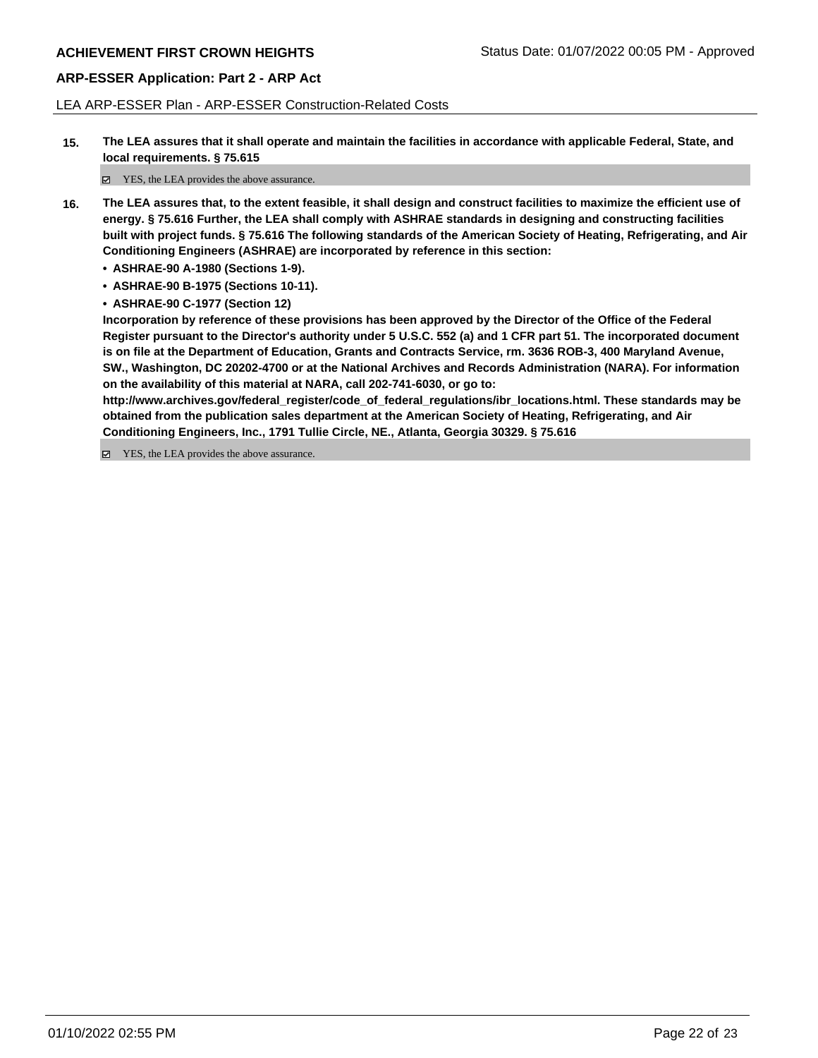LEA ARP-ESSER Plan - ARP-ESSER Construction-Related Costs

**15. The LEA assures that it shall operate and maintain the facilities in accordance with applicable Federal, State, and local requirements. § 75.615**

YES, the LEA provides the above assurance.

- **16. The LEA assures that, to the extent feasible, it shall design and construct facilities to maximize the efficient use of energy. § 75.616 Further, the LEA shall comply with ASHRAE standards in designing and constructing facilities built with project funds. § 75.616 The following standards of the American Society of Heating, Refrigerating, and Air Conditioning Engineers (ASHRAE) are incorporated by reference in this section:**
	- **• ASHRAE-90 A-1980 (Sections 1-9).**
	- **• ASHRAE-90 B-1975 (Sections 10-11).**
	- **• ASHRAE-90 C-1977 (Section 12)**

**Incorporation by reference of these provisions has been approved by the Director of the Office of the Federal Register pursuant to the Director's authority under 5 U.S.C. 552 (a) and 1 CFR part 51. The incorporated document is on file at the Department of Education, Grants and Contracts Service, rm. 3636 ROB-3, 400 Maryland Avenue, SW., Washington, DC 20202-4700 or at the National Archives and Records Administration (NARA). For information on the availability of this material at NARA, call 202-741-6030, or go to:**

**http://www.archives.gov/federal\_register/code\_of\_federal\_regulations/ibr\_locations.html. These standards may be obtained from the publication sales department at the American Society of Heating, Refrigerating, and Air Conditioning Engineers, Inc., 1791 Tullie Circle, NE., Atlanta, Georgia 30329. § 75.616**

YES, the LEA provides the above assurance.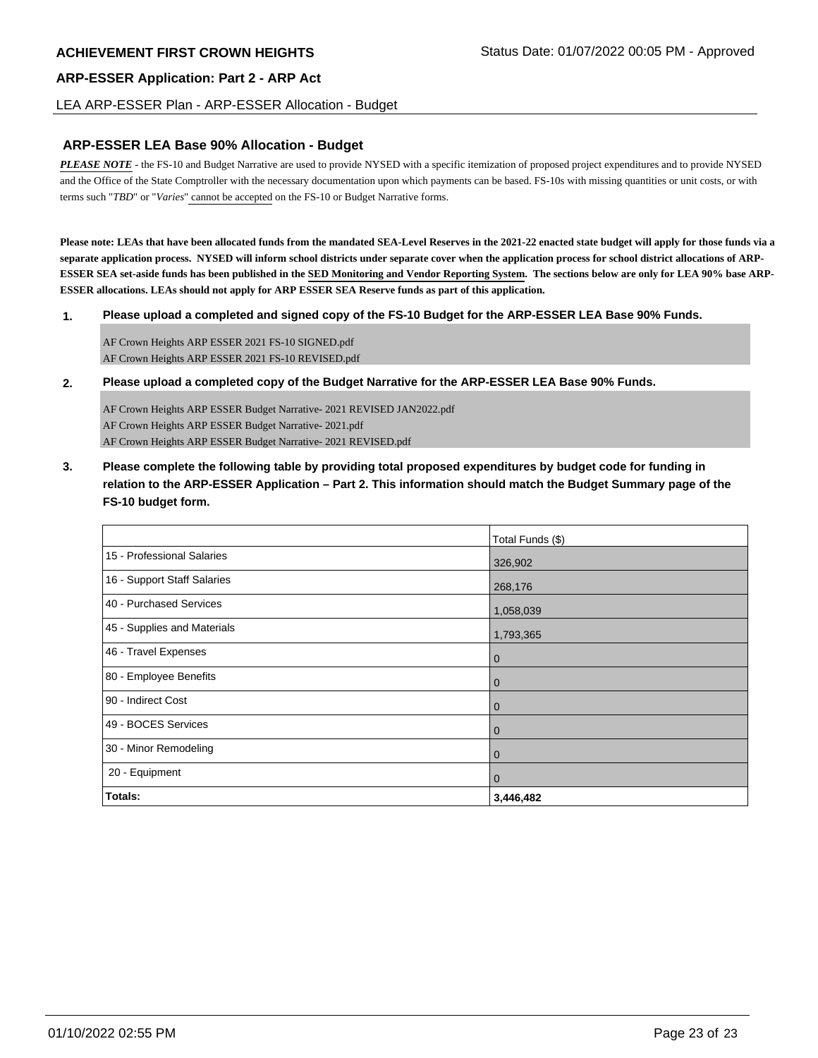#### LEA ARP-ESSER Plan - ARP-ESSER Allocation - Budget

#### **ARP-ESSER LEA Base 90% Allocation - Budget**

*PLEASE NOTE* - the FS-10 and Budget Narrative are used to provide NYSED with a specific itemization of proposed project expenditures and to provide NYSED and the Office of the State Comptroller with the necessary documentation upon which payments can be based. FS-10s with missing quantities or unit costs, or with terms such "*TBD*" or "*Varies*" cannot be accepted on the FS-10 or Budget Narrative forms.

**Please note: LEAs that have been allocated funds from the mandated SEA-Level Reserves in the 2021-22 enacted state budget will apply for those funds via a separate application process. NYSED will inform school districts under separate cover when the application process for school district allocations of ARP-ESSER SEA set-aside funds has been published in the SED Monitoring and Vendor Reporting System. The sections below are only for LEA 90% base ARP-ESSER allocations. LEAs should not apply for ARP ESSER SEA Reserve funds as part of this application.**

#### **1. Please upload a completed and signed copy of the FS-10 Budget for the ARP-ESSER LEA Base 90% Funds.**

AF Crown Heights ARP ESSER 2021 FS-10 SIGNED.pdf AF Crown Heights ARP ESSER 2021 FS-10 REVISED.pdf

**2. Please upload a completed copy of the Budget Narrative for the ARP-ESSER LEA Base 90% Funds.**

AF Crown Heights ARP ESSER Budget Narrative- 2021 REVISED JAN2022.pdf AF Crown Heights ARP ESSER Budget Narrative- 2021.pdf AF Crown Heights ARP ESSER Budget Narrative- 2021 REVISED.pdf

**3. Please complete the following table by providing total proposed expenditures by budget code for funding in relation to the ARP-ESSER Application – Part 2. This information should match the Budget Summary page of the FS-10 budget form.**

|                             | Total Funds (\$) |
|-----------------------------|------------------|
| 15 - Professional Salaries  | 326,902          |
| 16 - Support Staff Salaries | 268,176          |
| 40 - Purchased Services     | 1,058,039        |
| 45 - Supplies and Materials | 1,793,365        |
| 46 - Travel Expenses        | $\overline{0}$   |
| 80 - Employee Benefits      | $\overline{0}$   |
| 90 - Indirect Cost          | $\overline{0}$   |
| 49 - BOCES Services         | $\overline{0}$   |
| 30 - Minor Remodeling       | $\overline{0}$   |
| 20 - Equipment              | $\overline{0}$   |
| <b>Totals:</b>              | 3,446,482        |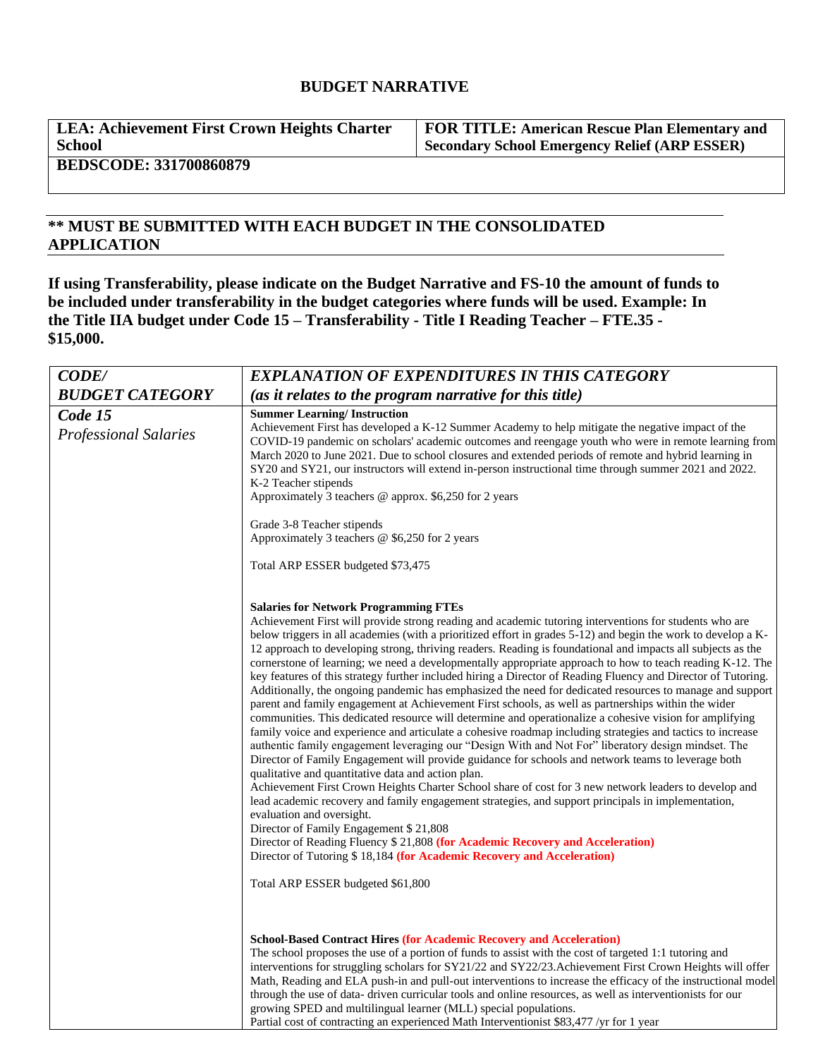# **BUDGET NARRATIVE**

**LEA: Achievement First Crown Heights Charter School**

**FOR TITLE: American Rescue Plan Elementary and Secondary School Emergency Relief (ARP ESSER)**

**BEDSCODE: 331700860879**

# **\*\* MUST BE SUBMITTED WITH EACH BUDGET IN THE CONSOLIDATED APPLICATION**

**If using Transferability, please indicate on the Budget Narrative and FS-10 the amount of funds to be included under transferability in the budget categories where funds will be used. Example: In the Title IIA budget under Code 15 – Transferability - Title I Reading Teacher – FTE.35 - \$15,000.**

| <b>CODE/</b>                            | <b>EXPLANATION OF EXPENDITURES IN THIS CATEGORY</b>                                                                                                                                                                                                                                                                                                                                                                                                                                                                                                                                                                                                                                                                                                                                                                                                                                                                                                                                                                                                                                                                                                                                                                                                                                                                                                                                                                                                                                                                                                                                                                                                                                                                                                                                                                        |  |
|-----------------------------------------|----------------------------------------------------------------------------------------------------------------------------------------------------------------------------------------------------------------------------------------------------------------------------------------------------------------------------------------------------------------------------------------------------------------------------------------------------------------------------------------------------------------------------------------------------------------------------------------------------------------------------------------------------------------------------------------------------------------------------------------------------------------------------------------------------------------------------------------------------------------------------------------------------------------------------------------------------------------------------------------------------------------------------------------------------------------------------------------------------------------------------------------------------------------------------------------------------------------------------------------------------------------------------------------------------------------------------------------------------------------------------------------------------------------------------------------------------------------------------------------------------------------------------------------------------------------------------------------------------------------------------------------------------------------------------------------------------------------------------------------------------------------------------------------------------------------------------|--|
| <b>BUDGET CATEGORY</b>                  | (as it relates to the program narrative for this title)                                                                                                                                                                                                                                                                                                                                                                                                                                                                                                                                                                                                                                                                                                                                                                                                                                                                                                                                                                                                                                                                                                                                                                                                                                                                                                                                                                                                                                                                                                                                                                                                                                                                                                                                                                    |  |
| Code 15<br><b>Professional Salaries</b> | <b>Summer Learning/Instruction</b><br>Achievement First has developed a K-12 Summer Academy to help mitigate the negative impact of the<br>COVID-19 pandemic on scholars' academic outcomes and reengage youth who were in remote learning from<br>March 2020 to June 2021. Due to school closures and extended periods of remote and hybrid learning in<br>SY20 and SY21, our instructors will extend in-person instructional time through summer 2021 and 2022.<br>K-2 Teacher stipends<br>Approximately 3 teachers @ approx. \$6,250 for 2 years                                                                                                                                                                                                                                                                                                                                                                                                                                                                                                                                                                                                                                                                                                                                                                                                                                                                                                                                                                                                                                                                                                                                                                                                                                                                        |  |
|                                         | Grade 3-8 Teacher stipends<br>Approximately 3 teachers $\omega$ \$6,250 for 2 years                                                                                                                                                                                                                                                                                                                                                                                                                                                                                                                                                                                                                                                                                                                                                                                                                                                                                                                                                                                                                                                                                                                                                                                                                                                                                                                                                                                                                                                                                                                                                                                                                                                                                                                                        |  |
|                                         | Total ARP ESSER budgeted \$73,475                                                                                                                                                                                                                                                                                                                                                                                                                                                                                                                                                                                                                                                                                                                                                                                                                                                                                                                                                                                                                                                                                                                                                                                                                                                                                                                                                                                                                                                                                                                                                                                                                                                                                                                                                                                          |  |
|                                         | <b>Salaries for Network Programming FTEs</b><br>Achievement First will provide strong reading and academic tutoring interventions for students who are<br>below triggers in all academies (with a prioritized effort in grades 5-12) and begin the work to develop a K-<br>12 approach to developing strong, thriving readers. Reading is foundational and impacts all subjects as the<br>cornerstone of learning; we need a developmentally appropriate approach to how to teach reading K-12. The<br>key features of this strategy further included hiring a Director of Reading Fluency and Director of Tutoring.<br>Additionally, the ongoing pandemic has emphasized the need for dedicated resources to manage and support<br>parent and family engagement at Achievement First schools, as well as partnerships within the wider<br>communities. This dedicated resource will determine and operationalize a cohesive vision for amplifying<br>family voice and experience and articulate a cohesive roadmap including strategies and tactics to increase<br>authentic family engagement leveraging our "Design With and Not For" liberatory design mindset. The<br>Director of Family Engagement will provide guidance for schools and network teams to leverage both<br>qualitative and quantitative data and action plan.<br>Achievement First Crown Heights Charter School share of cost for 3 new network leaders to develop and<br>lead academic recovery and family engagement strategies, and support principals in implementation,<br>evaluation and oversight.<br>Director of Family Engagement \$21,808<br>Director of Reading Fluency \$ 21,808 (for Academic Recovery and Acceleration)<br>Director of Tutoring \$18,184 (for Academic Recovery and Acceleration)<br>Total ARP ESSER budgeted \$61,800 |  |
|                                         | <b>School-Based Contract Hires (for Academic Recovery and Acceleration)</b><br>The school proposes the use of a portion of funds to assist with the cost of targeted 1:1 tutoring and<br>interventions for struggling scholars for SY21/22 and SY22/23. Achievement First Crown Heights will offer<br>Math, Reading and ELA push-in and pull-out interventions to increase the efficacy of the instructional model<br>through the use of data- driven curricular tools and online resources, as well as interventionists for our<br>growing SPED and multilingual learner (MLL) special populations.<br>Partial cost of contracting an experienced Math Interventionist \$83,477 /yr for 1 year                                                                                                                                                                                                                                                                                                                                                                                                                                                                                                                                                                                                                                                                                                                                                                                                                                                                                                                                                                                                                                                                                                                            |  |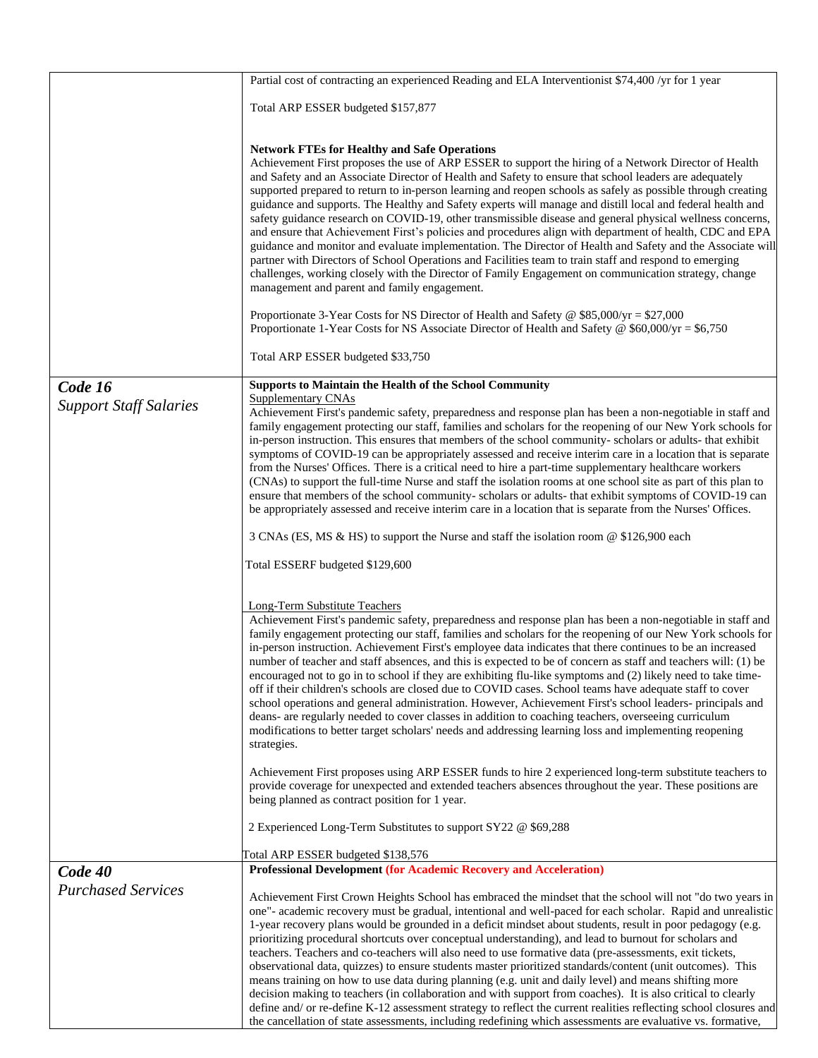|                               | Partial cost of contracting an experienced Reading and ELA Interventionist \$74,400 /yr for 1 year                                                                                                                               |  |  |
|-------------------------------|----------------------------------------------------------------------------------------------------------------------------------------------------------------------------------------------------------------------------------|--|--|
|                               | Total ARP ESSER budgeted \$157,877                                                                                                                                                                                               |  |  |
|                               |                                                                                                                                                                                                                                  |  |  |
|                               | <b>Network FTEs for Healthy and Safe Operations</b>                                                                                                                                                                              |  |  |
|                               | Achievement First proposes the use of ARP ESSER to support the hiring of a Network Director of Health                                                                                                                            |  |  |
|                               | and Safety and an Associate Director of Health and Safety to ensure that school leaders are adequately                                                                                                                           |  |  |
|                               | supported prepared to return to in-person learning and reopen schools as safely as possible through creating<br>guidance and supports. The Healthy and Safety experts will manage and distill local and federal health and       |  |  |
|                               | safety guidance research on COVID-19, other transmissible disease and general physical wellness concerns,                                                                                                                        |  |  |
|                               | and ensure that Achievement First's policies and procedures align with department of health, CDC and EPA                                                                                                                         |  |  |
|                               | guidance and monitor and evaluate implementation. The Director of Health and Safety and the Associate will<br>partner with Directors of School Operations and Facilities team to train staff and respond to emerging             |  |  |
|                               | challenges, working closely with the Director of Family Engagement on communication strategy, change                                                                                                                             |  |  |
|                               | management and parent and family engagement.                                                                                                                                                                                     |  |  |
|                               | Proportionate 3-Year Costs for NS Director of Health and Safety @ \$85,000/yr = \$27,000                                                                                                                                         |  |  |
|                               | Proportionate 1-Year Costs for NS Associate Director of Health and Safety @ \$60,000/yr = \$6,750                                                                                                                                |  |  |
|                               |                                                                                                                                                                                                                                  |  |  |
|                               | Total ARP ESSER budgeted \$33,750                                                                                                                                                                                                |  |  |
| Code 16                       | <b>Supports to Maintain the Health of the School Community</b>                                                                                                                                                                   |  |  |
| <b>Support Staff Salaries</b> | Supplementary CNAs<br>Achievement First's pandemic safety, preparedness and response plan has been a non-negotiable in staff and                                                                                                 |  |  |
|                               | family engagement protecting our staff, families and scholars for the reopening of our New York schools for                                                                                                                      |  |  |
|                               | in-person instruction. This ensures that members of the school community- scholars or adults- that exhibit                                                                                                                       |  |  |
|                               | symptoms of COVID-19 can be appropriately assessed and receive interim care in a location that is separate<br>from the Nurses' Offices. There is a critical need to hire a part-time supplementary healthcare workers            |  |  |
|                               | (CNAs) to support the full-time Nurse and staff the isolation rooms at one school site as part of this plan to                                                                                                                   |  |  |
|                               | ensure that members of the school community-scholars or adults-that exhibit symptoms of COVID-19 can                                                                                                                             |  |  |
|                               | be appropriately assessed and receive interim care in a location that is separate from the Nurses' Offices.                                                                                                                      |  |  |
|                               | 3 CNAs (ES, MS & HS) to support the Nurse and staff the isolation room @ \$126,900 each                                                                                                                                          |  |  |
|                               | Total ESSERF budgeted \$129,600                                                                                                                                                                                                  |  |  |
|                               |                                                                                                                                                                                                                                  |  |  |
|                               | <b>Long-Term Substitute Teachers</b><br>Achievement First's pandemic safety, preparedness and response plan has been a non-negotiable in staff and                                                                               |  |  |
|                               | family engagement protecting our staff, families and scholars for the reopening of our New York schools for                                                                                                                      |  |  |
|                               | in-person instruction. Achievement First's employee data indicates that there continues to be an increased                                                                                                                       |  |  |
|                               | number of teacher and staff absences, and this is expected to be of concern as staff and teachers will: (1) be<br>encouraged not to go in to school if they are exhibiting flu-like symptoms and (2) likely need to take time-   |  |  |
|                               | off if their children's schools are closed due to COVID cases. School teams have adequate staff to cover                                                                                                                         |  |  |
|                               | school operations and general administration. However, Achievement First's school leaders- principals and                                                                                                                        |  |  |
|                               | deans- are regularly needed to cover classes in addition to coaching teachers, overseeing curriculum<br>modifications to better target scholars' needs and addressing learning loss and implementing reopening                   |  |  |
|                               | strategies.                                                                                                                                                                                                                      |  |  |
|                               | Achievement First proposes using ARP ESSER funds to hire 2 experienced long-term substitute teachers to                                                                                                                          |  |  |
|                               | provide coverage for unexpected and extended teachers absences throughout the year. These positions are                                                                                                                          |  |  |
|                               | being planned as contract position for 1 year.                                                                                                                                                                                   |  |  |
|                               | 2 Experienced Long-Term Substitutes to support SY22 @ \$69,288                                                                                                                                                                   |  |  |
|                               | Total ARP ESSER budgeted \$138,576                                                                                                                                                                                               |  |  |
| Code 40                       | <b>Professional Development (for Academic Recovery and Acceleration)</b>                                                                                                                                                         |  |  |
| <b>Purchased Services</b>     | Achievement First Crown Heights School has embraced the mindset that the school will not "do two years in                                                                                                                        |  |  |
|                               | one"- academic recovery must be gradual, intentional and well-paced for each scholar. Rapid and unrealistic                                                                                                                      |  |  |
|                               | 1-year recovery plans would be grounded in a deficit mindset about students, result in poor pedagogy (e.g.                                                                                                                       |  |  |
|                               | prioritizing procedural shortcuts over conceptual understanding), and lead to burnout for scholars and<br>teachers. Teachers and co-teachers will also need to use formative data (pre-assessments, exit tickets,                |  |  |
|                               | observational data, quizzes) to ensure students master prioritized standards/content (unit outcomes). This                                                                                                                       |  |  |
|                               | means training on how to use data during planning (e.g. unit and daily level) and means shifting more                                                                                                                            |  |  |
|                               | decision making to teachers (in collaboration and with support from coaches). It is also critical to clearly                                                                                                                     |  |  |
|                               | define and/ or re-define K-12 assessment strategy to reflect the current realities reflecting school closures and<br>the cancellation of state assessments, including redefining which assessments are evaluative vs. formative, |  |  |

 $\mathsf{l}$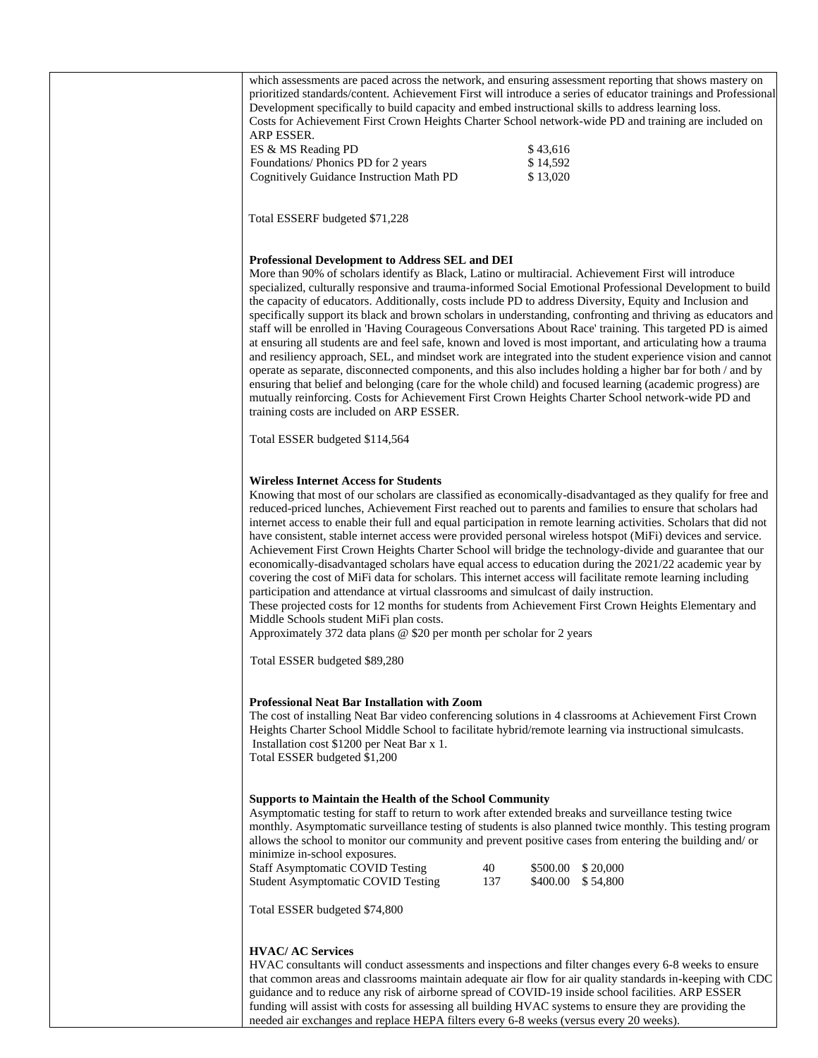| which assessments are paced across the network, and ensuring assessment reporting that shows mastery on<br>prioritized standards/content. Achievement First will introduce a series of educator trainings and Professional<br>Development specifically to build capacity and embed instructional skills to address learning loss.<br>Costs for Achievement First Crown Heights Charter School network-wide PD and training are included on<br>ARP ESSER.<br>ES & MS Reading PD<br>\$43,616<br>\$14,592<br>Foundations/ Phonics PD for 2 years<br>\$13,020<br>Cognitively Guidance Instruction Math PD                                                                                                                                                                                                                                                                                                                                                                                                                                                                                                                                                                                                                                 |
|---------------------------------------------------------------------------------------------------------------------------------------------------------------------------------------------------------------------------------------------------------------------------------------------------------------------------------------------------------------------------------------------------------------------------------------------------------------------------------------------------------------------------------------------------------------------------------------------------------------------------------------------------------------------------------------------------------------------------------------------------------------------------------------------------------------------------------------------------------------------------------------------------------------------------------------------------------------------------------------------------------------------------------------------------------------------------------------------------------------------------------------------------------------------------------------------------------------------------------------|
| Total ESSERF budgeted \$71,228                                                                                                                                                                                                                                                                                                                                                                                                                                                                                                                                                                                                                                                                                                                                                                                                                                                                                                                                                                                                                                                                                                                                                                                                        |
| <b>Professional Development to Address SEL and DEI</b><br>More than 90% of scholars identify as Black, Latino or multiracial. Achievement First will introduce<br>specialized, culturally responsive and trauma-informed Social Emotional Professional Development to build<br>the capacity of educators. Additionally, costs include PD to address Diversity, Equity and Inclusion and<br>specifically support its black and brown scholars in understanding, confronting and thriving as educators and<br>staff will be enrolled in 'Having Courageous Conversations About Race' training. This targeted PD is aimed<br>at ensuring all students are and feel safe, known and loved is most important, and articulating how a trauma<br>and resiliency approach, SEL, and mindset work are integrated into the student experience vision and cannot<br>operate as separate, disconnected components, and this also includes holding a higher bar for both / and by<br>ensuring that belief and belonging (care for the whole child) and focused learning (academic progress) are<br>mutually reinforcing. Costs for Achievement First Crown Heights Charter School network-wide PD and<br>training costs are included on ARP ESSER. |
| Total ESSER budgeted \$114,564                                                                                                                                                                                                                                                                                                                                                                                                                                                                                                                                                                                                                                                                                                                                                                                                                                                                                                                                                                                                                                                                                                                                                                                                        |
| <b>Wireless Internet Access for Students</b><br>Knowing that most of our scholars are classified as economically-disadvantaged as they qualify for free and<br>reduced-priced lunches, Achievement First reached out to parents and families to ensure that scholars had<br>internet access to enable their full and equal participation in remote learning activities. Scholars that did not<br>have consistent, stable internet access were provided personal wireless hotspot (MiFi) devices and service.<br>Achievement First Crown Heights Charter School will bridge the technology-divide and guarantee that our<br>economically-disadvantaged scholars have equal access to education during the 2021/22 academic year by<br>covering the cost of MiFi data for scholars. This internet access will facilitate remote learning including<br>participation and attendance at virtual classrooms and simulcast of daily instruction.<br>These projected costs for 12 months for students from Achievement First Crown Heights Elementary and<br>Middle Schools student MiFi plan costs.<br>Approximately 372 data plans @ \$20 per month per scholar for 2 years                                                                |
| Total ESSER budgeted \$89,280                                                                                                                                                                                                                                                                                                                                                                                                                                                                                                                                                                                                                                                                                                                                                                                                                                                                                                                                                                                                                                                                                                                                                                                                         |
| <b>Professional Neat Bar Installation with Zoom</b><br>The cost of installing Neat Bar video conferencing solutions in 4 classrooms at Achievement First Crown<br>Heights Charter School Middle School to facilitate hybrid/remote learning via instructional simulcasts.<br>Installation cost \$1200 per Neat Bar x 1.<br>Total ESSER budgeted \$1,200                                                                                                                                                                                                                                                                                                                                                                                                                                                                                                                                                                                                                                                                                                                                                                                                                                                                               |
| <b>Supports to Maintain the Health of the School Community</b><br>Asymptomatic testing for staff to return to work after extended breaks and surveillance testing twice<br>monthly. Asymptomatic surveillance testing of students is also planned twice monthly. This testing program<br>allows the school to monitor our community and prevent positive cases from entering the building and/ or<br>minimize in-school exposures.<br><b>Staff Asymptomatic COVID Testing</b><br>40<br>\$20,000<br>\$500.00<br>137<br><b>Student Asymptomatic COVID Testing</b><br>\$400.00<br>\$54,800                                                                                                                                                                                                                                                                                                                                                                                                                                                                                                                                                                                                                                               |
| Total ESSER budgeted \$74,800                                                                                                                                                                                                                                                                                                                                                                                                                                                                                                                                                                                                                                                                                                                                                                                                                                                                                                                                                                                                                                                                                                                                                                                                         |
| <b>HVAC/ AC Services</b><br>HVAC consultants will conduct assessments and inspections and filter changes every 6-8 weeks to ensure<br>that common areas and classrooms maintain adequate air flow for air quality standards in-keeping with CDC<br>guidance and to reduce any risk of airborne spread of COVID-19 inside school facilities. ARP ESSER<br>funding will assist with costs for assessing all building HVAC systems to ensure they are providing the<br>needed air exchanges and replace HEPA filters every 6-8 weeks (versus every 20 weeks).                                                                                                                                                                                                                                                                                                                                                                                                                                                                                                                                                                                                                                                                            |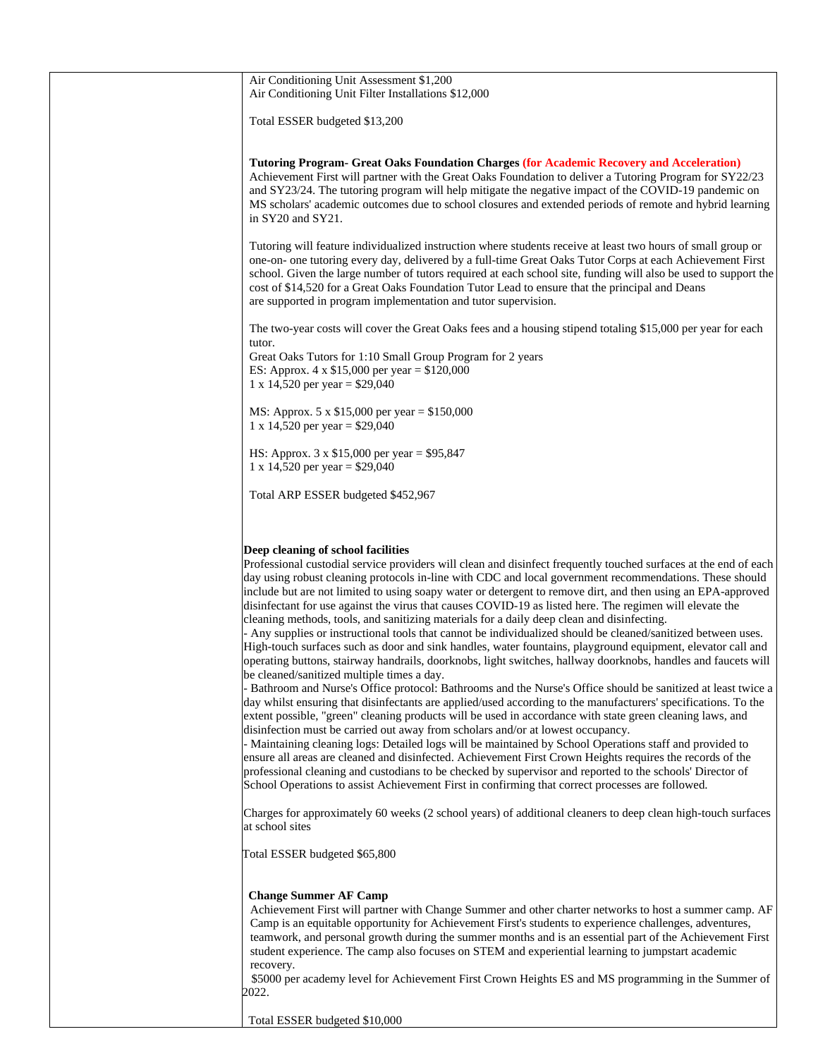| Air Conditioning Unit Assessment \$1,200<br>Air Conditioning Unit Filter Installations \$12,000                                                                                                                                                                                                                                                                                                                                                                                                                                                                                                                                                                                                                                                          |
|----------------------------------------------------------------------------------------------------------------------------------------------------------------------------------------------------------------------------------------------------------------------------------------------------------------------------------------------------------------------------------------------------------------------------------------------------------------------------------------------------------------------------------------------------------------------------------------------------------------------------------------------------------------------------------------------------------------------------------------------------------|
| Total ESSER budgeted \$13,200                                                                                                                                                                                                                                                                                                                                                                                                                                                                                                                                                                                                                                                                                                                            |
| <b>Tutoring Program- Great Oaks Foundation Charges (for Academic Recovery and Acceleration)</b><br>Achievement First will partner with the Great Oaks Foundation to deliver a Tutoring Program for SY22/23<br>and SY23/24. The tutoring program will help mitigate the negative impact of the COVID-19 pandemic on<br>MS scholars' academic outcomes due to school closures and extended periods of remote and hybrid learning<br>in SY20 and SY21.                                                                                                                                                                                                                                                                                                      |
| Tutoring will feature individualized instruction where students receive at least two hours of small group or<br>one-on- one tutoring every day, delivered by a full-time Great Oaks Tutor Corps at each Achievement First<br>school. Given the large number of tutors required at each school site, funding will also be used to support the<br>cost of \$14,520 for a Great Oaks Foundation Tutor Lead to ensure that the principal and Deans<br>are supported in program implementation and tutor supervision.                                                                                                                                                                                                                                         |
| The two-year costs will cover the Great Oaks fees and a housing stipend totaling \$15,000 per year for each<br>tutor.                                                                                                                                                                                                                                                                                                                                                                                                                                                                                                                                                                                                                                    |
| Great Oaks Tutors for 1:10 Small Group Program for 2 years<br>ES: Approx. $4 \times $15,000$ per year = \$120,000<br>1 x 14,520 per year = $$29,040$                                                                                                                                                                                                                                                                                                                                                                                                                                                                                                                                                                                                     |
| MS: Approx. 5 x $$15,000$ per year = $$150,000$<br>1 x 14,520 per year = $$29,040$                                                                                                                                                                                                                                                                                                                                                                                                                                                                                                                                                                                                                                                                       |
| HS: Approx. $3 \times \$15,000$ per year = \$95,847<br>1 x 14,520 per year = $$29,040$                                                                                                                                                                                                                                                                                                                                                                                                                                                                                                                                                                                                                                                                   |
| Total ARP ESSER budgeted \$452,967                                                                                                                                                                                                                                                                                                                                                                                                                                                                                                                                                                                                                                                                                                                       |
|                                                                                                                                                                                                                                                                                                                                                                                                                                                                                                                                                                                                                                                                                                                                                          |
| Deep cleaning of school facilities                                                                                                                                                                                                                                                                                                                                                                                                                                                                                                                                                                                                                                                                                                                       |
| Professional custodial service providers will clean and disinfect frequently touched surfaces at the end of each<br>day using robust cleaning protocols in-line with CDC and local government recommendations. These should<br>include but are not limited to using soapy water or detergent to remove dirt, and then using an EPA-approved<br>disinfectant for use against the virus that causes COVID-19 as listed here. The regimen will elevate the<br>cleaning methods, tools, and sanitizing materials for a daily deep clean and disinfecting.                                                                                                                                                                                                    |
| - Any supplies or instructional tools that cannot be individualized should be cleaned/sanitized between uses.<br>High-touch surfaces such as door and sink handles, water fountains, playground equipment, elevator call and<br>operating buttons, stairway handrails, doorknobs, light switches, hallway doorknobs, handles and faucets will<br>be cleaned/sanitized multiple times a day.<br>- Bathroom and Nurse's Office protocol: Bathrooms and the Nurse's Office should be sanitized at least twice a                                                                                                                                                                                                                                             |
| day whilst ensuring that disinfectants are applied/used according to the manufacturers' specifications. To the<br>extent possible, "green" cleaning products will be used in accordance with state green cleaning laws, and<br>disinfection must be carried out away from scholars and/or at lowest occupancy.<br>- Maintaining cleaning logs: Detailed logs will be maintained by School Operations staff and provided to<br>ensure all areas are cleaned and disinfected. Achievement First Crown Heights requires the records of the<br>professional cleaning and custodians to be checked by supervisor and reported to the schools' Director of<br>School Operations to assist Achievement First in confirming that correct processes are followed. |
| Charges for approximately 60 weeks (2 school years) of additional cleaners to deep clean high-touch surfaces<br>at school sites                                                                                                                                                                                                                                                                                                                                                                                                                                                                                                                                                                                                                          |
| Total ESSER budgeted \$65,800                                                                                                                                                                                                                                                                                                                                                                                                                                                                                                                                                                                                                                                                                                                            |
| <b>Change Summer AF Camp</b><br>Achievement First will partner with Change Summer and other charter networks to host a summer camp. AF<br>Camp is an equitable opportunity for Achievement First's students to experience challenges, adventures,<br>teamwork, and personal growth during the summer months and is an essential part of the Achievement First<br>student experience. The camp also focuses on STEM and experiential learning to jumpstart academic<br>recovery.<br>\$5000 per academy level for Achievement First Crown Heights ES and MS programming in the Summer of                                                                                                                                                                   |
| 2022.                                                                                                                                                                                                                                                                                                                                                                                                                                                                                                                                                                                                                                                                                                                                                    |
| Total ESSER budgeted \$10,000                                                                                                                                                                                                                                                                                                                                                                                                                                                                                                                                                                                                                                                                                                                            |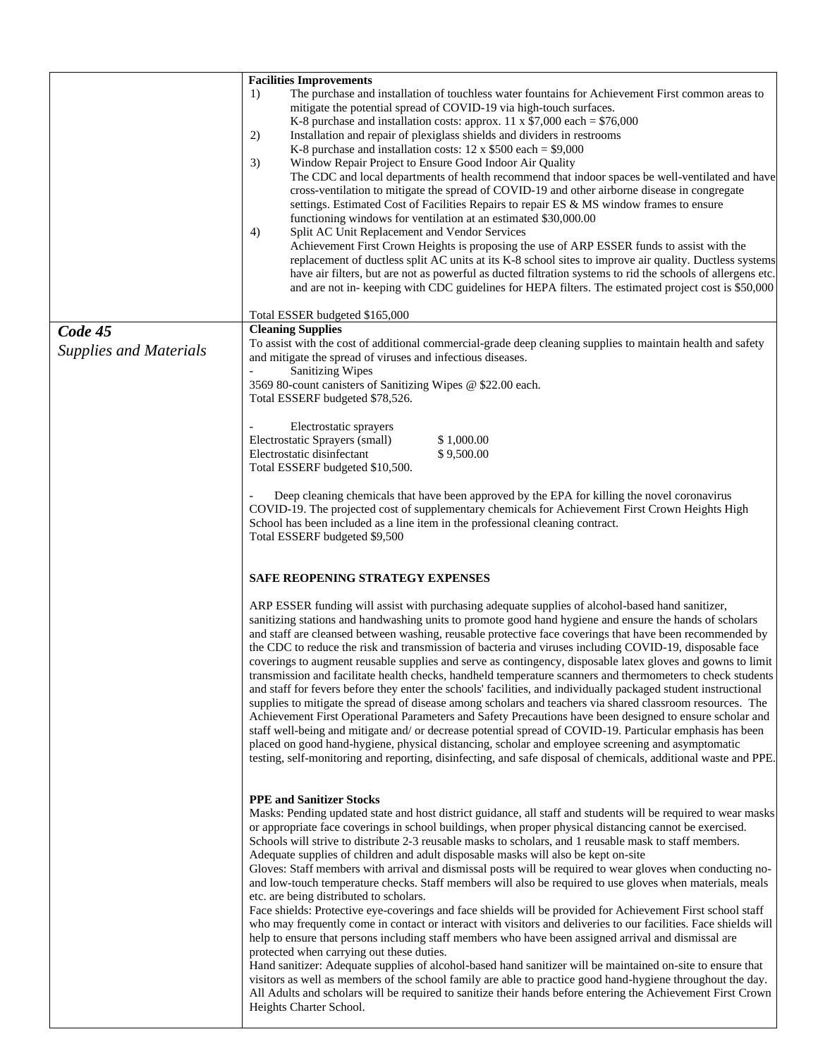|                               | <b>Facilities Improvements</b>                                                                                                                                                                                              |  |
|-------------------------------|-----------------------------------------------------------------------------------------------------------------------------------------------------------------------------------------------------------------------------|--|
|                               | The purchase and installation of touchless water fountains for Achievement First common areas to<br>1)                                                                                                                      |  |
|                               | mitigate the potential spread of COVID-19 via high-touch surfaces.                                                                                                                                                          |  |
|                               | K-8 purchase and installation costs: approx. 11 x $$7,000$ each = $$76,000$                                                                                                                                                 |  |
|                               | Installation and repair of plexiglass shields and dividers in restrooms<br>2)                                                                                                                                               |  |
|                               | K-8 purchase and installation costs: $12 \times $500$ each = \$9,000                                                                                                                                                        |  |
|                               | 3)<br>Window Repair Project to Ensure Good Indoor Air Quality                                                                                                                                                               |  |
|                               | The CDC and local departments of health recommend that indoor spaces be well-ventilated and have                                                                                                                            |  |
|                               | cross-ventilation to mitigate the spread of COVID-19 and other airborne disease in congregate                                                                                                                               |  |
|                               | settings. Estimated Cost of Facilities Repairs to repair ES & MS window frames to ensure                                                                                                                                    |  |
|                               | functioning windows for ventilation at an estimated \$30,000.00                                                                                                                                                             |  |
|                               | Split AC Unit Replacement and Vendor Services<br>4)                                                                                                                                                                         |  |
|                               | Achievement First Crown Heights is proposing the use of ARP ESSER funds to assist with the                                                                                                                                  |  |
|                               | replacement of ductless split AC units at its K-8 school sites to improve air quality. Ductless systems                                                                                                                     |  |
|                               | have air filters, but are not as powerful as ducted filtration systems to rid the schools of allergens etc.                                                                                                                 |  |
|                               | and are not in-keeping with CDC guidelines for HEPA filters. The estimated project cost is \$50,000                                                                                                                         |  |
|                               |                                                                                                                                                                                                                             |  |
|                               | Total ESSER budgeted \$165,000                                                                                                                                                                                              |  |
| Code 45                       | <b>Cleaning Supplies</b>                                                                                                                                                                                                    |  |
| <b>Supplies and Materials</b> | To assist with the cost of additional commercial-grade deep cleaning supplies to maintain health and safety                                                                                                                 |  |
|                               | and mitigate the spread of viruses and infectious diseases.                                                                                                                                                                 |  |
|                               | <b>Sanitizing Wipes</b>                                                                                                                                                                                                     |  |
|                               | 3569 80-count canisters of Sanitizing Wipes @ \$22.00 each.                                                                                                                                                                 |  |
|                               | Total ESSERF budgeted \$78,526.                                                                                                                                                                                             |  |
|                               | Electrostatic sprayers                                                                                                                                                                                                      |  |
|                               | Electrostatic Sprayers (small)<br>\$1,000.00                                                                                                                                                                                |  |
|                               | Electrostatic disinfectant<br>\$9,500.00                                                                                                                                                                                    |  |
|                               | Total ESSERF budgeted \$10,500.                                                                                                                                                                                             |  |
|                               |                                                                                                                                                                                                                             |  |
|                               | Deep cleaning chemicals that have been approved by the EPA for killing the novel coronavirus                                                                                                                                |  |
|                               | COVID-19. The projected cost of supplementary chemicals for Achievement First Crown Heights High                                                                                                                            |  |
|                               | School has been included as a line item in the professional cleaning contract.                                                                                                                                              |  |
|                               | Total ESSERF budgeted \$9,500                                                                                                                                                                                               |  |
|                               |                                                                                                                                                                                                                             |  |
|                               |                                                                                                                                                                                                                             |  |
|                               | SAFE REOPENING STRATEGY EXPENSES                                                                                                                                                                                            |  |
|                               |                                                                                                                                                                                                                             |  |
|                               | ARP ESSER funding will assist with purchasing adequate supplies of alcohol-based hand sanitizer,                                                                                                                            |  |
|                               | sanitizing stations and handwashing units to promote good hand hygiene and ensure the hands of scholars                                                                                                                     |  |
|                               | and staff are cleansed between washing, reusable protective face coverings that have been recommended by                                                                                                                    |  |
|                               | the CDC to reduce the risk and transmission of bacteria and viruses including COVID-19, disposable face                                                                                                                     |  |
|                               | coverings to augment reusable supplies and serve as contingency, disposable latex gloves and gowns to limit                                                                                                                 |  |
|                               | transmission and facilitate health checks, handheld temperature scanners and thermometers to check students                                                                                                                 |  |
|                               | and staff for fevers before they enter the schools' facilities, and individually packaged student instructional                                                                                                             |  |
|                               | supplies to mitigate the spread of disease among scholars and teachers via shared classroom resources. The                                                                                                                  |  |
|                               | Achievement First Operational Parameters and Safety Precautions have been designed to ensure scholar and                                                                                                                    |  |
|                               | staff well-being and mitigate and/ or decrease potential spread of COVID-19. Particular emphasis has been                                                                                                                   |  |
|                               | placed on good hand-hygiene, physical distancing, scholar and employee screening and asymptomatic                                                                                                                           |  |
|                               | testing, self-monitoring and reporting, disinfecting, and safe disposal of chemicals, additional waste and PPE.                                                                                                             |  |
|                               |                                                                                                                                                                                                                             |  |
|                               |                                                                                                                                                                                                                             |  |
|                               | <b>PPE and Sanitizer Stocks</b>                                                                                                                                                                                             |  |
|                               | Masks: Pending updated state and host district guidance, all staff and students will be required to wear masks                                                                                                              |  |
|                               | or appropriate face coverings in school buildings, when proper physical distancing cannot be exercised.                                                                                                                     |  |
|                               | Schools will strive to distribute 2-3 reusable masks to scholars, and 1 reusable mask to staff members.                                                                                                                     |  |
|                               | Adequate supplies of children and adult disposable masks will also be kept on-site                                                                                                                                          |  |
|                               | Gloves: Staff members with arrival and dismissal posts will be required to wear gloves when conducting no-                                                                                                                  |  |
|                               | and low-touch temperature checks. Staff members will also be required to use gloves when materials, meals                                                                                                                   |  |
|                               | etc. are being distributed to scholars.                                                                                                                                                                                     |  |
|                               | Face shields: Protective eye-coverings and face shields will be provided for Achievement First school staff                                                                                                                 |  |
|                               | who may frequently come in contact or interact with visitors and deliveries to our facilities. Face shields will                                                                                                            |  |
|                               | help to ensure that persons including staff members who have been assigned arrival and dismissal are                                                                                                                        |  |
|                               | protected when carrying out these duties.                                                                                                                                                                                   |  |
|                               | Hand sanitizer: Adequate supplies of alcohol-based hand sanitizer will be maintained on-site to ensure that                                                                                                                 |  |
|                               | visitors as well as members of the school family are able to practice good hand-hygiene throughout the day.<br>All Adults and scholars will be required to sanitize their hands before entering the Achievement First Crown |  |
|                               |                                                                                                                                                                                                                             |  |
|                               | Heights Charter School.                                                                                                                                                                                                     |  |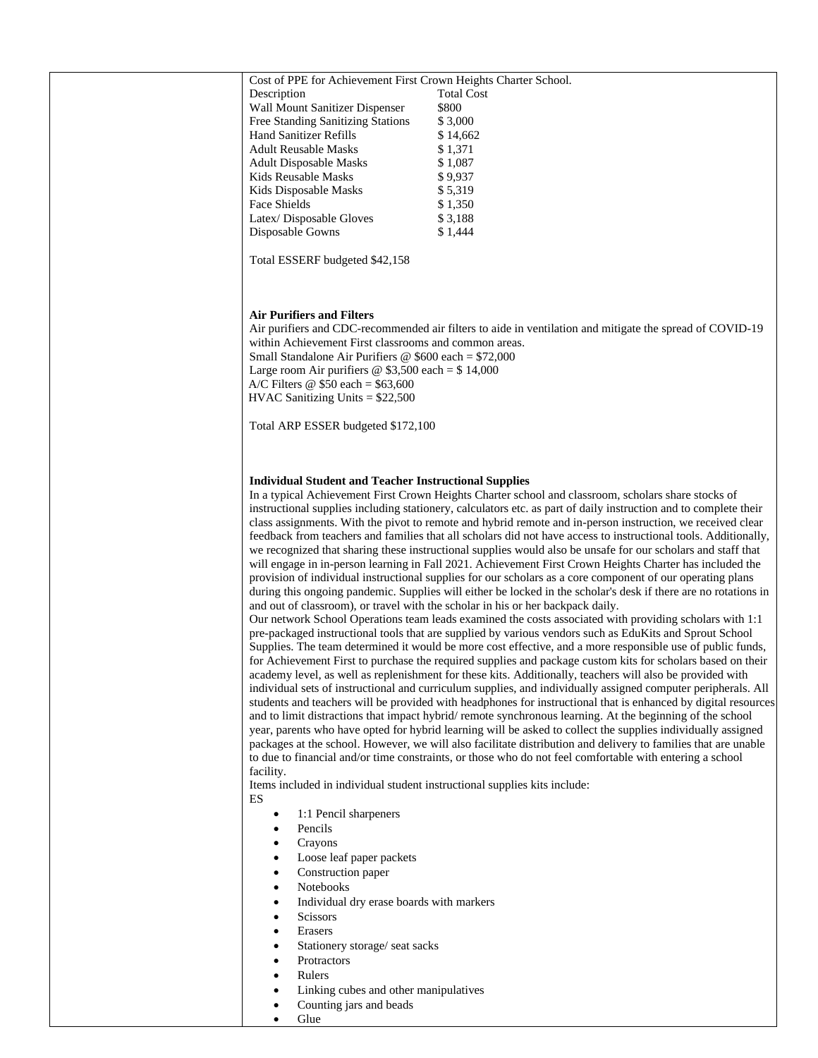| Cost of PPE for Achievement First Crown Heights Charter School.                                                                                                                                                               |                                                                                                                                                                                                                            |
|-------------------------------------------------------------------------------------------------------------------------------------------------------------------------------------------------------------------------------|----------------------------------------------------------------------------------------------------------------------------------------------------------------------------------------------------------------------------|
| Description                                                                                                                                                                                                                   | <b>Total Cost</b>                                                                                                                                                                                                          |
| Wall Mount Sanitizer Dispenser                                                                                                                                                                                                | \$800                                                                                                                                                                                                                      |
| Free Standing Sanitizing Stations                                                                                                                                                                                             | \$3,000                                                                                                                                                                                                                    |
| <b>Hand Sanitizer Refills</b>                                                                                                                                                                                                 | \$14,662                                                                                                                                                                                                                   |
| <b>Adult Reusable Masks</b>                                                                                                                                                                                                   | \$1,371                                                                                                                                                                                                                    |
| <b>Adult Disposable Masks</b>                                                                                                                                                                                                 | \$1,087                                                                                                                                                                                                                    |
| Kids Reusable Masks                                                                                                                                                                                                           | \$9,937                                                                                                                                                                                                                    |
| Kids Disposable Masks                                                                                                                                                                                                         | \$5,319                                                                                                                                                                                                                    |
| Face Shields                                                                                                                                                                                                                  | \$1,350                                                                                                                                                                                                                    |
| Latex/Disposable Gloves                                                                                                                                                                                                       | \$3,188                                                                                                                                                                                                                    |
| Disposable Gowns                                                                                                                                                                                                              | \$1,444                                                                                                                                                                                                                    |
|                                                                                                                                                                                                                               |                                                                                                                                                                                                                            |
| Total ESSERF budgeted \$42,158                                                                                                                                                                                                |                                                                                                                                                                                                                            |
|                                                                                                                                                                                                                               |                                                                                                                                                                                                                            |
|                                                                                                                                                                                                                               |                                                                                                                                                                                                                            |
|                                                                                                                                                                                                                               |                                                                                                                                                                                                                            |
| <b>Air Purifiers and Filters</b>                                                                                                                                                                                              |                                                                                                                                                                                                                            |
|                                                                                                                                                                                                                               | Air purifiers and CDC-recommended air filters to aide in ventilation and mitigate the spread of COVID-19                                                                                                                   |
| within Achievement First classrooms and common areas.                                                                                                                                                                         |                                                                                                                                                                                                                            |
| Small Standalone Air Purifiers $\omega$ \$600 each = \$72,000                                                                                                                                                                 |                                                                                                                                                                                                                            |
| Large room Air purifiers $\circledcirc$ \$3,500 each = \$14,000                                                                                                                                                               |                                                                                                                                                                                                                            |
| A/C Filters $\omega$ \$50 each = \$63,600                                                                                                                                                                                     |                                                                                                                                                                                                                            |
| $HVAC$ Sanitizing Units = \$22,500                                                                                                                                                                                            |                                                                                                                                                                                                                            |
|                                                                                                                                                                                                                               |                                                                                                                                                                                                                            |
| Total ARP ESSER budgeted \$172,100                                                                                                                                                                                            |                                                                                                                                                                                                                            |
|                                                                                                                                                                                                                               |                                                                                                                                                                                                                            |
|                                                                                                                                                                                                                               |                                                                                                                                                                                                                            |
| <b>Individual Student and Teacher Instructional Supplies</b>                                                                                                                                                                  |                                                                                                                                                                                                                            |
|                                                                                                                                                                                                                               | In a typical Achievement First Crown Heights Charter school and classroom, scholars share stocks of                                                                                                                        |
|                                                                                                                                                                                                                               | instructional supplies including stationery, calculators etc. as part of daily instruction and to complete their                                                                                                           |
|                                                                                                                                                                                                                               |                                                                                                                                                                                                                            |
| class assignments. With the pivot to remote and hybrid remote and in-person instruction, we received clear<br>feedback from teachers and families that all scholars did not have access to instructional tools. Additionally, |                                                                                                                                                                                                                            |
| we recognized that sharing these instructional supplies would also be unsafe for our scholars and staff that                                                                                                                  |                                                                                                                                                                                                                            |
| will engage in in-person learning in Fall 2021. Achievement First Crown Heights Charter has included the                                                                                                                      |                                                                                                                                                                                                                            |
|                                                                                                                                                                                                                               | provision of individual instructional supplies for our scholars as a core component of our operating plans                                                                                                                 |
|                                                                                                                                                                                                                               | during this ongoing pandemic. Supplies will either be locked in the scholar's desk if there are no rotations in                                                                                                            |
|                                                                                                                                                                                                                               | and out of classroom), or travel with the scholar in his or her backpack daily.                                                                                                                                            |
|                                                                                                                                                                                                                               | Our network School Operations team leads examined the costs associated with providing scholars with 1:1                                                                                                                    |
|                                                                                                                                                                                                                               | pre-packaged instructional tools that are supplied by various vendors such as EduKits and Sprout School                                                                                                                    |
|                                                                                                                                                                                                                               | Supplies. The team determined it would be more cost effective, and a more responsible use of public funds,                                                                                                                 |
|                                                                                                                                                                                                                               |                                                                                                                                                                                                                            |
|                                                                                                                                                                                                                               | for Achievement First to purchase the required supplies and package custom kits for scholars based on their                                                                                                                |
|                                                                                                                                                                                                                               | academy level, as well as replenishment for these kits. Additionally, teachers will also be provided with<br>individual sets of instructional and curriculum supplies, and individually assigned computer peripherals. All |
|                                                                                                                                                                                                                               | students and teachers will be provided with headphones for instructional that is enhanced by digital resources                                                                                                             |
|                                                                                                                                                                                                                               | and to limit distractions that impact hybrid/remote synchronous learning. At the beginning of the school                                                                                                                   |
|                                                                                                                                                                                                                               | year, parents who have opted for hybrid learning will be asked to collect the supplies individually assigned                                                                                                               |
|                                                                                                                                                                                                                               | packages at the school. However, we will also facilitate distribution and delivery to families that are unable                                                                                                             |
|                                                                                                                                                                                                                               | to due to financial and/or time constraints, or those who do not feel comfortable with entering a school                                                                                                                   |
| facility.                                                                                                                                                                                                                     |                                                                                                                                                                                                                            |
| Items included in individual student instructional supplies kits include:                                                                                                                                                     |                                                                                                                                                                                                                            |
| ES                                                                                                                                                                                                                            |                                                                                                                                                                                                                            |
| 1:1 Pencil sharpeners<br>$\bullet$                                                                                                                                                                                            |                                                                                                                                                                                                                            |
| Pencils<br>$\bullet$                                                                                                                                                                                                          |                                                                                                                                                                                                                            |
| Crayons<br>$\bullet$                                                                                                                                                                                                          |                                                                                                                                                                                                                            |
| Loose leaf paper packets                                                                                                                                                                                                      |                                                                                                                                                                                                                            |
| Construction paper<br>$\bullet$                                                                                                                                                                                               |                                                                                                                                                                                                                            |
| Notebooks                                                                                                                                                                                                                     |                                                                                                                                                                                                                            |
| $\bullet$<br>Individual dry erase boards with markers                                                                                                                                                                         |                                                                                                                                                                                                                            |
| $\bullet$                                                                                                                                                                                                                     |                                                                                                                                                                                                                            |
| Scissors<br>$\bullet$                                                                                                                                                                                                         |                                                                                                                                                                                                                            |
| Erasers<br>$\bullet$                                                                                                                                                                                                          |                                                                                                                                                                                                                            |
| Stationery storage/ seat sacks                                                                                                                                                                                                |                                                                                                                                                                                                                            |
| Protractors<br>$\bullet$                                                                                                                                                                                                      |                                                                                                                                                                                                                            |
| Rulers<br>$\bullet$                                                                                                                                                                                                           |                                                                                                                                                                                                                            |
| Linking cubes and other manipulatives<br>$\bullet$                                                                                                                                                                            |                                                                                                                                                                                                                            |
| Counting jars and beads                                                                                                                                                                                                       |                                                                                                                                                                                                                            |
| Glue<br>$\bullet$                                                                                                                                                                                                             |                                                                                                                                                                                                                            |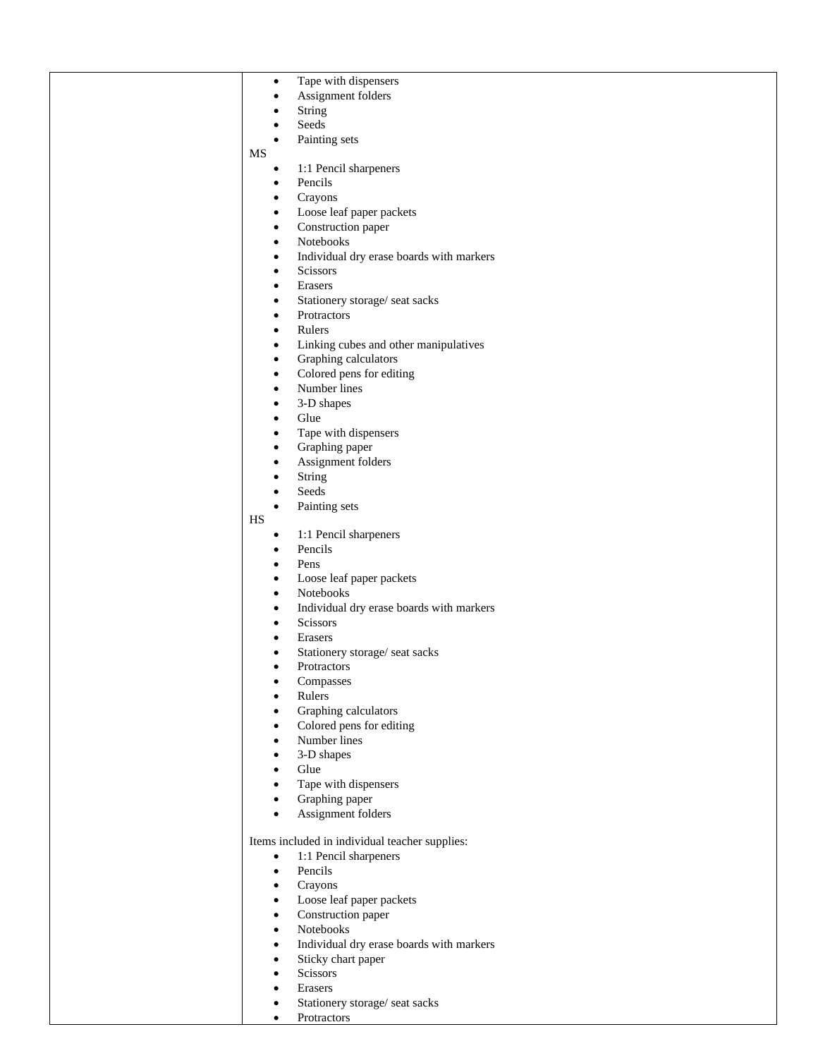| $\bullet$              | Tape with dispensers                           |
|------------------------|------------------------------------------------|
| $\bullet$              | Assignment folders                             |
| $\bullet$              | String                                         |
| $\bullet$              | Seeds                                          |
| $\bullet$              | Painting sets                                  |
| MS                     |                                                |
| $\bullet$              | 1:1 Pencil sharpeners                          |
| $\bullet$              | Pencils                                        |
| $\bullet$              | Crayons                                        |
| $\bullet$              | Loose leaf paper packets                       |
| $\bullet$              | Construction paper<br>Notebooks                |
| $\bullet$              | Individual dry erase boards with markers       |
| $\bullet$<br>$\bullet$ | Scissors                                       |
| $\bullet$              | Erasers                                        |
| $\bullet$              | Stationery storage/ seat sacks                 |
| $\bullet$              | Protractors                                    |
| $\bullet$              | Rulers                                         |
| $\bullet$              | Linking cubes and other manipulatives          |
| $\bullet$              | Graphing calculators                           |
| $\bullet$              | Colored pens for editing                       |
| $\bullet$              | Number lines                                   |
| $\bullet$              | 3-D shapes                                     |
| $\bullet$              | Glue                                           |
| $\bullet$              | Tape with dispensers                           |
| $\bullet$              | Graphing paper                                 |
| $\bullet$              | Assignment folders                             |
| $\bullet$              | String                                         |
| $\bullet$              | Seeds                                          |
| $\bullet$              | Painting sets                                  |
| HS                     |                                                |
| $\bullet$              | 1:1 Pencil sharpeners                          |
| $\bullet$              | Pencils                                        |
| $\bullet$              | Pens                                           |
| $\bullet$              | Loose leaf paper packets                       |
| $\bullet$              | Notebooks                                      |
| $\bullet$              | Individual dry erase boards with markers       |
| $\bullet$              | Scissors                                       |
| $\bullet$              | Erasers                                        |
| $\bullet$              | Stationery storage/ seat sacks                 |
| $\bullet$              | Protractors                                    |
| $\bullet$              | Compasses                                      |
| $\bullet$              | Rulers<br>Graphing calculators                 |
| $\bullet$<br>$\bullet$ | Colored pens for editing                       |
| $\bullet$              | Number lines                                   |
| $\bullet$              | 3-D shapes                                     |
| $\bullet$              | Glue                                           |
| $\bullet$              | Tape with dispensers                           |
| $\bullet$              | Graphing paper                                 |
| $\bullet$              | Assignment folders                             |
|                        |                                                |
|                        | Items included in individual teacher supplies: |
| $\bullet$              | 1:1 Pencil sharpeners                          |
| $\bullet$              | Pencils                                        |
| $\bullet$              | Crayons                                        |
| $\bullet$              | Loose leaf paper packets                       |
| $\bullet$              | Construction paper                             |
| $\bullet$              | Notebooks                                      |
| $\bullet$              | Individual dry erase boards with markers       |
| $\bullet$              | Sticky chart paper                             |
| $\bullet$              | Scissors                                       |
| $\bullet$              | Erasers                                        |
| $\bullet$              | Stationery storage/ seat sacks                 |
| $\bullet$              | Protractors                                    |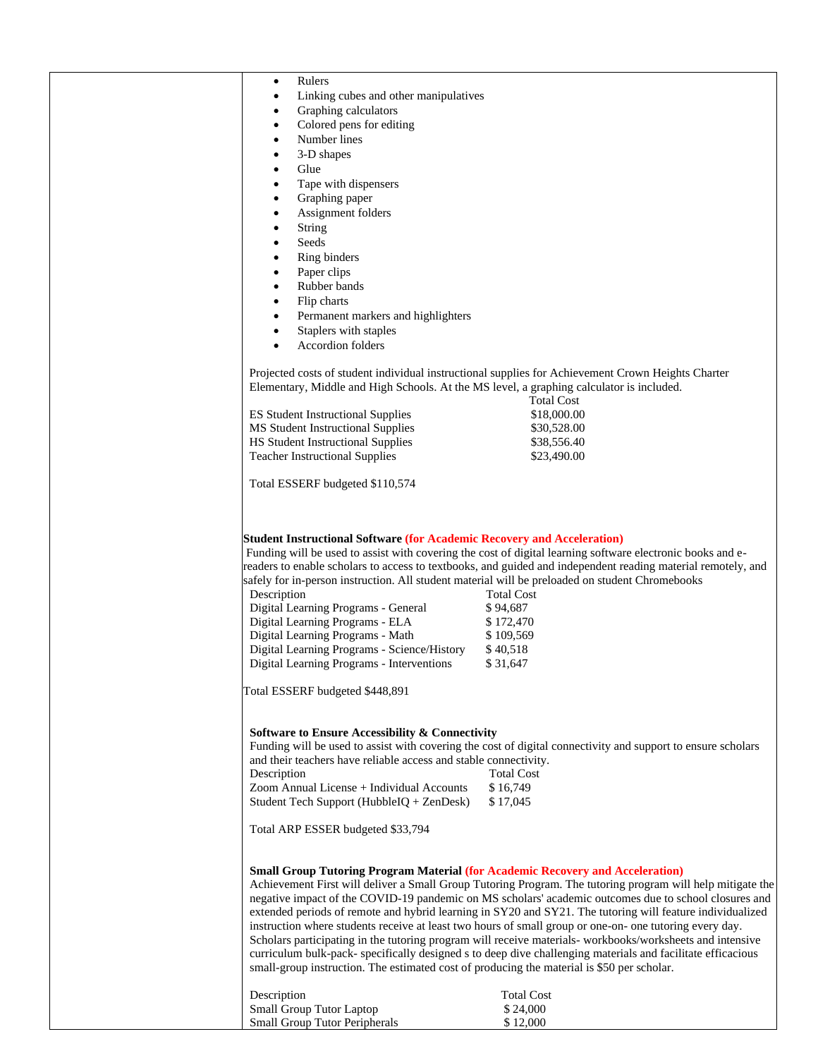| Rulers<br>٠                                                                                                                                                                                                                                                                                                                                                                                                                                                                                                                                                                                                                                                                                                                                                                                                                                 |                                                                                                                                                                                                                                                                                                                                                                                                                                                                                                                                                                                              |
|---------------------------------------------------------------------------------------------------------------------------------------------------------------------------------------------------------------------------------------------------------------------------------------------------------------------------------------------------------------------------------------------------------------------------------------------------------------------------------------------------------------------------------------------------------------------------------------------------------------------------------------------------------------------------------------------------------------------------------------------------------------------------------------------------------------------------------------------|----------------------------------------------------------------------------------------------------------------------------------------------------------------------------------------------------------------------------------------------------------------------------------------------------------------------------------------------------------------------------------------------------------------------------------------------------------------------------------------------------------------------------------------------------------------------------------------------|
|                                                                                                                                                                                                                                                                                                                                                                                                                                                                                                                                                                                                                                                                                                                                                                                                                                             |                                                                                                                                                                                                                                                                                                                                                                                                                                                                                                                                                                                              |
| Linking cubes and other manipulatives<br>٠                                                                                                                                                                                                                                                                                                                                                                                                                                                                                                                                                                                                                                                                                                                                                                                                  |                                                                                                                                                                                                                                                                                                                                                                                                                                                                                                                                                                                              |
|                                                                                                                                                                                                                                                                                                                                                                                                                                                                                                                                                                                                                                                                                                                                                                                                                                             |                                                                                                                                                                                                                                                                                                                                                                                                                                                                                                                                                                                              |
| Graphing calculators<br>٠                                                                                                                                                                                                                                                                                                                                                                                                                                                                                                                                                                                                                                                                                                                                                                                                                   |                                                                                                                                                                                                                                                                                                                                                                                                                                                                                                                                                                                              |
| Colored pens for editing<br>٠                                                                                                                                                                                                                                                                                                                                                                                                                                                                                                                                                                                                                                                                                                                                                                                                               |                                                                                                                                                                                                                                                                                                                                                                                                                                                                                                                                                                                              |
| Number lines<br>٠                                                                                                                                                                                                                                                                                                                                                                                                                                                                                                                                                                                                                                                                                                                                                                                                                           |                                                                                                                                                                                                                                                                                                                                                                                                                                                                                                                                                                                              |
| 3-D shapes                                                                                                                                                                                                                                                                                                                                                                                                                                                                                                                                                                                                                                                                                                                                                                                                                                  |                                                                                                                                                                                                                                                                                                                                                                                                                                                                                                                                                                                              |
| Glue<br>$\bullet$                                                                                                                                                                                                                                                                                                                                                                                                                                                                                                                                                                                                                                                                                                                                                                                                                           |                                                                                                                                                                                                                                                                                                                                                                                                                                                                                                                                                                                              |
|                                                                                                                                                                                                                                                                                                                                                                                                                                                                                                                                                                                                                                                                                                                                                                                                                                             |                                                                                                                                                                                                                                                                                                                                                                                                                                                                                                                                                                                              |
| Tape with dispensers<br>٠                                                                                                                                                                                                                                                                                                                                                                                                                                                                                                                                                                                                                                                                                                                                                                                                                   |                                                                                                                                                                                                                                                                                                                                                                                                                                                                                                                                                                                              |
| Graphing paper<br>٠                                                                                                                                                                                                                                                                                                                                                                                                                                                                                                                                                                                                                                                                                                                                                                                                                         |                                                                                                                                                                                                                                                                                                                                                                                                                                                                                                                                                                                              |
| Assignment folders<br>٠                                                                                                                                                                                                                                                                                                                                                                                                                                                                                                                                                                                                                                                                                                                                                                                                                     |                                                                                                                                                                                                                                                                                                                                                                                                                                                                                                                                                                                              |
| String<br>٠                                                                                                                                                                                                                                                                                                                                                                                                                                                                                                                                                                                                                                                                                                                                                                                                                                 |                                                                                                                                                                                                                                                                                                                                                                                                                                                                                                                                                                                              |
| Seeds                                                                                                                                                                                                                                                                                                                                                                                                                                                                                                                                                                                                                                                                                                                                                                                                                                       |                                                                                                                                                                                                                                                                                                                                                                                                                                                                                                                                                                                              |
| ٠                                                                                                                                                                                                                                                                                                                                                                                                                                                                                                                                                                                                                                                                                                                                                                                                                                           |                                                                                                                                                                                                                                                                                                                                                                                                                                                                                                                                                                                              |
| Ring binders<br>٠                                                                                                                                                                                                                                                                                                                                                                                                                                                                                                                                                                                                                                                                                                                                                                                                                           |                                                                                                                                                                                                                                                                                                                                                                                                                                                                                                                                                                                              |
| Paper clips<br>٠                                                                                                                                                                                                                                                                                                                                                                                                                                                                                                                                                                                                                                                                                                                                                                                                                            |                                                                                                                                                                                                                                                                                                                                                                                                                                                                                                                                                                                              |
| Rubber bands<br>$\bullet$                                                                                                                                                                                                                                                                                                                                                                                                                                                                                                                                                                                                                                                                                                                                                                                                                   |                                                                                                                                                                                                                                                                                                                                                                                                                                                                                                                                                                                              |
| Flip charts<br>٠                                                                                                                                                                                                                                                                                                                                                                                                                                                                                                                                                                                                                                                                                                                                                                                                                            |                                                                                                                                                                                                                                                                                                                                                                                                                                                                                                                                                                                              |
|                                                                                                                                                                                                                                                                                                                                                                                                                                                                                                                                                                                                                                                                                                                                                                                                                                             |                                                                                                                                                                                                                                                                                                                                                                                                                                                                                                                                                                                              |
| Permanent markers and highlighters<br>٠                                                                                                                                                                                                                                                                                                                                                                                                                                                                                                                                                                                                                                                                                                                                                                                                     |                                                                                                                                                                                                                                                                                                                                                                                                                                                                                                                                                                                              |
| Staplers with staples                                                                                                                                                                                                                                                                                                                                                                                                                                                                                                                                                                                                                                                                                                                                                                                                                       |                                                                                                                                                                                                                                                                                                                                                                                                                                                                                                                                                                                              |
| <b>Accordion folders</b>                                                                                                                                                                                                                                                                                                                                                                                                                                                                                                                                                                                                                                                                                                                                                                                                                    |                                                                                                                                                                                                                                                                                                                                                                                                                                                                                                                                                                                              |
|                                                                                                                                                                                                                                                                                                                                                                                                                                                                                                                                                                                                                                                                                                                                                                                                                                             |                                                                                                                                                                                                                                                                                                                                                                                                                                                                                                                                                                                              |
|                                                                                                                                                                                                                                                                                                                                                                                                                                                                                                                                                                                                                                                                                                                                                                                                                                             |                                                                                                                                                                                                                                                                                                                                                                                                                                                                                                                                                                                              |
| Projected costs of student individual instructional supplies for Achievement Crown Heights Charter                                                                                                                                                                                                                                                                                                                                                                                                                                                                                                                                                                                                                                                                                                                                          |                                                                                                                                                                                                                                                                                                                                                                                                                                                                                                                                                                                              |
| Elementary, Middle and High Schools. At the MS level, a graphing calculator is included.                                                                                                                                                                                                                                                                                                                                                                                                                                                                                                                                                                                                                                                                                                                                                    |                                                                                                                                                                                                                                                                                                                                                                                                                                                                                                                                                                                              |
|                                                                                                                                                                                                                                                                                                                                                                                                                                                                                                                                                                                                                                                                                                                                                                                                                                             | <b>Total Cost</b>                                                                                                                                                                                                                                                                                                                                                                                                                                                                                                                                                                            |
| <b>ES Student Instructional Supplies</b>                                                                                                                                                                                                                                                                                                                                                                                                                                                                                                                                                                                                                                                                                                                                                                                                    | \$18,000.00                                                                                                                                                                                                                                                                                                                                                                                                                                                                                                                                                                                  |
| MS Student Instructional Supplies                                                                                                                                                                                                                                                                                                                                                                                                                                                                                                                                                                                                                                                                                                                                                                                                           | \$30,528.00                                                                                                                                                                                                                                                                                                                                                                                                                                                                                                                                                                                  |
| HS Student Instructional Supplies                                                                                                                                                                                                                                                                                                                                                                                                                                                                                                                                                                                                                                                                                                                                                                                                           | \$38,556.40                                                                                                                                                                                                                                                                                                                                                                                                                                                                                                                                                                                  |
|                                                                                                                                                                                                                                                                                                                                                                                                                                                                                                                                                                                                                                                                                                                                                                                                                                             |                                                                                                                                                                                                                                                                                                                                                                                                                                                                                                                                                                                              |
| <b>Teacher Instructional Supplies</b>                                                                                                                                                                                                                                                                                                                                                                                                                                                                                                                                                                                                                                                                                                                                                                                                       | \$23,490.00                                                                                                                                                                                                                                                                                                                                                                                                                                                                                                                                                                                  |
|                                                                                                                                                                                                                                                                                                                                                                                                                                                                                                                                                                                                                                                                                                                                                                                                                                             |                                                                                                                                                                                                                                                                                                                                                                                                                                                                                                                                                                                              |
| Total ESSERF budgeted \$110,574                                                                                                                                                                                                                                                                                                                                                                                                                                                                                                                                                                                                                                                                                                                                                                                                             |                                                                                                                                                                                                                                                                                                                                                                                                                                                                                                                                                                                              |
|                                                                                                                                                                                                                                                                                                                                                                                                                                                                                                                                                                                                                                                                                                                                                                                                                                             |                                                                                                                                                                                                                                                                                                                                                                                                                                                                                                                                                                                              |
| <b>Student Instructional Software (for Academic Recovery and Acceleration)</b><br>Funding will be used to assist with covering the cost of digital learning software electronic books and e-<br>safely for in-person instruction. All student material will be preloaded on student Chromebooks<br>Description<br>Digital Learning Programs - General<br>Digital Learning Programs - ELA<br>Digital Learning Programs - Math<br>Digital Learning Programs - Science/History<br>Digital Learning Programs - Interventions<br>Total ESSERF budgeted \$448,891<br><b>Software to Ensure Accessibility &amp; Connectivity</b><br>and their teachers have reliable access and stable connectivity.<br>Description<br>Zoom Annual License + Individual Accounts<br>Student Tech Support (HubbleIQ + ZenDesk)<br>Total ARP ESSER budgeted \$33,794 | readers to enable scholars to access to textbooks, and guided and independent reading material remotely, and<br><b>Total Cost</b><br>\$94,687<br>\$172,470<br>\$109,569<br>\$40,518<br>\$31,647<br>Funding will be used to assist with covering the cost of digital connectivity and support to ensure scholars<br><b>Total Cost</b><br>\$16,749<br>\$17,045                                                                                                                                                                                                                                 |
| <b>Small Group Tutoring Program Material (for Academic Recovery and Acceleration)</b><br>instruction where students receive at least two hours of small group or one-on- one tutoring every day.<br>small-group instruction. The estimated cost of producing the material is \$50 per scholar.<br>Description<br><b>Small Group Tutor Laptop</b>                                                                                                                                                                                                                                                                                                                                                                                                                                                                                            | Achievement First will deliver a Small Group Tutoring Program. The tutoring program will help mitigate the<br>negative impact of the COVID-19 pandemic on MS scholars' academic outcomes due to school closures and<br>extended periods of remote and hybrid learning in SY20 and SY21. The tutoring will feature individualized<br>Scholars participating in the tutoring program will receive materials-workbooks/worksheets and intensive<br>curriculum bulk-pack- specifically designed s to deep dive challenging materials and facilitate efficacious<br><b>Total Cost</b><br>\$24,000 |
| Small Group Tutor Peripherals                                                                                                                                                                                                                                                                                                                                                                                                                                                                                                                                                                                                                                                                                                                                                                                                               | \$12,000                                                                                                                                                                                                                                                                                                                                                                                                                                                                                                                                                                                     |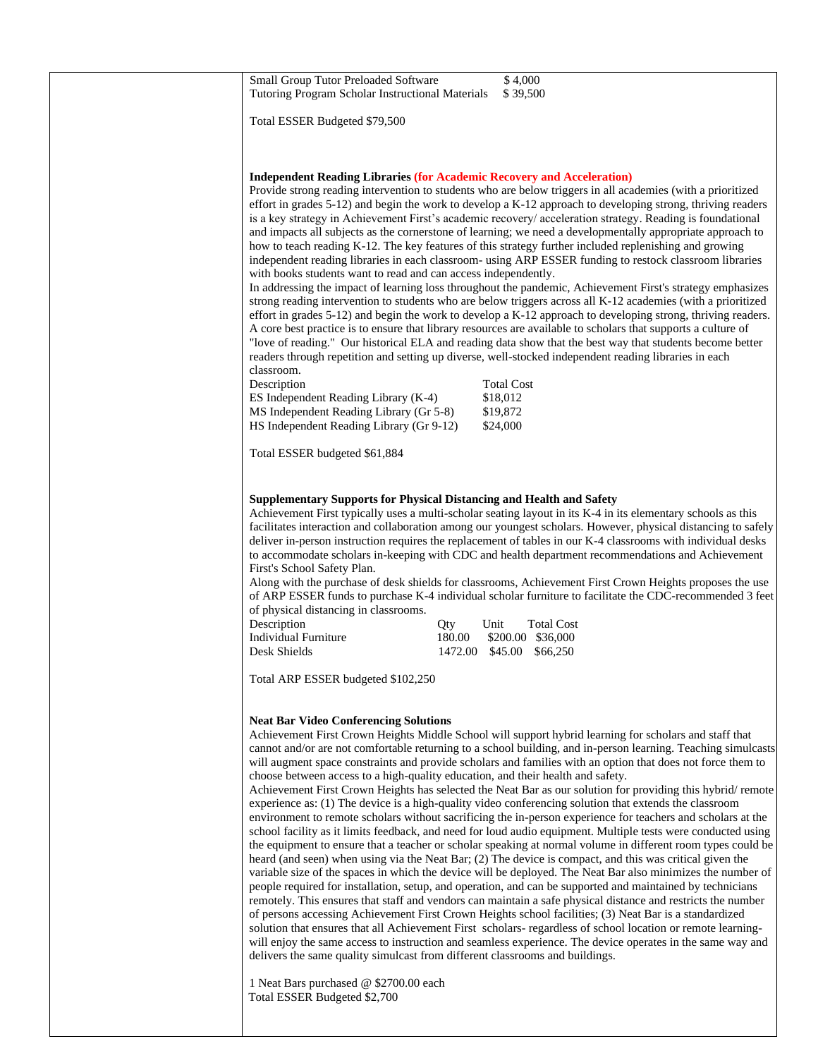| Small Group Tutor Preloaded Software<br>Tutoring Program Scholar Instructional Materials                                                                                                                                           | \$4,000<br>\$39,500                                                                                                                                                                                                                                                                                                                                                                                                                                                                                                                                                                                                                                                                                                                                                                                                                                                                                                                                                                                                                                                                                                                                                                                                                                                                                                                                                                                                                                                                                                                                                                                                                                                                                             |
|------------------------------------------------------------------------------------------------------------------------------------------------------------------------------------------------------------------------------------|-----------------------------------------------------------------------------------------------------------------------------------------------------------------------------------------------------------------------------------------------------------------------------------------------------------------------------------------------------------------------------------------------------------------------------------------------------------------------------------------------------------------------------------------------------------------------------------------------------------------------------------------------------------------------------------------------------------------------------------------------------------------------------------------------------------------------------------------------------------------------------------------------------------------------------------------------------------------------------------------------------------------------------------------------------------------------------------------------------------------------------------------------------------------------------------------------------------------------------------------------------------------------------------------------------------------------------------------------------------------------------------------------------------------------------------------------------------------------------------------------------------------------------------------------------------------------------------------------------------------------------------------------------------------------------------------------------------------|
| Total ESSER Budgeted \$79,500                                                                                                                                                                                                      |                                                                                                                                                                                                                                                                                                                                                                                                                                                                                                                                                                                                                                                                                                                                                                                                                                                                                                                                                                                                                                                                                                                                                                                                                                                                                                                                                                                                                                                                                                                                                                                                                                                                                                                 |
|                                                                                                                                                                                                                                    |                                                                                                                                                                                                                                                                                                                                                                                                                                                                                                                                                                                                                                                                                                                                                                                                                                                                                                                                                                                                                                                                                                                                                                                                                                                                                                                                                                                                                                                                                                                                                                                                                                                                                                                 |
| <b>Independent Reading Libraries (for Academic Recovery and Acceleration)</b><br>with books students want to read and can access independently.<br>classroom.<br>Description<br>ES Independent Reading Library (K-4)               | Provide strong reading intervention to students who are below triggers in all academies (with a prioritized<br>effort in grades $5-12$ ) and begin the work to develop a K-12 approach to developing strong, thriving readers<br>is a key strategy in Achievement First's academic recovery/ acceleration strategy. Reading is foundational<br>and impacts all subjects as the cornerstone of learning; we need a developmentally appropriate approach to<br>how to teach reading K-12. The key features of this strategy further included replenishing and growing<br>independent reading libraries in each classroom- using ARP ESSER funding to restock classroom libraries<br>In addressing the impact of learning loss throughout the pandemic, Achievement First's strategy emphasizes<br>strong reading intervention to students who are below triggers across all K-12 academies (with a prioritized<br>effort in grades 5-12) and begin the work to develop a K-12 approach to developing strong, thriving readers.<br>A core best practice is to ensure that library resources are available to scholars that supports a culture of<br>"love of reading." Our historical ELA and reading data show that the best way that students become better<br>readers through repetition and setting up diverse, well-stocked independent reading libraries in each<br><b>Total Cost</b><br>\$18,012                                                                                                                                                                                                                                                                                                            |
| MS Independent Reading Library (Gr 5-8)                                                                                                                                                                                            | \$19,872                                                                                                                                                                                                                                                                                                                                                                                                                                                                                                                                                                                                                                                                                                                                                                                                                                                                                                                                                                                                                                                                                                                                                                                                                                                                                                                                                                                                                                                                                                                                                                                                                                                                                                        |
| HS Independent Reading Library (Gr 9-12)<br>Total ESSER budgeted \$61,884                                                                                                                                                          | \$24,000                                                                                                                                                                                                                                                                                                                                                                                                                                                                                                                                                                                                                                                                                                                                                                                                                                                                                                                                                                                                                                                                                                                                                                                                                                                                                                                                                                                                                                                                                                                                                                                                                                                                                                        |
|                                                                                                                                                                                                                                    |                                                                                                                                                                                                                                                                                                                                                                                                                                                                                                                                                                                                                                                                                                                                                                                                                                                                                                                                                                                                                                                                                                                                                                                                                                                                                                                                                                                                                                                                                                                                                                                                                                                                                                                 |
| <b>Supplementary Supports for Physical Distancing and Health and Safety</b><br>First's School Safety Plan.<br>of physical distancing in classrooms.<br>Description<br>Qty<br><b>Individual Furniture</b><br>180.00<br>Desk Shields | Achievement First typically uses a multi-scholar seating layout in its K-4 in its elementary schools as this<br>facilitates interaction and collaboration among our youngest scholars. However, physical distancing to safely<br>deliver in-person instruction requires the replacement of tables in our K-4 classrooms with individual desks<br>to accommodate scholars in-keeping with CDC and health department recommendations and Achievement<br>Along with the purchase of desk shields for classrooms, Achievement First Crown Heights proposes the use<br>of ARP ESSER funds to purchase K-4 individual scholar furniture to facilitate the CDC-recommended 3 feet<br><b>Total Cost</b><br>Unit<br>\$200.00 \$36,000<br>1472.00 \$45.00 \$66,250                                                                                                                                                                                                                                                                                                                                                                                                                                                                                                                                                                                                                                                                                                                                                                                                                                                                                                                                                        |
| Total ARP ESSER budgeted \$102,250                                                                                                                                                                                                 |                                                                                                                                                                                                                                                                                                                                                                                                                                                                                                                                                                                                                                                                                                                                                                                                                                                                                                                                                                                                                                                                                                                                                                                                                                                                                                                                                                                                                                                                                                                                                                                                                                                                                                                 |
| <b>Neat Bar Video Conferencing Solutions</b><br>choose between access to a high-quality education, and their health and safety.<br>delivers the same quality simulcast from different classrooms and buildings.                    | Achievement First Crown Heights Middle School will support hybrid learning for scholars and staff that<br>cannot and/or are not comfortable returning to a school building, and in-person learning. Teaching simulcasts<br>will augment space constraints and provide scholars and families with an option that does not force them to<br>Achievement First Crown Heights has selected the Neat Bar as our solution for providing this hybrid/remote<br>experience as: (1) The device is a high-quality video conferencing solution that extends the classroom<br>environment to remote scholars without sacrificing the in-person experience for teachers and scholars at the<br>school facility as it limits feedback, and need for loud audio equipment. Multiple tests were conducted using<br>the equipment to ensure that a teacher or scholar speaking at normal volume in different room types could be<br>heard (and seen) when using via the Neat Bar; (2) The device is compact, and this was critical given the<br>variable size of the spaces in which the device will be deployed. The Neat Bar also minimizes the number of<br>people required for installation, setup, and operation, and can be supported and maintained by technicians<br>remotely. This ensures that staff and vendors can maintain a safe physical distance and restricts the number<br>of persons accessing Achievement First Crown Heights school facilities; (3) Neat Bar is a standardized<br>solution that ensures that all Achievement First scholars-regardless of school location or remote learning-<br>will enjoy the same access to instruction and seamless experience. The device operates in the same way and |
|                                                                                                                                                                                                                                    |                                                                                                                                                                                                                                                                                                                                                                                                                                                                                                                                                                                                                                                                                                                                                                                                                                                                                                                                                                                                                                                                                                                                                                                                                                                                                                                                                                                                                                                                                                                                                                                                                                                                                                                 |

1 Neat Bars purchased @ \$2700.00 each Total ESSER Budgeted \$2,700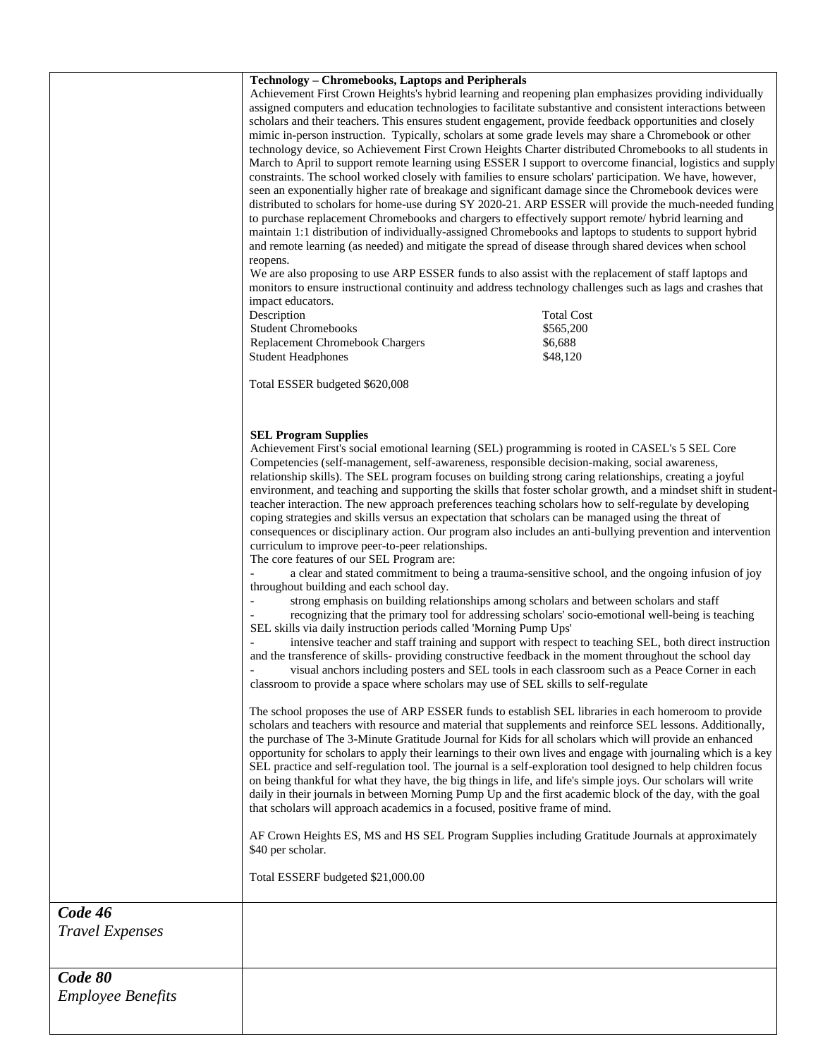|                                   | <b>Technology - Chromebooks, Laptops and Peripherals</b><br>Achievement First Crown Heights's hybrid learning and reopening plan emphasizes providing individually<br>assigned computers and education technologies to facilitate substantive and consistent interactions between<br>scholars and their teachers. This ensures student engagement, provide feedback opportunities and closely<br>mimic in-person instruction. Typically, scholars at some grade levels may share a Chromebook or other<br>technology device, so Achievement First Crown Heights Charter distributed Chromebooks to all students in<br>March to April to support remote learning using ESSER I support to overcome financial, logistics and supply<br>constraints. The school worked closely with families to ensure scholars' participation. We have, however,<br>seen an exponentially higher rate of breakage and significant damage since the Chromebook devices were<br>distributed to scholars for home-use during SY 2020-21. ARP ESSER will provide the much-needed funding<br>to purchase replacement Chromebooks and chargers to effectively support remote/ hybrid learning and<br>maintain 1:1 distribution of individually-assigned Chromebooks and laptops to students to support hybrid<br>and remote learning (as needed) and mitigate the spread of disease through shared devices when school<br>reopens.<br>We are also proposing to use ARP ESSER funds to also assist with the replacement of staff laptops and<br>monitors to ensure instructional continuity and address technology challenges such as lags and crashes that<br>impact educators.<br>Description<br><b>Total Cost</b><br><b>Student Chromebooks</b><br>\$565,200<br>\$6,688<br>Replacement Chromebook Chargers<br><b>Student Headphones</b><br>\$48,120<br>Total ESSER budgeted \$620,008<br><b>SEL Program Supplies</b><br>Achievement First's social emotional learning (SEL) programming is rooted in CASEL's 5 SEL Core<br>Competencies (self-management, self-awareness, responsible decision-making, social awareness,<br>relationship skills). The SEL program focuses on building strong caring relationships, creating a joyful<br>environment, and teaching and supporting the skills that foster scholar growth, and a mindset shift in student-<br>teacher interaction. The new approach preferences teaching scholars how to self-regulate by developing<br>coping strategies and skills versus an expectation that scholars can be managed using the threat of<br>consequences or disciplinary action. Our program also includes an anti-bullying prevention and intervention<br>curriculum to improve peer-to-peer relationships.<br>The core features of our SEL Program are:<br>a clear and stated commitment to being a trauma-sensitive school, and the ongoing infusion of joy<br>throughout building and each school day.<br>strong emphasis on building relationships among scholars and between scholars and staff<br>recognizing that the primary tool for addressing scholars' socio-emotional well-being is teaching<br>SEL skills via daily instruction periods called 'Morning Pump Ups'<br>intensive teacher and staff training and support with respect to teaching SEL, both direct instruction<br>and the transference of skills- providing constructive feedback in the moment throughout the school day<br>visual anchors including posters and SEL tools in each classroom such as a Peace Corner in each<br>classroom to provide a space where scholars may use of SEL skills to self-regulate<br>The school proposes the use of ARP ESSER funds to establish SEL libraries in each homeroom to provide<br>scholars and teachers with resource and material that supplements and reinforce SEL lessons. Additionally,<br>the purchase of The 3-Minute Gratitude Journal for Kids for all scholars which will provide an enhanced<br>opportunity for scholars to apply their learnings to their own lives and engage with journaling which is a key<br>SEL practice and self-regulation tool. The journal is a self-exploration tool designed to help children focus<br>on being thankful for what they have, the big things in life, and life's simple joys. Our scholars will write<br>daily in their journals in between Morning Pump Up and the first academic block of the day, with the goal<br>that scholars will approach academics in a focused, positive frame of mind.<br>AF Crown Heights ES, MS and HS SEL Program Supplies including Gratitude Journals at approximately |  |
|-----------------------------------|-------------------------------------------------------------------------------------------------------------------------------------------------------------------------------------------------------------------------------------------------------------------------------------------------------------------------------------------------------------------------------------------------------------------------------------------------------------------------------------------------------------------------------------------------------------------------------------------------------------------------------------------------------------------------------------------------------------------------------------------------------------------------------------------------------------------------------------------------------------------------------------------------------------------------------------------------------------------------------------------------------------------------------------------------------------------------------------------------------------------------------------------------------------------------------------------------------------------------------------------------------------------------------------------------------------------------------------------------------------------------------------------------------------------------------------------------------------------------------------------------------------------------------------------------------------------------------------------------------------------------------------------------------------------------------------------------------------------------------------------------------------------------------------------------------------------------------------------------------------------------------------------------------------------------------------------------------------------------------------------------------------------------------------------------------------------------------------------------------------------------------------------------------------------------------------------------------------------------------------------------------------------------------------------------------------------------------------------------------------------------------------------------------------------------------------------------------------------------------------------------------------------------------------------------------------------------------------------------------------------------------------------------------------------------------------------------------------------------------------------------------------------------------------------------------------------------------------------------------------------------------------------------------------------------------------------------------------------------------------------------------------------------------------------------------------------------------------------------------------------------------------------------------------------------------------------------------------------------------------------------------------------------------------------------------------------------------------------------------------------------------------------------------------------------------------------------------------------------------------------------------------------------------------------------------------------------------------------------------------------------------------------------------------------------------------------------------------------------------------------------------------------------------------------------------------------------------------------------------------------------------------------------------------------------------------------------------------------------------------------------------------------------------------------------------------------------------------------------------------------------------------------------------------------------------------------------------------------------------------------------------------------------------------------------------------------------------------------------------------------------------------------------------------------------------------------------------------------------------------------------------------------------------------------------------------------------------------------------|--|
|                                   | \$40 per scholar.<br>Total ESSERF budgeted \$21,000.00                                                                                                                                                                                                                                                                                                                                                                                                                                                                                                                                                                                                                                                                                                                                                                                                                                                                                                                                                                                                                                                                                                                                                                                                                                                                                                                                                                                                                                                                                                                                                                                                                                                                                                                                                                                                                                                                                                                                                                                                                                                                                                                                                                                                                                                                                                                                                                                                                                                                                                                                                                                                                                                                                                                                                                                                                                                                                                                                                                                                                                                                                                                                                                                                                                                                                                                                                                                                                                                                                                                                                                                                                                                                                                                                                                                                                                                                                                                                                                                                                                                                                                                                                                                                                                                                                                                                                                                                                                                                                                                                          |  |
|                                   |                                                                                                                                                                                                                                                                                                                                                                                                                                                                                                                                                                                                                                                                                                                                                                                                                                                                                                                                                                                                                                                                                                                                                                                                                                                                                                                                                                                                                                                                                                                                                                                                                                                                                                                                                                                                                                                                                                                                                                                                                                                                                                                                                                                                                                                                                                                                                                                                                                                                                                                                                                                                                                                                                                                                                                                                                                                                                                                                                                                                                                                                                                                                                                                                                                                                                                                                                                                                                                                                                                                                                                                                                                                                                                                                                                                                                                                                                                                                                                                                                                                                                                                                                                                                                                                                                                                                                                                                                                                                                                                                                                                                 |  |
| Code 46<br><b>Travel Expenses</b> |                                                                                                                                                                                                                                                                                                                                                                                                                                                                                                                                                                                                                                                                                                                                                                                                                                                                                                                                                                                                                                                                                                                                                                                                                                                                                                                                                                                                                                                                                                                                                                                                                                                                                                                                                                                                                                                                                                                                                                                                                                                                                                                                                                                                                                                                                                                                                                                                                                                                                                                                                                                                                                                                                                                                                                                                                                                                                                                                                                                                                                                                                                                                                                                                                                                                                                                                                                                                                                                                                                                                                                                                                                                                                                                                                                                                                                                                                                                                                                                                                                                                                                                                                                                                                                                                                                                                                                                                                                                                                                                                                                                                 |  |
| Code 80                           |                                                                                                                                                                                                                                                                                                                                                                                                                                                                                                                                                                                                                                                                                                                                                                                                                                                                                                                                                                                                                                                                                                                                                                                                                                                                                                                                                                                                                                                                                                                                                                                                                                                                                                                                                                                                                                                                                                                                                                                                                                                                                                                                                                                                                                                                                                                                                                                                                                                                                                                                                                                                                                                                                                                                                                                                                                                                                                                                                                                                                                                                                                                                                                                                                                                                                                                                                                                                                                                                                                                                                                                                                                                                                                                                                                                                                                                                                                                                                                                                                                                                                                                                                                                                                                                                                                                                                                                                                                                                                                                                                                                                 |  |
| <b>Employee Benefits</b>          |                                                                                                                                                                                                                                                                                                                                                                                                                                                                                                                                                                                                                                                                                                                                                                                                                                                                                                                                                                                                                                                                                                                                                                                                                                                                                                                                                                                                                                                                                                                                                                                                                                                                                                                                                                                                                                                                                                                                                                                                                                                                                                                                                                                                                                                                                                                                                                                                                                                                                                                                                                                                                                                                                                                                                                                                                                                                                                                                                                                                                                                                                                                                                                                                                                                                                                                                                                                                                                                                                                                                                                                                                                                                                                                                                                                                                                                                                                                                                                                                                                                                                                                                                                                                                                                                                                                                                                                                                                                                                                                                                                                                 |  |
|                                   |                                                                                                                                                                                                                                                                                                                                                                                                                                                                                                                                                                                                                                                                                                                                                                                                                                                                                                                                                                                                                                                                                                                                                                                                                                                                                                                                                                                                                                                                                                                                                                                                                                                                                                                                                                                                                                                                                                                                                                                                                                                                                                                                                                                                                                                                                                                                                                                                                                                                                                                                                                                                                                                                                                                                                                                                                                                                                                                                                                                                                                                                                                                                                                                                                                                                                                                                                                                                                                                                                                                                                                                                                                                                                                                                                                                                                                                                                                                                                                                                                                                                                                                                                                                                                                                                                                                                                                                                                                                                                                                                                                                                 |  |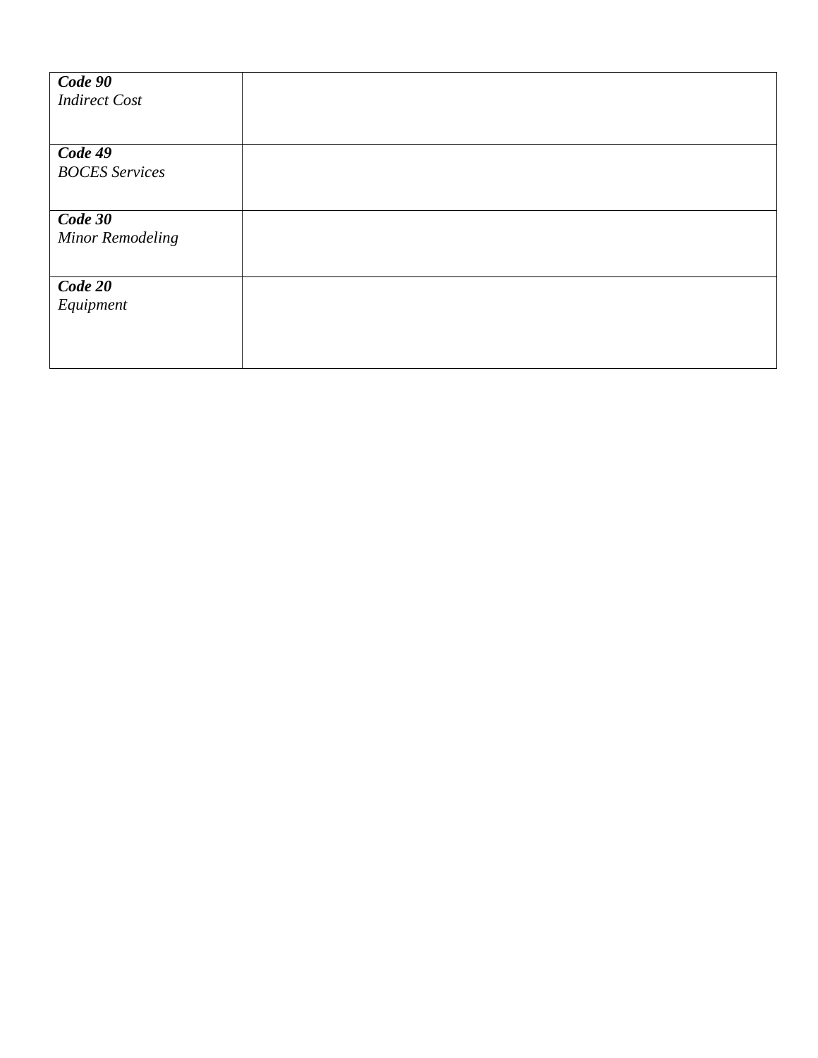| Code 90<br><b>Indirect Cost</b> |  |
|---------------------------------|--|
|                                 |  |
| Code 49                         |  |
| <b>BOCES</b> Services           |  |
|                                 |  |
| Code 30                         |  |
| <b>Minor Remodeling</b>         |  |
|                                 |  |
| Code 20                         |  |
| Equipment                       |  |
|                                 |  |
|                                 |  |
|                                 |  |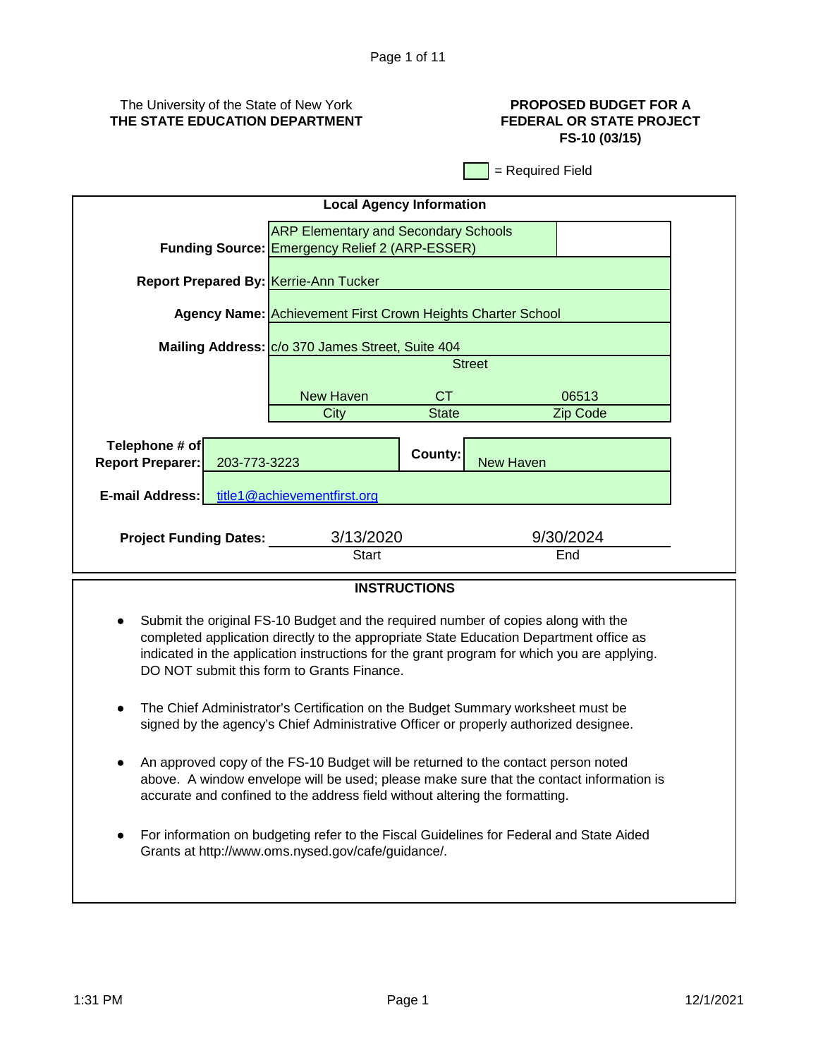# The University of the State of New York **THE STATE EDUCATION DEPARTMENT**

# **PROPOSED BUDGET FOR A FEDERAL OR STATE PROJECT FS-10 (03/15)**

= Required Field

| <b>Local Agency Information</b> |                                                  |                                                                                                      |                  |                  |  |
|---------------------------------|--------------------------------------------------|------------------------------------------------------------------------------------------------------|------------------|------------------|--|
|                                 |                                                  | <b>ARP Elementary and Secondary Schools</b><br><b>Funding Source: Emergency Relief 2 (ARP-ESSER)</b> |                  |                  |  |
|                                 | <b>Report Prepared By: Kerrie-Ann Tucker</b>     |                                                                                                      |                  |                  |  |
|                                 |                                                  | <b>Agency Name: Achievement First Crown Heights Charter School</b>                                   |                  |                  |  |
|                                 | Mailing Address: C/o 370 James Street, Suite 404 |                                                                                                      |                  |                  |  |
|                                 |                                                  | <b>Street</b>                                                                                        |                  |                  |  |
|                                 | <b>New Haven</b>                                 | CT.                                                                                                  |                  | 06513            |  |
|                                 | City                                             | <b>State</b>                                                                                         |                  | Zip Code         |  |
|                                 |                                                  |                                                                                                      |                  |                  |  |
| Telephone # of                  |                                                  | County:                                                                                              |                  |                  |  |
| <b>Report Preparer:</b>         | 203-773-3223                                     |                                                                                                      | <b>New Haven</b> |                  |  |
| E-mail Address:                 | title1@achievementfirst.org                      |                                                                                                      |                  |                  |  |
| <b>Project Funding Dates:</b>   | 3/13/2020<br>Start                               |                                                                                                      |                  | 9/30/2024<br>End |  |
| <b>INICTDUCTIONIC</b>           |                                                  |                                                                                                      |                  |                  |  |

# **INSTRUCTIONS**

- Submit the original FS-10 Budget and the required number of copies along with the completed application directly to the appropriate State Education Department office as indicated in the application instructions for the grant program for which you are applying. DO NOT submit this form to Grants Finance.
- The Chief Administrator's Certification on the Budget Summary worksheet must be signed by the agency's Chief Administrative Officer or properly authorized designee.
- An approved copy of the FS-10 Budget will be returned to the contact person noted above. A window envelope will be used; please make sure that the contact information is accurate and confined to the address field without altering the formatting.
- For information on budgeting refer to the Fiscal Guidelines for Federal and State Aided Grants at http://www.oms.nysed.gov/cafe/guidance/.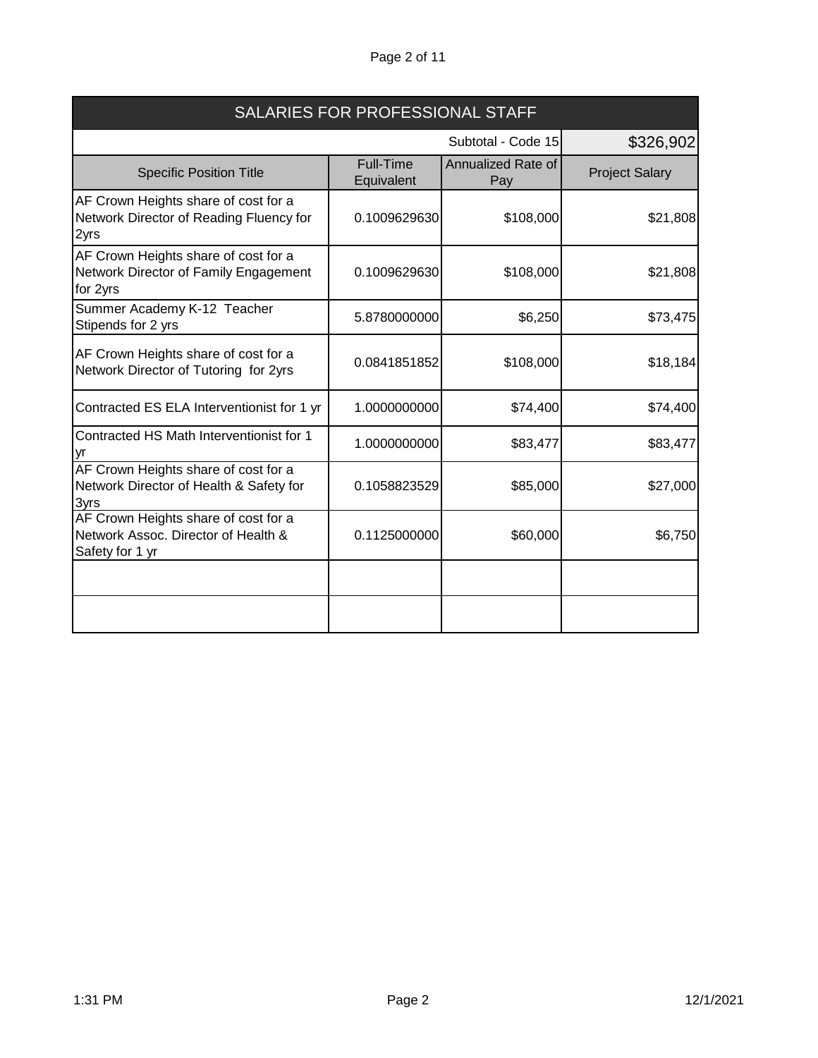# Page 2 of 11

| SALARIES FOR PROFESSIONAL STAFF                                                                |                                |                           |                       |
|------------------------------------------------------------------------------------------------|--------------------------------|---------------------------|-----------------------|
|                                                                                                |                                | Subtotal - Code 15        | \$326,902             |
| <b>Specific Position Title</b>                                                                 | <b>Full-Time</b><br>Equivalent | Annualized Rate of<br>Pay | <b>Project Salary</b> |
| AF Crown Heights share of cost for a<br>Network Director of Reading Fluency for<br>2yrs        | 0.1009629630                   | \$108,000                 | \$21,808              |
| AF Crown Heights share of cost for a<br>Network Director of Family Engagement<br>for 2yrs      | 0.1009629630                   | \$108,000                 | \$21,808              |
| Summer Academy K-12 Teacher<br>Stipends for 2 yrs                                              | 5.8780000000                   | \$6,250                   | \$73,475              |
| AF Crown Heights share of cost for a<br>Network Director of Tutoring for 2yrs                  | 0.0841851852                   | \$108,000                 | \$18,184              |
| Contracted ES ELA Interventionist for 1 yr                                                     | 1.0000000000                   | \$74,400                  | \$74,400              |
| Contracted HS Math Interventionist for 1<br>yr                                                 | 1.0000000000                   | \$83,477                  | \$83,477              |
| AF Crown Heights share of cost for a<br>Network Director of Health & Safety for<br>3yrs        | 0.1058823529                   | \$85,000                  | \$27,000              |
| AF Crown Heights share of cost for a<br>Network Assoc. Director of Health &<br>Safety for 1 yr | 0.1125000000                   | \$60,000                  | \$6,750               |
|                                                                                                |                                |                           |                       |
|                                                                                                |                                |                           |                       |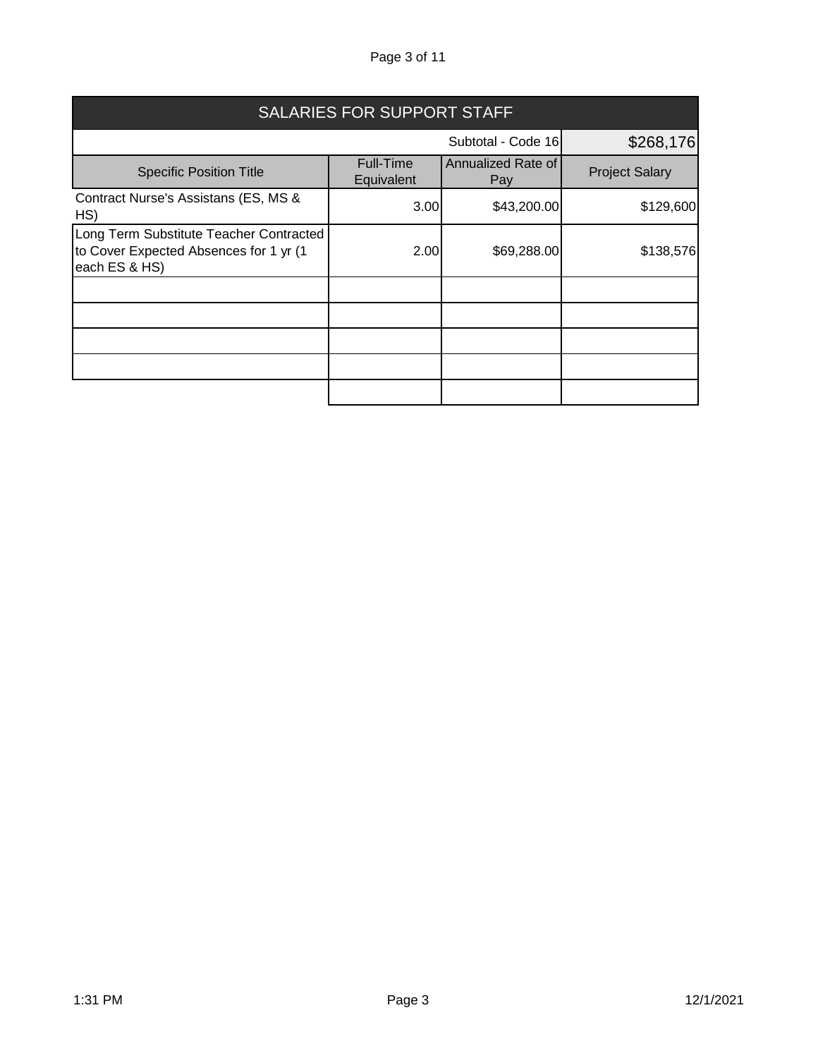# Page 3 of 11

| <b>SALARIES FOR SUPPORT STAFF</b>                                                                  |                                |                           |                       |
|----------------------------------------------------------------------------------------------------|--------------------------------|---------------------------|-----------------------|
| Subtotal - Code 16                                                                                 |                                |                           | \$268,176             |
| <b>Specific Position Title</b>                                                                     | <b>Full-Time</b><br>Equivalent | Annualized Rate of<br>Pay | <b>Project Salary</b> |
| Contract Nurse's Assistans (ES, MS &<br>HS)                                                        | 3.00                           | \$43,200.00               | \$129,600             |
| Long Term Substitute Teacher Contracted<br>to Cover Expected Absences for 1 yr (1<br>each ES & HS) | 2.00                           | \$69,288.00               | \$138,576             |
|                                                                                                    |                                |                           |                       |
|                                                                                                    |                                |                           |                       |
|                                                                                                    |                                |                           |                       |
|                                                                                                    |                                |                           |                       |
|                                                                                                    |                                |                           |                       |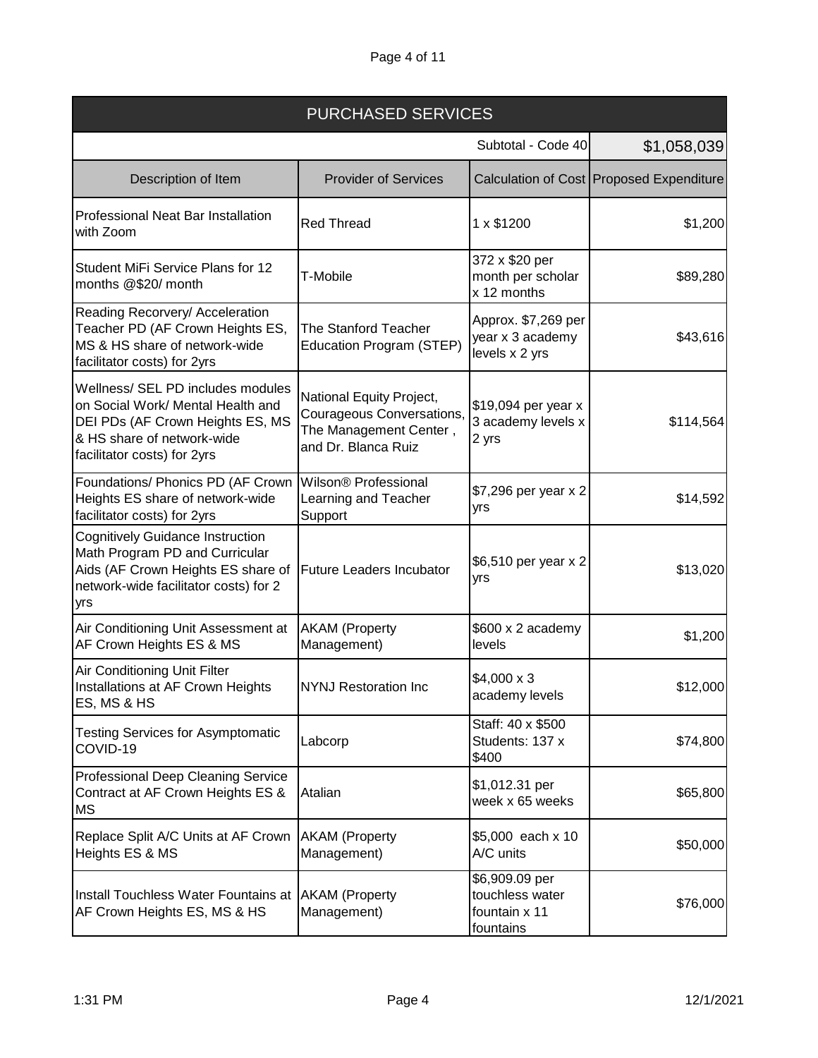| <b>PURCHASED SERVICES</b>                                                                                                                                               |                                                                                                        |                                                                 |                                          |
|-------------------------------------------------------------------------------------------------------------------------------------------------------------------------|--------------------------------------------------------------------------------------------------------|-----------------------------------------------------------------|------------------------------------------|
|                                                                                                                                                                         |                                                                                                        | Subtotal - Code 40                                              | \$1,058,039                              |
| Description of Item                                                                                                                                                     | <b>Provider of Services</b>                                                                            |                                                                 | Calculation of Cost Proposed Expenditure |
| Professional Neat Bar Installation<br>with Zoom                                                                                                                         | <b>Red Thread</b>                                                                                      | 1 x \$1200                                                      | \$1,200                                  |
| Student MiFi Service Plans for 12<br>months @\$20/ month                                                                                                                | T-Mobile                                                                                               | 372 x \$20 per<br>month per scholar<br>x 12 months              | \$89,280                                 |
| Reading Recorvery/ Acceleration<br>Teacher PD (AF Crown Heights ES,<br>MS & HS share of network-wide<br>facilitator costs) for 2yrs                                     | <b>The Stanford Teacher</b><br>Education Program (STEP)                                                | Approx. \$7,269 per<br>year x 3 academy<br>levels x 2 yrs       | \$43,616                                 |
| Wellness/ SEL PD includes modules<br>on Social Work/ Mental Health and<br>DEI PDs (AF Crown Heights ES, MS<br>& HS share of network-wide<br>facilitator costs) for 2yrs | National Equity Project,<br>Courageous Conversations,<br>The Management Center,<br>and Dr. Blanca Ruiz | \$19,094 per year x<br>3 academy levels x<br>2 yrs              | \$114,564                                |
| Foundations/ Phonics PD (AF Crown<br>Heights ES share of network-wide<br>facilitator costs) for 2yrs                                                                    | Wilson® Professional<br>Learning and Teacher<br>Support                                                | \$7,296 per year x 2<br>yrs                                     | \$14,592                                 |
| <b>Cognitively Guidance Instruction</b><br>Math Program PD and Curricular<br>Aids (AF Crown Heights ES share of<br>network-wide facilitator costs) for 2<br>yrs         | <b>Future Leaders Incubator</b>                                                                        | \$6,510 per year x 2<br>yrs                                     | \$13,020                                 |
| Air Conditioning Unit Assessment at<br>AF Crown Heights ES & MS                                                                                                         | <b>AKAM</b> (Property<br>Management)                                                                   | \$600 x 2 academy<br>levels                                     | \$1,200                                  |
| Air Conditioning Unit Filter<br>Installations at AF Crown Heights<br>ES, MS & HS                                                                                        | <b>NYNJ Restoration Inc</b>                                                                            | $$4,000 \times 3$<br>academy levels                             | \$12,000                                 |
| <b>Testing Services for Asymptomatic</b><br>COVID-19                                                                                                                    | Labcorp                                                                                                | Staff: 40 x \$500<br>Students: 137 x<br>\$400                   | \$74,800                                 |
| Professional Deep Cleaning Service<br>Contract at AF Crown Heights ES &<br>МS                                                                                           | Atalian                                                                                                | \$1,012.31 per<br>week x 65 weeks                               | \$65,800                                 |
| Replace Split A/C Units at AF Crown<br>Heights ES & MS                                                                                                                  | <b>AKAM</b> (Property<br>Management)                                                                   | \$5,000 each x 10<br>A/C units                                  | \$50,000                                 |
| Install Touchless Water Fountains at AKAM (Property<br>AF Crown Heights ES, MS & HS                                                                                     | Management)                                                                                            | \$6,909.09 per<br>touchless water<br>fountain x 11<br>fountains | \$76,000                                 |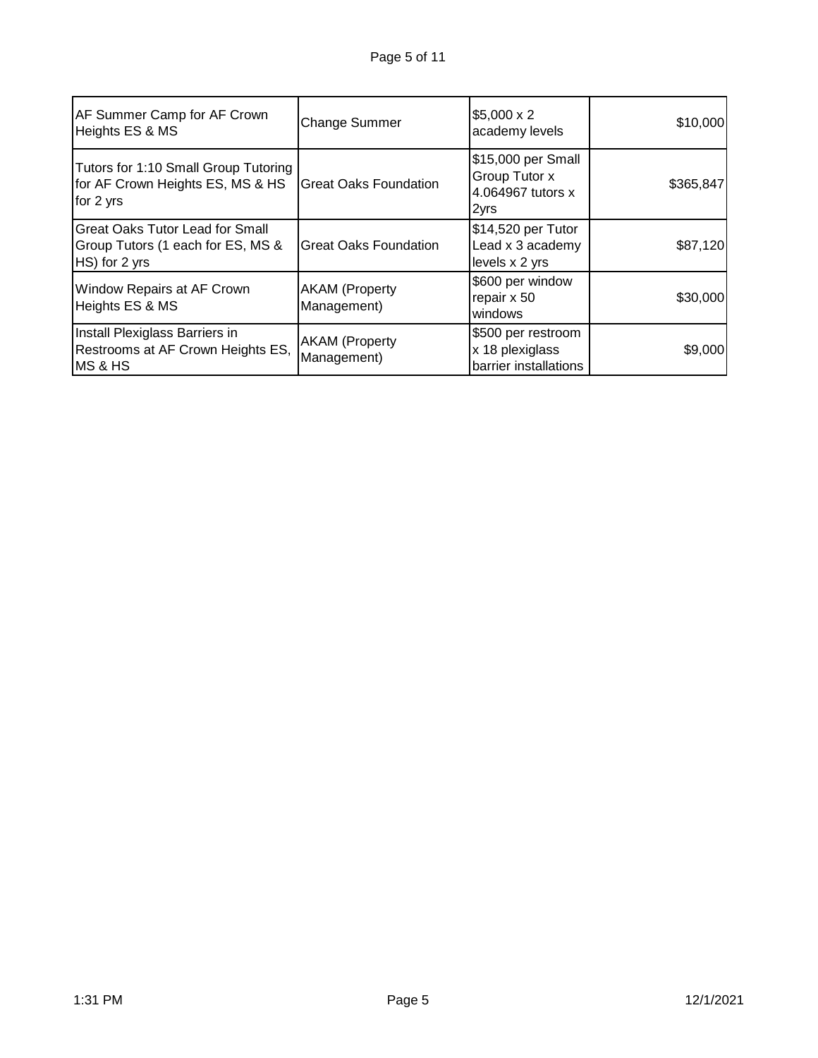| AF Summer Camp for AF Crown<br>Heights ES & MS                                               | <b>Change Summer</b>                 | $$5,000 \times 2$<br>academy levels                              | \$10,000  |
|----------------------------------------------------------------------------------------------|--------------------------------------|------------------------------------------------------------------|-----------|
| Tutors for 1:10 Small Group Tutoring<br>for AF Crown Heights ES, MS & HS<br>for 2 yrs        | <b>Great Oaks Foundation</b>         | \$15,000 per Small<br>Group Tutor x<br>4.064967 tutors x<br>2yrs | \$365,847 |
| <b>Great Oaks Tutor Lead for Small</b><br>Group Tutors (1 each for ES, MS &<br>HS) for 2 yrs | <b>Great Oaks Foundation</b>         | \$14,520 per Tutor<br>Lead x 3 academy<br>levels x 2 yrs         | \$87,120  |
| Window Repairs at AF Crown<br>Heights ES & MS                                                | <b>AKAM</b> (Property<br>Management) | \$600 per window<br>repair x 50<br>windows                       | \$30,000  |
| Install Plexiglass Barriers in<br>Restrooms at AF Crown Heights ES,<br><b>MS &amp; HS</b>    | <b>AKAM</b> (Property<br>Management) | \$500 per restroom<br>x 18 plexiglass<br>barrier installations   | \$9,000   |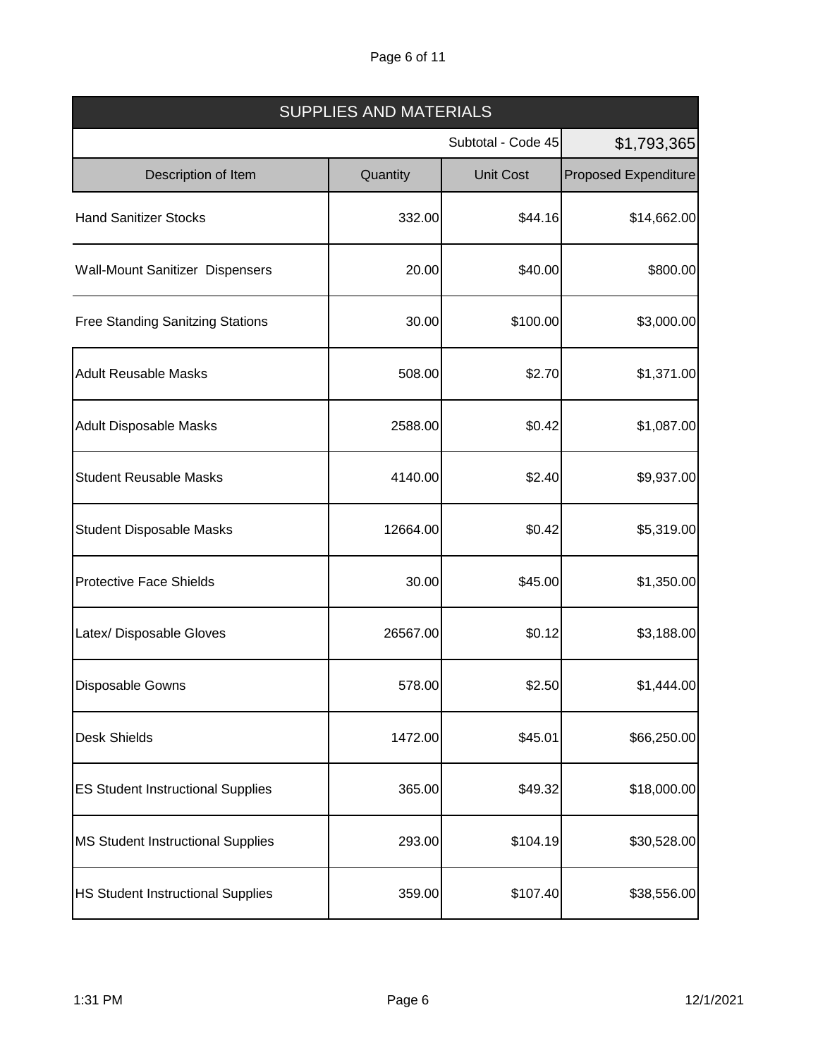# Page 6 of 11

| <b>SUPPLIES AND MATERIALS</b>            |          |                    |                             |  |
|------------------------------------------|----------|--------------------|-----------------------------|--|
|                                          |          | Subtotal - Code 45 | \$1,793,365                 |  |
| Description of Item                      | Quantity | <b>Unit Cost</b>   | <b>Proposed Expenditure</b> |  |
| <b>Hand Sanitizer Stocks</b>             | 332.00   | \$44.16            | \$14,662.00                 |  |
| Wall-Mount Sanitizer Dispensers          | 20.00    | \$40.00            | \$800.00                    |  |
| <b>Free Standing Sanitzing Stations</b>  | 30.00    | \$100.00           | \$3,000.00                  |  |
| <b>Adult Reusable Masks</b>              | 508.00   | \$2.70             | \$1,371.00                  |  |
| <b>Adult Disposable Masks</b>            | 2588.00  | \$0.42             | \$1,087.00                  |  |
| <b>Student Reusable Masks</b>            | 4140.00  | \$2.40             | \$9,937.00                  |  |
| <b>Student Disposable Masks</b>          | 12664.00 | \$0.42             | \$5,319.00                  |  |
| <b>Protective Face Shields</b>           | 30.00    | \$45.00            | \$1,350.00                  |  |
| Latex/ Disposable Gloves                 | 26567.00 | \$0.12             | \$3,188.00                  |  |
| <b>Disposable Gowns</b>                  | 578.00   | \$2.50             | \$1,444.00                  |  |
| <b>Desk Shields</b>                      | 1472.00  | \$45.01            | \$66,250.00                 |  |
| <b>ES Student Instructional Supplies</b> | 365.00   | \$49.32            | \$18,000.00                 |  |
| <b>MS Student Instructional Supplies</b> | 293.00   | \$104.19           | \$30,528.00                 |  |
| <b>HS Student Instructional Supplies</b> | 359.00   | \$107.40           | \$38,556.00                 |  |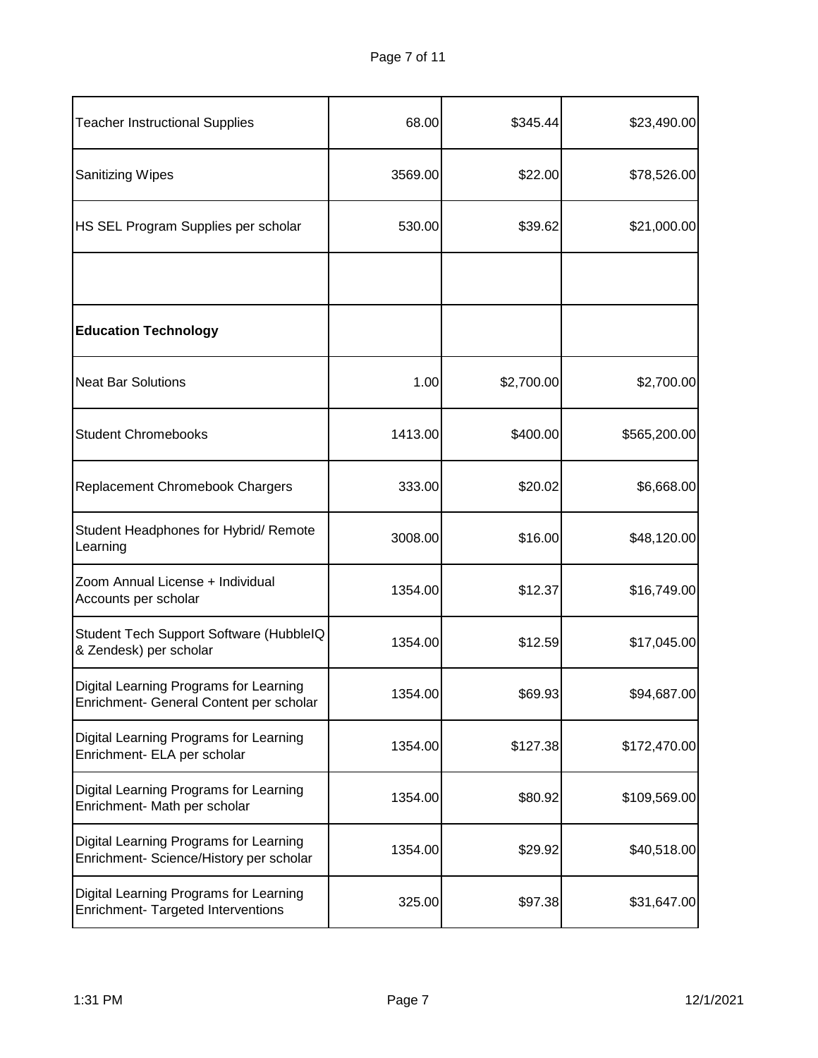| <b>Teacher Instructional Supplies</b>                                             | 68.00   | \$345.44   | \$23,490.00  |
|-----------------------------------------------------------------------------------|---------|------------|--------------|
| <b>Sanitizing Wipes</b>                                                           | 3569.00 | \$22.00    | \$78,526.00  |
| HS SEL Program Supplies per scholar                                               | 530.00  | \$39.62    | \$21,000.00  |
|                                                                                   |         |            |              |
| <b>Education Technology</b>                                                       |         |            |              |
| <b>Neat Bar Solutions</b>                                                         | 1.00    | \$2,700.00 | \$2,700.00   |
| <b>Student Chromebooks</b>                                                        | 1413.00 | \$400.00   | \$565,200.00 |
| Replacement Chromebook Chargers                                                   | 333.00  | \$20.02    | \$6,668.00   |
| Student Headphones for Hybrid/ Remote<br>Learning                                 | 3008.00 | \$16.00    | \$48,120.00  |
| Zoom Annual License + Individual<br>Accounts per scholar                          | 1354.00 | \$12.37    | \$16,749.00  |
| Student Tech Support Software (HubbleIQ<br>& Zendesk) per scholar                 | 1354.00 | \$12.59    | \$17,045.00  |
| Digital Learning Programs for Learning<br>Enrichment- General Content per scholar | 1354.00 | \$69.93    | \$94,687.00  |
| Digital Learning Programs for Learning<br>Enrichment- ELA per scholar             | 1354.00 | \$127.38   | \$172,470.00 |
| Digital Learning Programs for Learning<br>Enrichment- Math per scholar            | 1354.00 | \$80.92    | \$109,569.00 |
| Digital Learning Programs for Learning<br>Enrichment- Science/History per scholar | 1354.00 | \$29.92    | \$40,518.00  |
| Digital Learning Programs for Learning<br>Enrichment- Targeted Interventions      | 325.00  | \$97.38    | \$31,647.00  |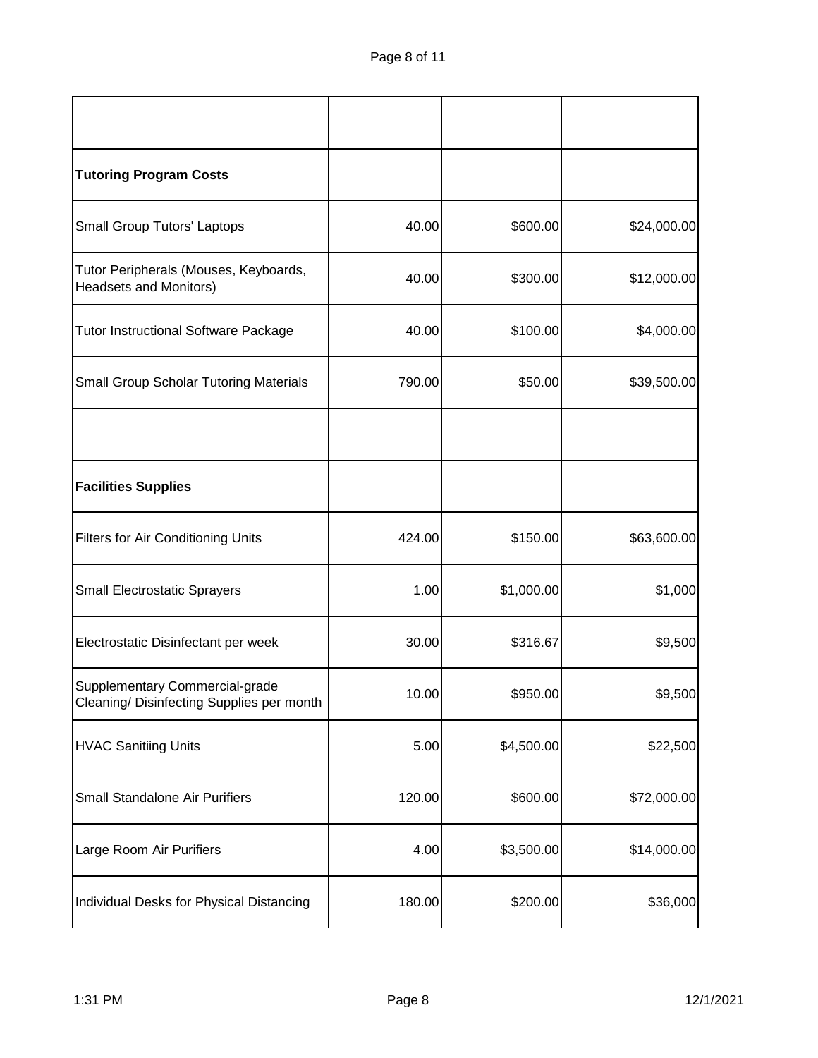| <b>Tutoring Program Costs</b>                                               |        |            |             |
|-----------------------------------------------------------------------------|--------|------------|-------------|
| <b>Small Group Tutors' Laptops</b>                                          | 40.00  | \$600.00   | \$24,000.00 |
| Tutor Peripherals (Mouses, Keyboards,<br><b>Headsets and Monitors)</b>      | 40.00  | \$300.00   | \$12,000.00 |
| <b>Tutor Instructional Software Package</b>                                 | 40.00  | \$100.00   | \$4,000.00  |
| <b>Small Group Scholar Tutoring Materials</b>                               | 790.00 | \$50.00    | \$39,500.00 |
|                                                                             |        |            |             |
| <b>Facilities Supplies</b>                                                  |        |            |             |
| <b>Filters for Air Conditioning Units</b>                                   | 424.00 | \$150.00   | \$63,600.00 |
| <b>Small Electrostatic Sprayers</b>                                         | 1.00   | \$1,000.00 | \$1,000     |
| Electrostatic Disinfectant per week                                         | 30.00  | \$316.67   | \$9,500     |
| Supplementary Commercial-grade<br>Cleaning/ Disinfecting Supplies per month | 10.00  | \$950.00   | \$9,500     |
| <b>HVAC Sanitiing Units</b>                                                 | 5.00   | \$4,500.00 | \$22,500    |
| Small Standalone Air Purifiers                                              | 120.00 | \$600.00   | \$72,000.00 |
| Large Room Air Purifiers                                                    | 4.00   | \$3,500.00 | \$14,000.00 |
| Individual Desks for Physical Distancing                                    | 180.00 | \$200.00   | \$36,000    |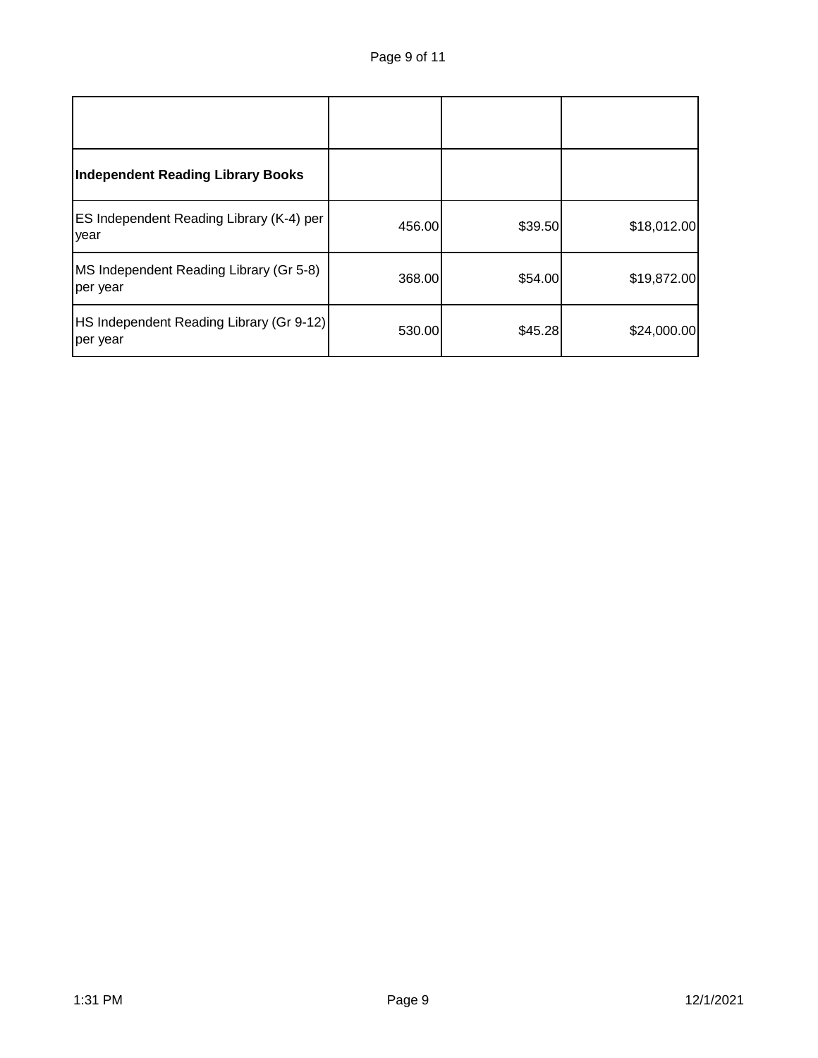| <b>Independent Reading Library Books</b>             |        |         |             |
|------------------------------------------------------|--------|---------|-------------|
| ES Independent Reading Library (K-4) per<br>year     | 456.00 | \$39.50 | \$18,012.00 |
| MS Independent Reading Library (Gr 5-8)<br>per year  | 368.00 | \$54.00 | \$19,872.00 |
| HS Independent Reading Library (Gr 9-12)<br>per year | 530.00 | \$45.28 | \$24,000.00 |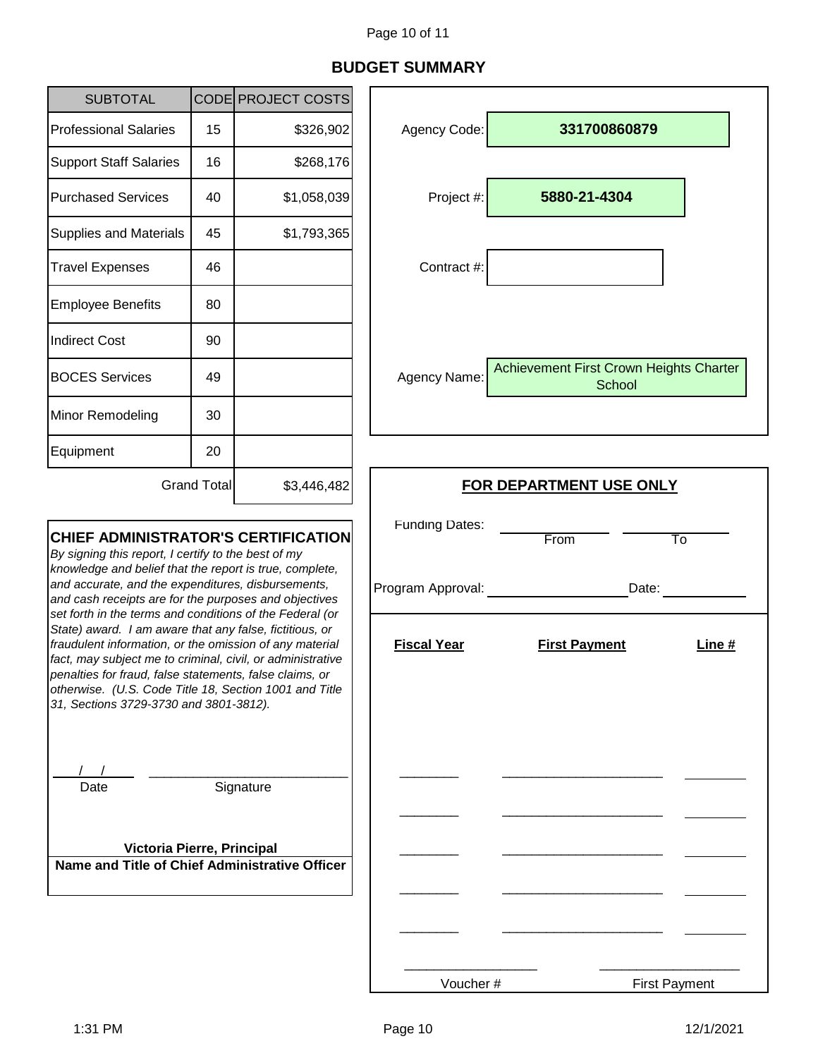# **BUDGET SUMMARY**

| <b>SUBTOTAL</b>                                                                                                                                                                                                                                                                                                                                                                                                                                                                                                                                                                                                                                                                            |                    | CODE PROJECT COSTS                         |                                  |                                                   |
|--------------------------------------------------------------------------------------------------------------------------------------------------------------------------------------------------------------------------------------------------------------------------------------------------------------------------------------------------------------------------------------------------------------------------------------------------------------------------------------------------------------------------------------------------------------------------------------------------------------------------------------------------------------------------------------------|--------------------|--------------------------------------------|----------------------------------|---------------------------------------------------|
| <b>Professional Salaries</b>                                                                                                                                                                                                                                                                                                                                                                                                                                                                                                                                                                                                                                                               | 15                 | \$326,902                                  | Agency Code:                     | 331700860879                                      |
| <b>Support Staff Salaries</b>                                                                                                                                                                                                                                                                                                                                                                                                                                                                                                                                                                                                                                                              | 16                 | \$268,176                                  |                                  |                                                   |
| <b>Purchased Services</b>                                                                                                                                                                                                                                                                                                                                                                                                                                                                                                                                                                                                                                                                  | 40                 | \$1,058,039                                | Project #:                       | 5880-21-4304                                      |
| <b>Supplies and Materials</b>                                                                                                                                                                                                                                                                                                                                                                                                                                                                                                                                                                                                                                                              | 45                 | \$1,793,365                                |                                  |                                                   |
| <b>Travel Expenses</b>                                                                                                                                                                                                                                                                                                                                                                                                                                                                                                                                                                                                                                                                     | 46                 |                                            | Contract #:                      |                                                   |
| <b>Employee Benefits</b>                                                                                                                                                                                                                                                                                                                                                                                                                                                                                                                                                                                                                                                                   | 80                 |                                            |                                  |                                                   |
| <b>Indirect Cost</b>                                                                                                                                                                                                                                                                                                                                                                                                                                                                                                                                                                                                                                                                       | 90                 |                                            |                                  |                                                   |
| <b>BOCES Services</b>                                                                                                                                                                                                                                                                                                                                                                                                                                                                                                                                                                                                                                                                      | 49                 |                                            | Agency Name:                     | Achievement First Crown Heights Charter<br>School |
| Minor Remodeling                                                                                                                                                                                                                                                                                                                                                                                                                                                                                                                                                                                                                                                                           | 30                 |                                            |                                  |                                                   |
| Equipment                                                                                                                                                                                                                                                                                                                                                                                                                                                                                                                                                                                                                                                                                  | 20                 |                                            |                                  |                                                   |
|                                                                                                                                                                                                                                                                                                                                                                                                                                                                                                                                                                                                                                                                                            | <b>Grand Total</b> | \$3,446,482                                | <b>FOR DEPARTMENT USE ONLY</b>   |                                                   |
| <b>CHIEF ADMINISTRATOR'S CERTIFICATION</b><br>By signing this report, I certify to the best of my<br>knowledge and belief that the report is true, complete,<br>and accurate, and the expenditures, disbursements,<br>and cash receipts are for the purposes and objectives<br>set forth in the terms and conditions of the Federal (or<br>State) award. I am aware that any false, fictitious, or<br>fraudulent information, or the omission of any material<br>fact, may subject me to criminal, civil, or administrative<br>penalties for fraud, false statements, false claims, or<br>otherwise. (U.S. Code Title 18, Section 1001 and Title<br>31, Sections 3729-3730 and 3801-3812). |                    | <b>Funding Dates:</b><br>Program Approval: | From<br>To<br>Date:              |                                                   |
|                                                                                                                                                                                                                                                                                                                                                                                                                                                                                                                                                                                                                                                                                            |                    | <b>Fiscal Year</b>                         | <b>First Payment</b><br>Line $#$ |                                                   |
| Date<br>Victoria Pierre, Principal                                                                                                                                                                                                                                                                                                                                                                                                                                                                                                                                                                                                                                                         |                    | Signature                                  |                                  |                                                   |
| Name and Title of Chief Administrative Officer                                                                                                                                                                                                                                                                                                                                                                                                                                                                                                                                                                                                                                             |                    |                                            |                                  |                                                   |
|                                                                                                                                                                                                                                                                                                                                                                                                                                                                                                                                                                                                                                                                                            |                    |                                            |                                  |                                                   |

Voucher #

j.

First Payment